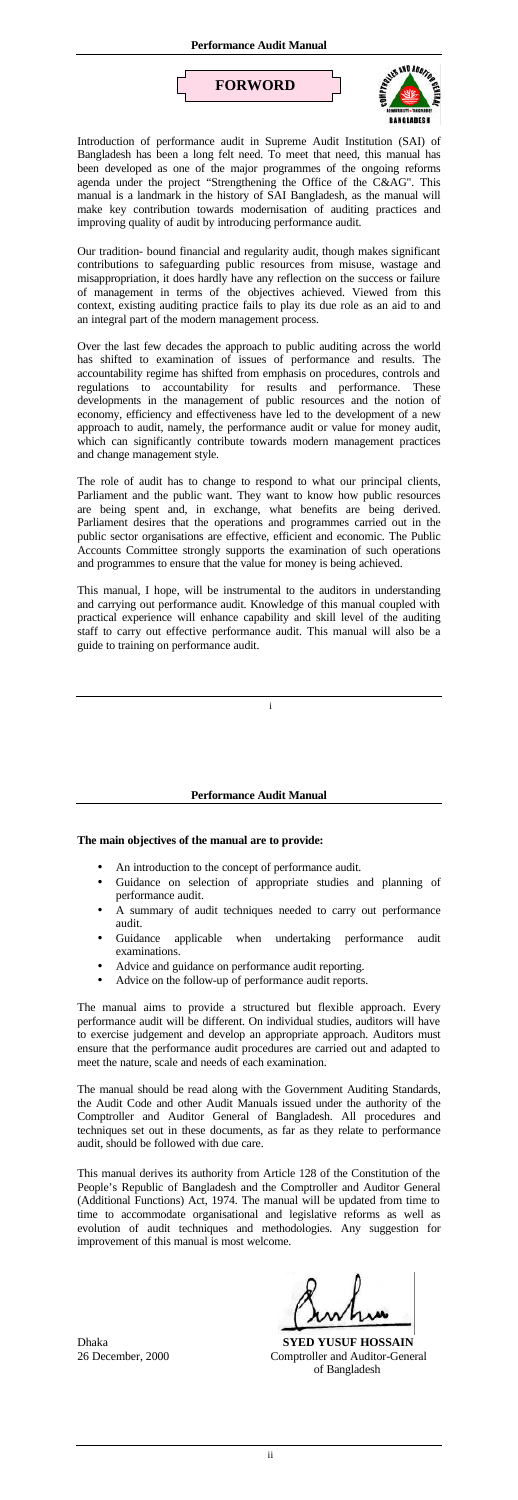i

Introduction of performance audit in Supreme Audit Institution (SAI) of Bangladesh has been a long felt need. To meet that need, this manual has been developed as one of the major programmes of the ongoing reforms agenda under the project "Strengthening the Office of the C&AG". This manual is a landmark in the history of SAI Bangladesh, as the manual will make key contribution towards modernisation of auditing practices and improving quality of audit by introducing performance audit.

Our tradition- bound financial and regularity audit, though makes significant contributions to safeguarding public resources from misuse, wastage and misappropriation, it does hardly have any reflection on the success or failure of management in terms of the objectives achieved. Viewed from this context, existing auditing practice fails to play its due role as an aid to and an integral part of the modern management process.

Over the last few decades the approach to public auditing across the world has shifted to examination of issues of performance and results. The accountability regime has shifted from emphasis on procedures, controls and regulations to accountability for results and performance. These developments in the management of public resources and the notion of economy, efficiency and effectiveness have led to the development of a new approach to audit, namely, the performance audit or value for money audit, which can significantly contribute towards modern management practices and change management style.

The role of audit has to change to respond to what our principal clients, Parliament and the public want. They want to know how public resources are being spent and, in exchange, what benefits are being derived. Parliament desires that the operations and programmes carried out in the public sector organisations are effective, efficient and economic. The Public Accounts Committee strongly supports the examination of such operations and programmes to ensure that the value for money is being achieved.

This manual, I hope, will be instrumental to the auditors in understanding and carrying out performance audit. Knowledge of this manual coupled with practical experience will enhance capability and skill level of the auditing staff to carry out effective performance audit. This manual will also be a guide to training on performance audit.





## **Performance Audit Manual**

## **The main objectives of the manual are to provide:**

- An introduction to the concept of performance audit.
- Guidance on selection of appropriate studies and planning of performance audit.
- A summary of audit techniques needed to carry out performance audit.
- Guidance applicable when undertaking performance audit examinations.
- 
- Advice and guidance on performance audit reporting.
- Advice on the follow-up of performance audit reports.

The manual aims to provide a structured but flexible approach. Every performance audit will be different. On individual studies, auditors will have to exercise judgement and develop an appropriate approach. Auditors must ensure that the performance audit procedures are carried out and adapted to meet the nature, scale and needs of each examination.

The manual should be read along with the Government Auditing Standards, the Audit Code and other Audit Manuals issued under the authority of the Comptroller and Auditor General of Bangladesh. All procedures and techniques set out in these documents, as far as they relate to performance audit, should be followed with due care.

This manual derives its authority from Article 128 of the Constitution of the People's Republic of Bangladesh and the Comptroller and Auditor General (Additional Functions) Act, 1974. The manual will be updated from time to time to accommodate organisational and legislative reforms as well as evolution of audit techniques and methodologies. Any suggestion for improvement of this manual is most welcome.

Dhaka **SYED YUSUF HOSSAIN**  26 December, 2000 Comptroller and Auditor-General of Bangladesh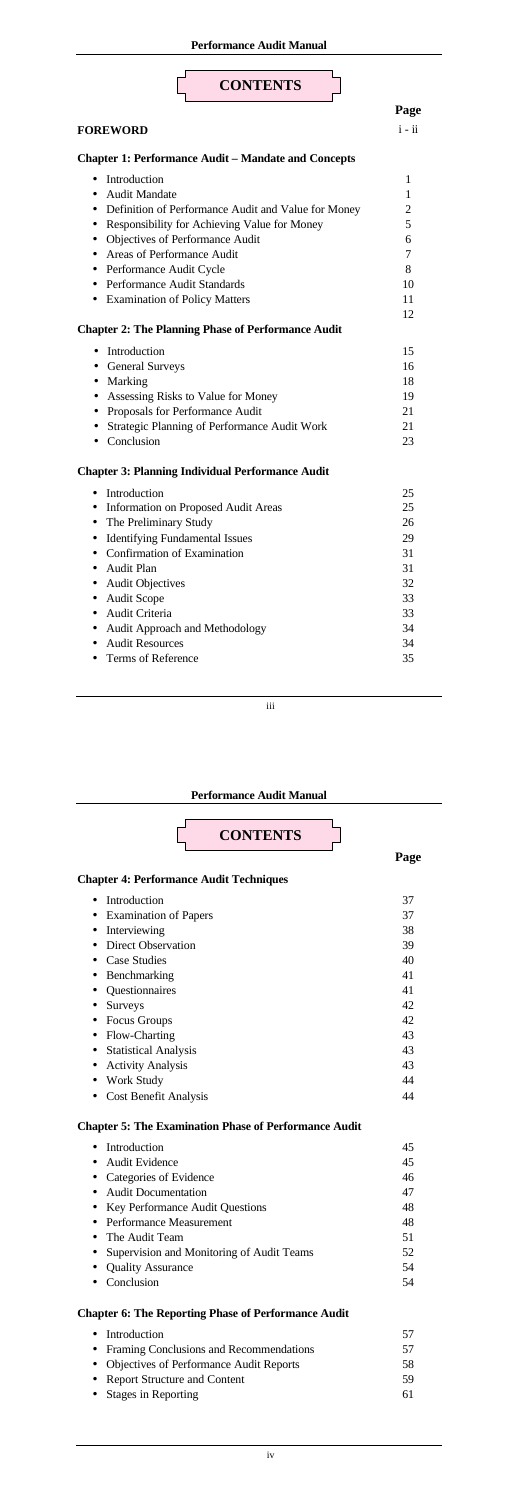### • Terms of Reference

iii

#### **[Performance Audit Manual](#page-3-0)**



35

# **C[hapter 4: Performance Audit Techniques](#page-5-0)**

| Introduction                 | 37 |
|------------------------------|----|
| <b>Examination of Papers</b> | 37 |
| Interviewing                 | 38 |
| Direct Observation           | 39 |
| <b>Case Studies</b>          | 40 |
| Benchmarking                 | 41 |
| Questionnaires               | 41 |
| <b>Surveys</b>               | 42 |
| Focus Groups                 | 42 |
| Flow-Charting                | 43 |
| <b>Statistical Analysis</b>  | 43 |
| <b>Activity Analysis</b>     | 43 |
| <b>Work Study</b>            | 44 |
| <b>Cost Benefit Analysis</b> | 44 |

# **[Chapter 5: The Examination Phase of Performance](#page-15-0) Audit**

| • Introduction                            | 45 |
|-------------------------------------------|----|
| • Audit Evidence                          | 45 |
| • Categories of Evidence                  | 46 |
| • Audit Documentation                     | 47 |
| • Key Performance Audit Questions         | 48 |
| • Performance Measurement                 | 48 |
| • The Audit Team                          | 51 |
| Supervision and Monitoring of Audit Teams | 52 |
| <b>Quality Assurance</b>                  | 54 |
| Conclusion                                | 54 |

# **C[hapter 6: The Reporting](#page-20-0) Phase of Performance Audit**

| • Introduction                            | 57  |
|-------------------------------------------|-----|
| • Framing Conclusions and Recommendations | 57  |
| • Objectives of Performance Audit Reports | 58. |
| • Report Structure and Content            | 59  |
| • Stages in Reporting                     | 61  |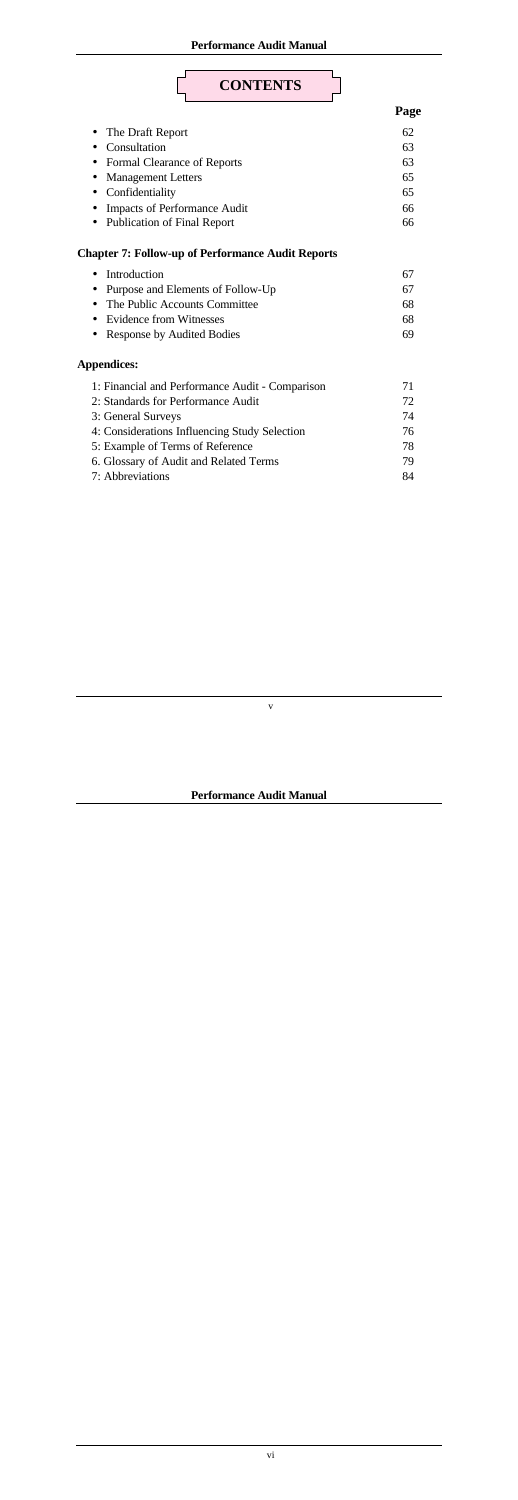**Performance Audit Manual**

v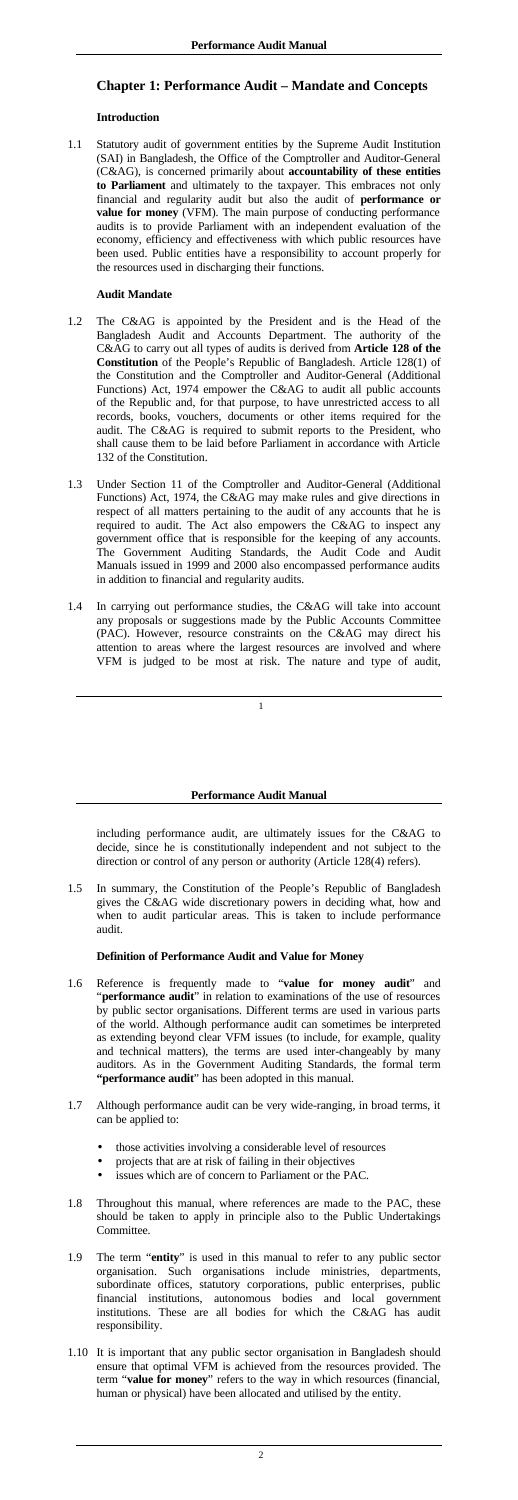# <span id="page-3-0"></span>**Chapter 1: Performance Audit – Mandate and Concepts**

## **Introduction**

1.1 Statutory audit of government entities by the Supreme Audit Institution (SAI) in Bangladesh, the Office of the Comptroller and Auditor-General (C&AG), is concerned primarily about **accountability of these entities to Parliament** and ultimately to the taxpayer. This embraces not only financial and regularity audit but also the audit of **performance or value for money** (VFM). The main purpose of conducting performance audits is to provide Parliament with an independent evaluation of the economy, efficiency and effectiveness with which public resources have been used. Public entities have a responsibility to account properly for the resources used in discharging their functions.

## **Audit Mandate**

- 1.2 The C&AG is appointed by the President and is the Head of the Bangladesh Audit and Accounts Department. The authority of the C&AG to carry out all types of audits is derived from **Article 128 of the Constitution** of the People's Republic of Bangladesh. Article 128(1) of the Constitution and the Comptroller and Auditor-General (Additional Functions) Act, 1974 empower the C&AG to audit all public accounts of the Republic and, for that purpose, to have unrestricted access to all records, books, vouchers, documents or other items required for the audit. The C&AG is required to submit reports to the President, who shall cause them to be laid before Parliament in accordance with Article 132 of the Constitution.
- 1.3 Under Section 11 of the Comptroller and Auditor-General (Additional Functions) Act, 1974, the C&AG may make rules and give directions in respect of all matters pertaining to the audit of any accounts that he is required to audit. The Act also empowers the C&AG to inspect any government office that is responsible for the keeping of any accounts. The Government Auditing Standards, the Audit Code and Audit Manuals issued in 1999 and 2000 also encompassed performance audits in addition to financial and regularity audits.
- 1.4 In carrying out performance studies, the C&AG will take into account any proposals or suggestions made by the Public Accounts Committee (PAC). However, resource constraints on the C&AG may direct his attention to areas where the largest resources are involved and where VFM is judged to be most at risk. The nature and type of audit,

### **Performance Audit Manual**

including performance audit, are ultimately issues for the C&AG to decide, since he is constitutionally independent and not subject to the direction or control of any person or authority (Article 128(4) refers).

1.5 In summary, the Constitution of the People's Republic of Bangladesh gives the C&AG wide discretionary powers in deciding what, how and when to audit particular areas. This is taken to include performance audit.

## **Definition of Performance Audit and Value for Money**

- 1.6 Reference is frequently made to "**value for money audit**" and "**performance audit**" in relation to examinations of the use of resources by public sector organisations. Different terms are used in various parts of the world. Although performance audit can sometimes be interpreted as extending beyond clear VFM issues (to include, for example, quality and technical matters), the terms are used inter-changeably by many auditors. As in the Government Auditing Standards, the formal term **"performance audit**" has been adopted in this manual.
- 1.7 Although performance audit can be very wide-ranging, in broad terms, it can be applied to:
	- those activities involving a considerable level of resources
	- projects that are at risk of failing in their objectives
	- issues which are of concern to Parliament or the PAC.
- 1.8 Throughout this manual, where references are made to the PAC, these should be taken to apply in principle also to the Public Undertakings Committee.
- 1.9 The term "**entity**" is used in this manual to refer to any public sector organisation. Such organisations include ministries, departments, subordinate offices, statutory corporations, public enterprises, public financial institutions, autonomous bodies and local government institutions. These are all bodies for which the C&AG has audit responsibility.
- 1.10 It is important that any public sector organisation in Bangladesh should ensure that optimal VFM is achieved from the resources provided. The term "**value for money**" refers to the way in which resources (financial, human or physical) have been allocated and utilised by the entity.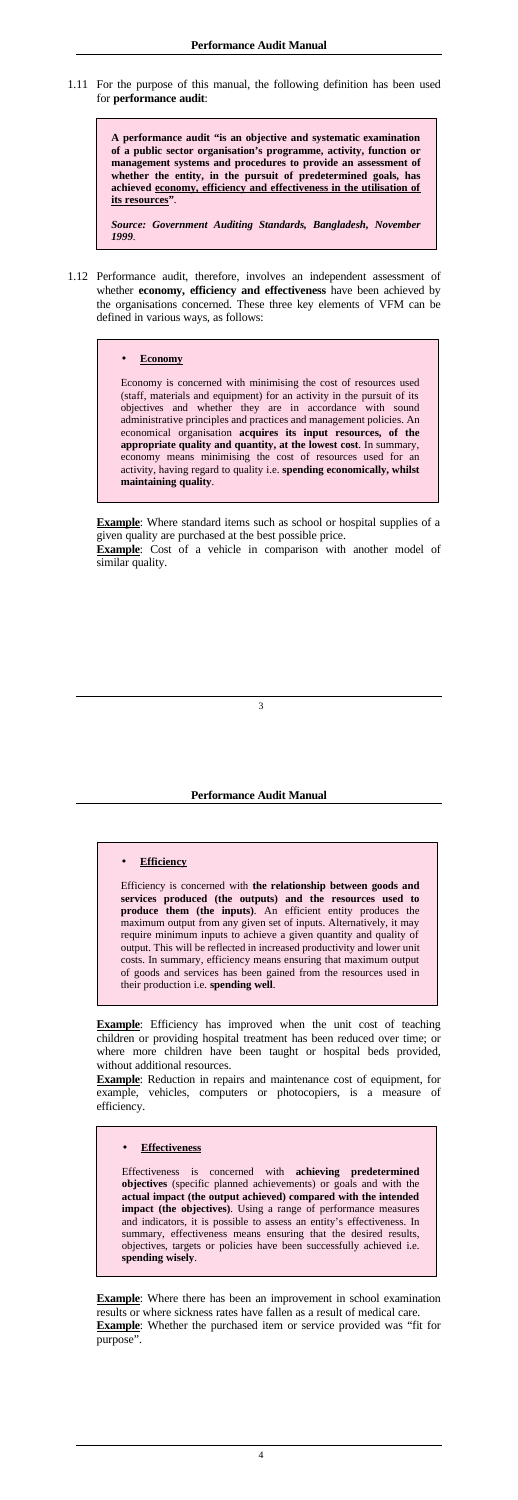1.11 For the purpose of this manual, the following definition has been used for **performance audit**:

> **A performance audit "is an objective and systematic examination of a public sector organisation's programme, activity, function or management systems and procedures to provide an assessment of whether the entity, in the pursuit of predetermined goals, has achieved economy, efficiency and effectiveness in the utilisation of its resources"**.

> *Source: Government Auditing Standards, Bangladesh, November 1999*.

1.12 Performance audit, therefore, involves an independent assessment of whether **economy, efficiency and effectiveness** have been achieved by the organisations concerned. These three key elements of VFM can be defined in various ways, as follows:

**Example**: Where standard items such as school or hospital supplies of a given quality are purchased at the best possible price.

**Example**: Cost of a vehicle in comparison with another model of similar quality.

## • **Economy**

Economy is concerned with minimising the cost of resources used (staff, materials and equipment) for an activity in the pursuit of its objectives and whether they are in accordance with sound administrative principles and practices and management policies. An economical organisation **acquires its input resources, of the appropriate quality and quantity, at the lowest cost**. In summary, economy means minimising the cost of resources used for an activity, having regard to quality i.e. **spending economically, whilst maintaining quality**.

**Example**: Efficiency has improved when the unit cost of teaching children or providing hospital treatment has been reduced over time; or where more children have been taught or hospital beds provided, without additional resources.

### **Performance Audit Manual**

### • **Efficiency**

**Example**: Where there has been an improvement in school examination results or where sickness rates have fallen as a result of medical care. **Example**: Whether the purchased item or service provided was "fit for purpose".

Efficiency is concerned with **the relationship between goods and services produced (the outputs) and the resources used to produce them (the inputs)**. An efficient entity produces the maximum output from any given set of inputs. Alternatively, it may require minimum inputs to achieve a given quantity and quality of output. This will be reflected in increased productivity and lower unit costs. In summary, efficiency means ensuring that maximum output

of goods and services has been gained from the resources used in their production i.e. **spending well**.

**Example**: Reduction in repairs and maintenance cost of equipment, for example, vehicles, computers or photocopiers, is a measure of efficiency.

#### • **Effectiveness**

Effectiveness is concerned with **achieving predetermined objectives** (specific planned achievements) or goals and with the **actual impact (the output achieved) compared with the intended impact (the objectives)**. Using a range of performance measures and indicators, it is possible to assess an entity's effectiveness. In summary, effectiveness means ensuring that the desired results, objectives, targets or policies have been successfully achieved i.e. **spending wisely**.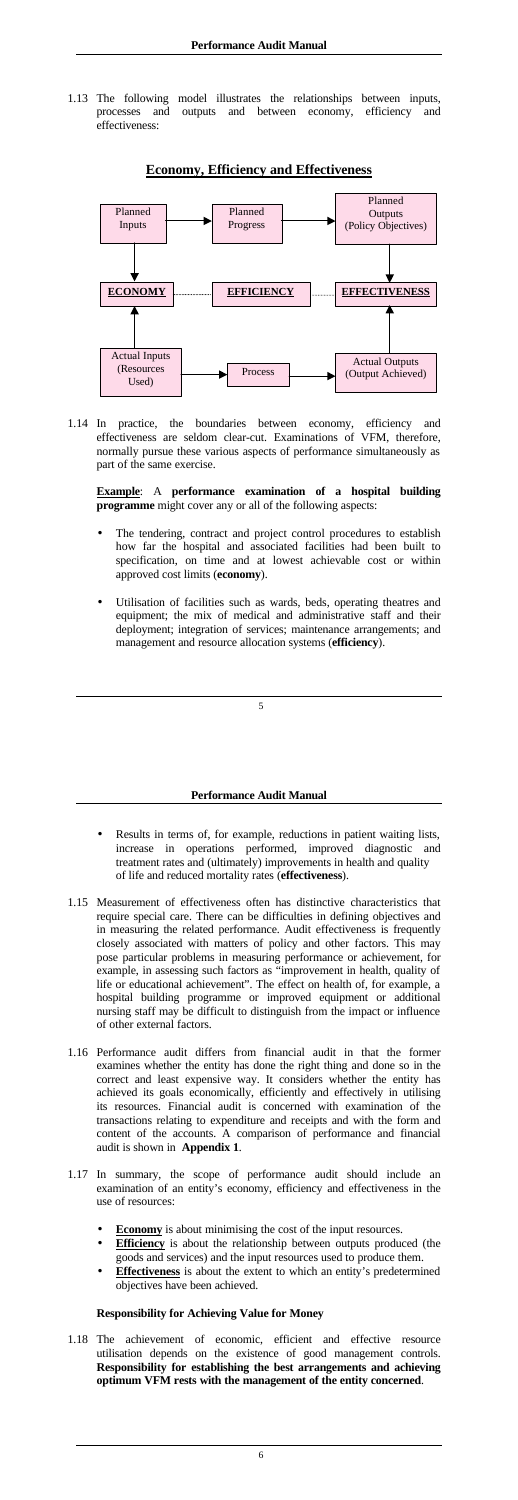<span id="page-5-0"></span>1.13 The following model illustrates the relationships between inputs, processes and outputs and between economy, efficiency and effectiveness:

# **Economy, Efficiency and Effectiveness**

1.14 In practice, the boundaries between economy, efficiency and effectiveness are seldom clear-cut. Examinations of VFM, therefore, normally pursue these various aspects of performance simultaneously as part of the same exercise.

**Example**: A **performance examination of a hospital building programme** might cover any or all of the following aspects:

- The tendering, contract and project control procedures to establish how far the hospital and associated facilities had been built to specification, on time and at lowest achievable cost or within approved cost limits (**economy**).
- Utilisation of facilities such as wards, beds, operating theatres and equipment; the mix of medical and administrative staff and their deployment; integration of services; maintenance arrangements; and management and resource allocation systems (**efficiency**).



### **Performance Audit Manual**

- Results in terms of, for example, reductions in patient waiting lists, increase in operations performed, improved diagnostic and treatment rates and (ultimately) improvements in health and quality of life and reduced mortality rates (**effectiveness**).
- 1.15 Measurement of effectiveness often has distinctive characteristics that require special care. There can be difficulties in defining objectives and in measuring the related performance. Audit effectiveness is frequently closely associated with matters of policy and other factors. This may pose particular problems in measuring performance or achievement, for example, in assessing such factors as "improvement in health, quality of life or educational achievement". The effect on health of, for example, a hospital building programme or improved equipment or additional nursing staff may be difficult to distinguish from the impact or influence of other external factors.
- 1.16 Performance audit differs from financial audit in that the former examines whether the entity has done the right thing and done so in the correct and least expensive way. It considers whether the entity has achieved its goals economically, efficiently and effectively in utilising its resources. Financial audit is concerned with examination of the transactions relating to expenditure and receipts and with the form and content of the accounts. A comparison of performance and financial audit is shown in **Appendix 1**.
- 1.17 In summary, the scope of performance audit should include an examination of an entity's economy, efficiency and effectiveness in the use of resources:
	- **Economy** is about minimising the cost of the input resources.
	- **Efficiency** is about the relationship between outputs produced (the goods and services) and the input resources used to produce them.
	- **Effectiveness** is about the extent to which an entity's predetermined objectives have been achieved.

## **Responsibility for Achieving Value for Money**

1.18 The achievement of economic, efficient and effective resource utilisation depends on the existence of good management controls. **Responsibility for establishing the best arrangements and achieving optimum VFM rests with the management of the entity concerned**.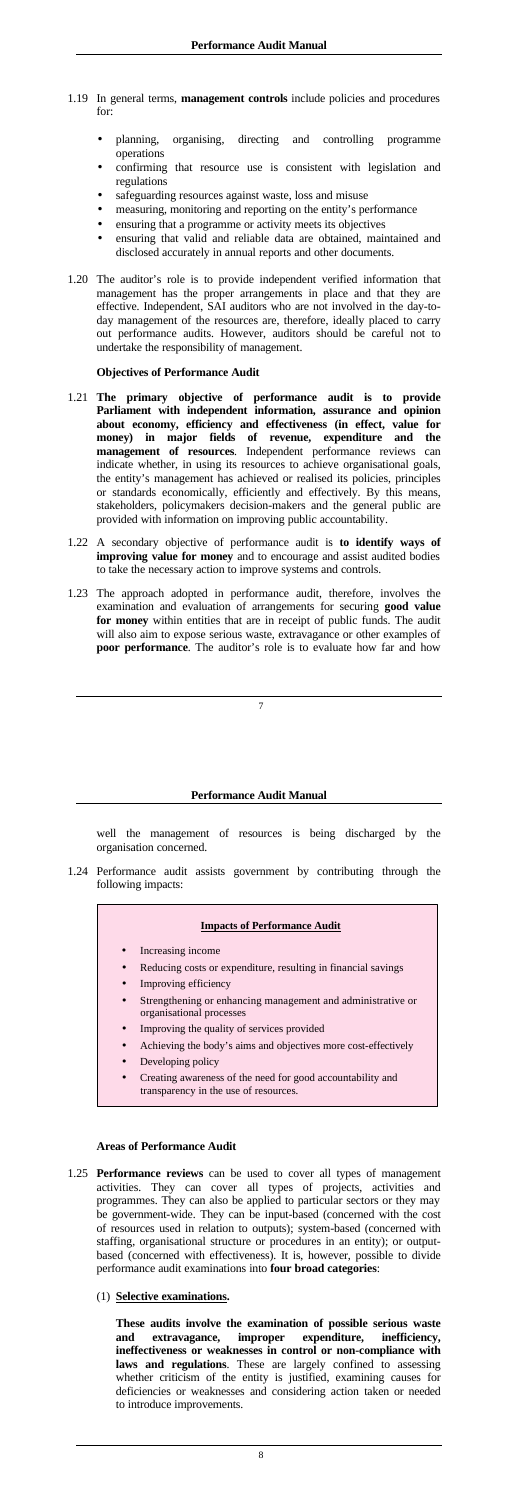- <span id="page-6-0"></span>1.19 In general terms, **management controls** include policies and procedures for:
	- planning, organising, directing and controlling programme operations
	- confirming that resource use is consistent with legislation and regulations
	- safeguarding resources against waste, loss and misuse
	- measuring, monitoring and reporting on the entity's performance
	- ensuring that a programme or activity meets its objectives
	- ensuring that valid and reliable data are obtained, maintained and disclosed accurately in annual reports and other documents.
- 1.20 The auditor's role is to provide independent verified information that management has the proper arrangements in place and that they are effective. Independent, SAI auditors who are not involved in the day-today management of the resources are, therefore, ideally placed to carry out performance audits. However, auditors should be careful not to undertake the responsibility of management.

### **Objectives of Performance Audit**

- Reducing costs or expenditure, resulting in financial savings
- Improving efficiency
- Strengthening or enhancing management and administrative or organisational processes
- Improving the quality of services provided
- Achieving the body's aims and objectives more cost-effectively
- Developing policy
- Creating awareness of the need for good accountability and transparency in the use of resources.
- 1.21 **The primary objective of performance audit is to provide Parliament with independent information, assurance and opinion about economy, efficiency and effectiveness (in effect, value for money) in major fields of revenue, expenditure and the management of resources**. Independent performance reviews can indicate whether, in using its resources to achieve organisational goals, the entity's management has achieved or realised its policies, principles or standards economically, efficiently and effectively. By this means, stakeholders, policymakers decision-makers and the general public are provided with information on improving public accountability.
- 1.22 A secondary objective of performance audit is **to identify ways of improving value for money** and to encourage and assist audited bodies to take the necessary action to improve systems and controls.
- 1.23 The approach adopted in performance audit, therefore, involves the examination and evaluation of arrangements for securing **good value for money** within entities that are in receipt of public funds. The audit will also aim to expose serious waste, extravagance or other examples of **poor performance**. The auditor's role is to evaluate how far and how

### **Performance Audit Manual**

well the management of resources is being discharged by the organisation concerned.

1.24 Performance audit assists government by contributing through the following impacts:

|           | <b>Impacts of Performance Audit</b> |
|-----------|-------------------------------------|
| $\bullet$ | Increasing income                   |

### **Areas of Performance Audit**

- 1.25 **Performance reviews** can be used to cover all types of management activities. They can cover all types of projects, activities and programmes. They can also be applied to particular sectors or they may be government-wide. They can be input-based (concerned with the cost of resources used in relation to outputs); system-based (concerned with staffing, organisational structure or procedures in an entity); or outputbased (concerned with effectiveness). It is, however, possible to divide performance audit examinations into **four broad categories**:
	- (1) **Selective examinations.**

**These audits involve the examination of possible serious waste and extravagance, improper expenditure, inefficiency, ineffectiveness or weaknesses in control or non-compliance with laws and regulations**. These are largely confined to assessing whether criticism of the entity is justified, examining causes for deficiencies or weaknesses and considering action taken or needed to introduce improvements.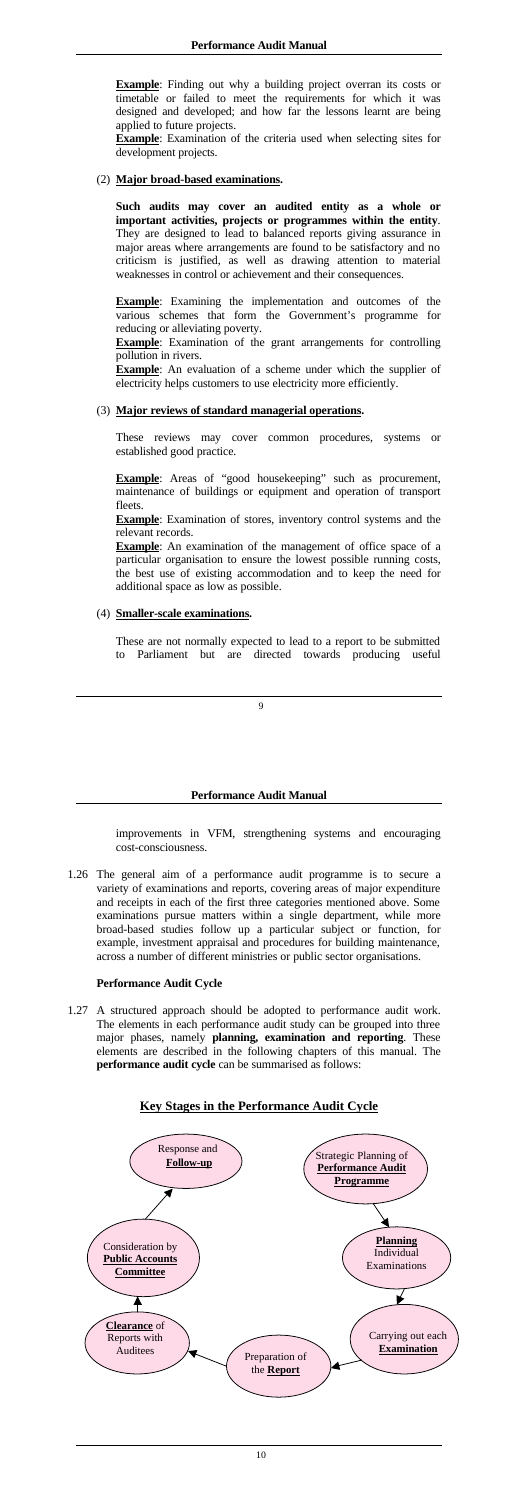<span id="page-7-0"></span>**Example**: Finding out why a building project overran its costs or timetable or failed to meet the requirements for which it was designed and developed; and how far the lessons learnt are being applied to future projects.

**Example**: Examination of the criteria used when selecting sites for development projects.

### (2) **Major broad-based examinations.**

**Example**: Examination of the grant arrangements for controlling pollution in rivers.

**Example**: An evaluation of a scheme under which the supplier of electricity helps customers to use electricity more efficiently.

**Such audits may cover an audited entity as a whole or important activities, projects or programmes within the entity**. They are designed to lead to balanced reports giving assurance in major areas where arrangements are found to be satisfactory and no criticism is justified, as well as drawing attention to material weaknesses in control or achievement and their consequences.

**Example**: Areas of "good housekeeping" such as procurement, maintenance of buildings or equipment and operation of transport fleets.

**Example**: Examination of stores, inventory control systems and the relevant records.

**Example**: Examining the implementation and outcomes of the various schemes that form the Government's programme for reducing or alleviating poverty.

**Example**: An examination of the management of office space of a particular organisation to ensure the lowest possible running costs, the best use of existing accommodation and to keep the need for additional space as low as possible.

#### (3) **Major reviews of standard managerial operations.**

These reviews may cover common procedures, systems or established good practice.

#### (4) **Smaller-scale examinations.**

These are not normally expected to lead to a report to be submitted to Parliament but are directed towards producing useful

#### **Performance Audit Manual**

improvements in VFM, strengthening systems and encouraging cost-consciousness.

1.26 The general aim of a performance audit programme is to secure a variety of examinations and reports, covering areas of major expenditure and receipts in each of the first three categories mentioned above. Some examinations pursue matters within a single department, while more broad-based studies follow up a particular subject or function, for example, investment appraisal and procedures for building maintenance, across a number of different ministries or public sector organisations.

## **Performance Audit Cycle**

1.27 A structured approach should be adopted to performance audit work. The elements in each performance audit study can be grouped into three major phases, namely **planning, examination and reporting**. These elements are described in the following chapters of this manual. The **performance audit cycle** can be summarised as follows:

## **Key Stages in the Performance Audit Cycle**

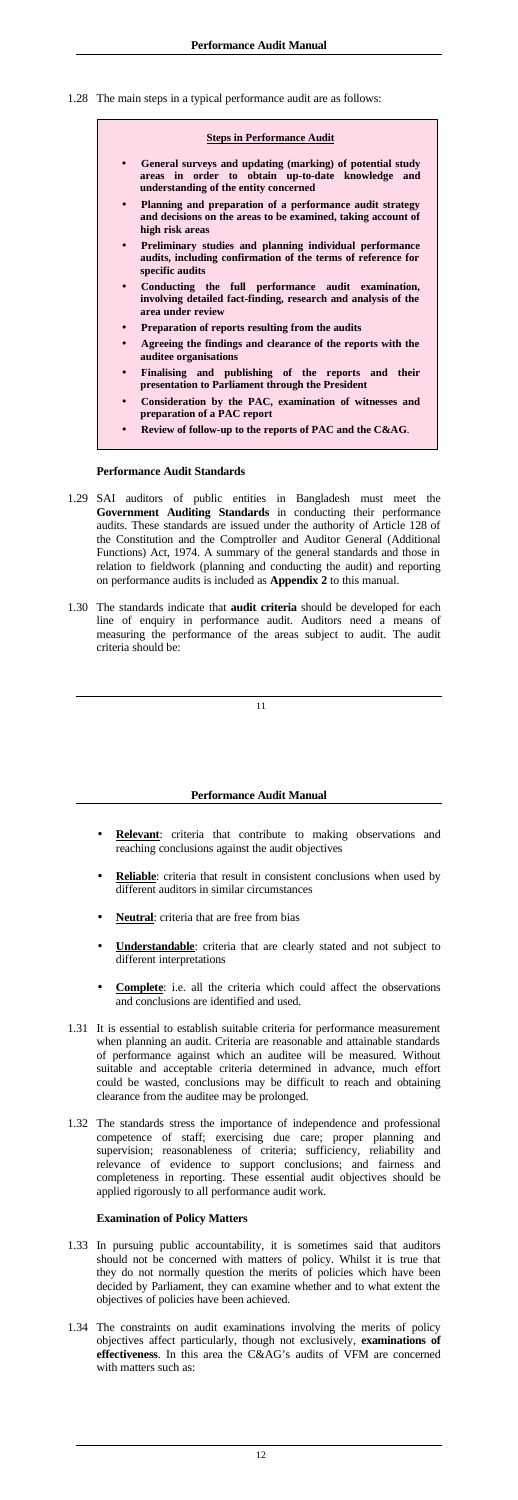<span id="page-8-0"></span>1.28 The main steps in a typical performance audit are as follows:

| <b>Steps in Performance Audit</b>                                                                                                                       |  |  |
|---------------------------------------------------------------------------------------------------------------------------------------------------------|--|--|
| General surveys and updating (marking) of potential study<br>areas in order to obtain up-to-date knowledge and<br>understanding of the entity concerned |  |  |
| Planning and preparation of a performance audit strategy<br>and decisions on the areas to be examined, taking account of<br>high risk areas             |  |  |
| Preliminary studies and planning individual performance<br>$\bullet$<br>audits, including confirmation of the terms of reference for<br>specific audits |  |  |
| Conducting the full performance audit examination,<br>involving detailed fact-finding, research and analysis of the<br>area under review                |  |  |
| Preparation of reports resulting from the audits<br>$\bullet$                                                                                           |  |  |
| Agreeing the findings and clearance of the reports with the<br>auditee organisations                                                                    |  |  |
| Finalising and publishing of the reports and their<br>presentation to Parliament through the President                                                  |  |  |
| Consideration by the PAC, examination of witnesses and<br>preparation of a PAC report                                                                   |  |  |
| Review of follow-up to the reports of PAC and the C&AG.                                                                                                 |  |  |

#### **Performance Audit Standards**

- 1.29 SAI auditors of public entities in Bangladesh must meet the **Government Auditing Standards** in conducting their performance audits. These standards are issued under the authority of Article 128 of the Constitution and the Comptroller and Auditor General (Additional Functions) Act, 1974. A summary of the general standards and those in relation to fieldwork (planning and conducting the audit) and reporting on performance audits is included as **Appendix 2** to this manual.
- 1.30 The standards indicate that **audit criteria** should be developed for each line of enquiry in performance audit. Auditors need a means of measuring the performance of the areas subject to audit. The audit criteria should be:

- **Relevant:** criteria that contribute to making observations and reaching conclusions against the audit objectives
- Reliable: criteria that result in consistent conclusions when used by different auditors in similar circumstances
- Neutral: criteria that are free from bias
- **Understandable**: criteria that are clearly stated and not subject to different interpretations
- - **Complete**: i.e. all the criteria which could affect the observations and conclusions are identified and used.
- 1.31 It is essential to establish suitable criteria for performance measurement when planning an audit. Criteria are reasonable and attainable standards of performance against which an auditee will be measured. Without suitable and acceptable criteria determined in advance, much effort could be wasted, conclusions may be difficult to reach and obtaining clearance from the auditee may be prolonged.
- 1.32 The standards stress the importance of independence and professional competence of staff; exercising due care; proper planning and supervision; reasonableness of criteria; sufficiency, reliability and relevance of evidence to support conclusions; and fairness and completeness in reporting. These essential audit objectives should be applied rigorously to all performance audit work.

### **Performance Audit Manual**

## **Examination of Policy Matters**

- 1.33 In pursuing public accountability, it is sometimes said that auditors should not be concerned with matters of policy. Whilst it is true that they do not normally question the merits of policies which have been decided by Parliament, they can examine whether and to what extent the objectives of policies have been achieved.
- 1.34 The constraints on audit examinations involving the merits of policy objectives affect particularly, though not exclusively, **examinations of effectiveness**. In this area the C&AG's audits of VFM are concerned with matters such as: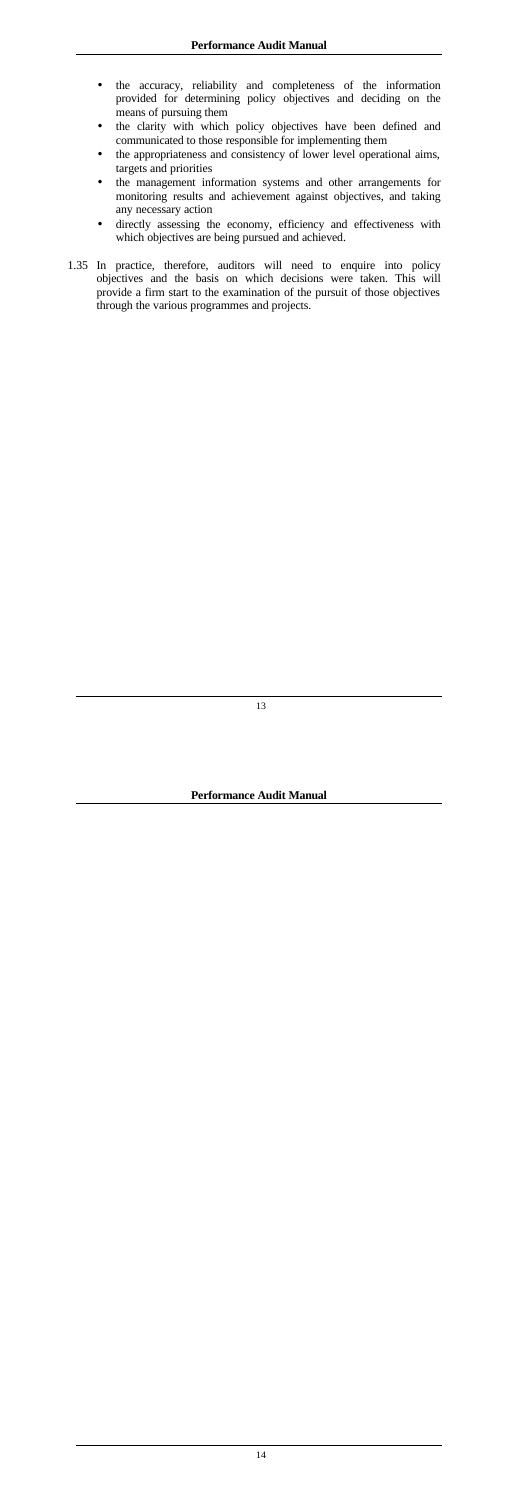- the accuracy, reliability and completeness of the information provided for determining policy objectives and deciding on the means of pursuing them
- the clarity with which policy objectives have been defined and communicated to those responsible for implementing them
- the appropriateness and consistency of lower level operational aims, targets and priorities
- the management information systems and other arrangements for monitoring results and achievement against objectives, and taking any necessary action
- directly assessing the economy, efficiency and effectiveness with which objectives are being pursued and achieved.
- 1.35 In practice, therefore, auditors will need to enquire into policy objectives and the basis on which decisions were taken. This will provide a firm start to the examination of the pursuit of those objectives through the various programmes and projects.

**Performance Audit Manual**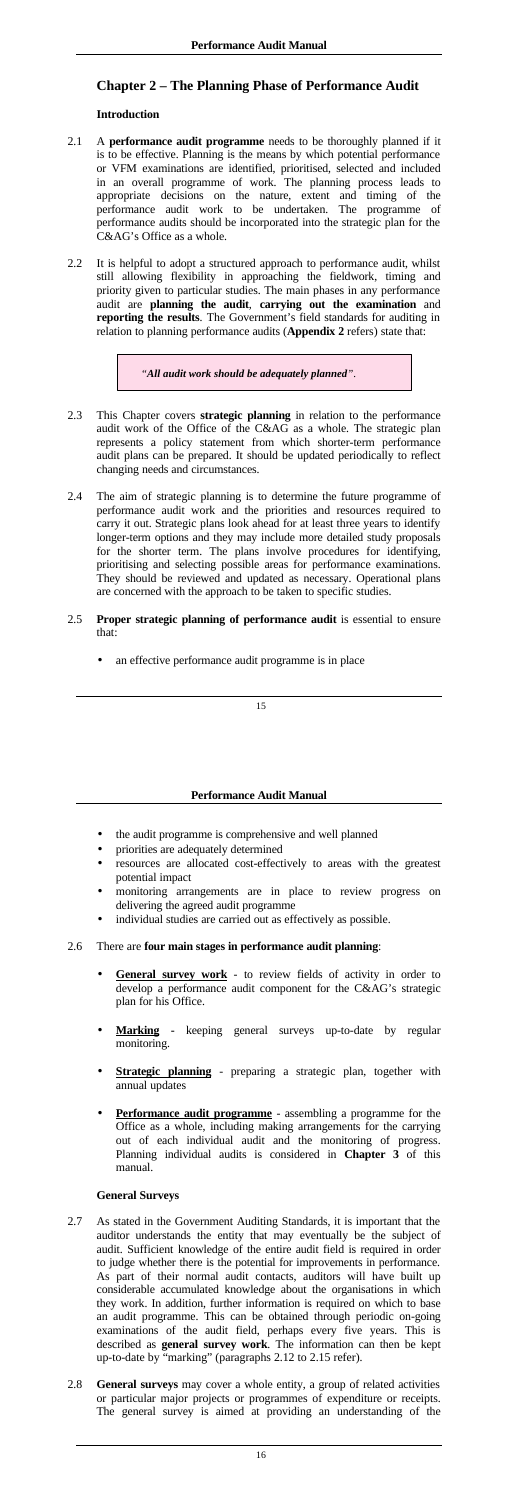# <span id="page-10-0"></span>**Chapter 2 – The Planning Phase of Performance Audit**

## **Introduction**

- 2.3 This Chapter covers **strategic planning** in relation to the performance audit work of the Office of the C&AG as a whole. The strategic plan represents a policy statement from which shorter-term performance audit plans can be prepared. It should be updated periodically to reflect changing needs and circumstances.
- 2.4 The aim of strategic planning is to determine the future programme of performance audit work and the priorities and resources required to carry it out. Strategic plans look ahead for at least three years to identify longer-term options and they may include more detailed study proposals for the shorter term. The plans involve procedures for identifying, prioritising and selecting possible areas for performance examinations. They should be reviewed and updated as necessary. Operational plans are concerned with the approach to be taken to specific studies.
- 2.5 **Proper strategic planning of performance audit** is essential to ensure that:
	- an effective performance audit programme is in place
- 2.1 A **performance audit programme** needs to be thoroughly planned if it is to be effective. Planning is the means by which potential performance or VFM examinations are identified, prioritised, selected and included in an overall programme of work. The planning process leads to appropriate decisions on the nature, extent and timing of the performance audit work to be undertaken. The programme of performance audits should be incorporated into the strategic plan for the C&AG's Office as a whole.
- 2.2 It is helpful to adopt a structured approach to performance audit, whilst still allowing flexibility in approaching the fieldwork, timing and priority given to particular studies. The main phases in any performance audit are **planning the audit**, **carrying out the examination** and **reporting the results**. The Government's field standards for auditing in relation to planning performance audits (**Appendix 2** refers) state that:

*"All audit work should be adequately planned"*.

### **Performance Audit Manual**

- the audit programme is comprehensive and well planned
- priorities are adequately determined
- resources are allocated cost-effectively to areas with the greatest potential impact
- monitoring arrangements are in place to review progress on delivering the agreed audit programme
- individual studies are carried out as effectively as possible.

## 2.6 There are **four main stages in performance audit planning**:

- **General survey work** to review fields of activity in order to develop a performance audit component for the C&AG's strategic plan for his Office.
- **Marking -** keeping general surveys up-to-date by regular monitoring.
- **Strategic planning** preparing a strategic plan, together with annual updates
- **Performance audit programme** assembling a programme for the Office as a whole, including making arrangements for the carrying out of each individual audit and the monitoring of progress. Planning individual audits is considered in **Chapter 3** of this manual.

### **General Surveys**

- 2.7 As stated in the Government Auditing Standards, it is important that the auditor understands the entity that may eventually be the subject of audit. Sufficient knowledge of the entire audit field is required in order to judge whether there is the potential for improvements in performance. As part of their normal audit contacts, auditors will have built up considerable accumulated knowledge about the organisations in which they work. In addition, further information is required on which to base an audit programme. This can be obtained through periodic on-going examinations of the audit field, perhaps every five years. This is described as **general survey work**. The information can then be kept up-to-date by "marking" (paragraphs 2.12 to 2.15 refer).
- 2.8 **General surveys** may cover a whole entity, a group of related activities or particular major projects or programmes of expenditure or receipts. The general survey is aimed at providing an understanding of the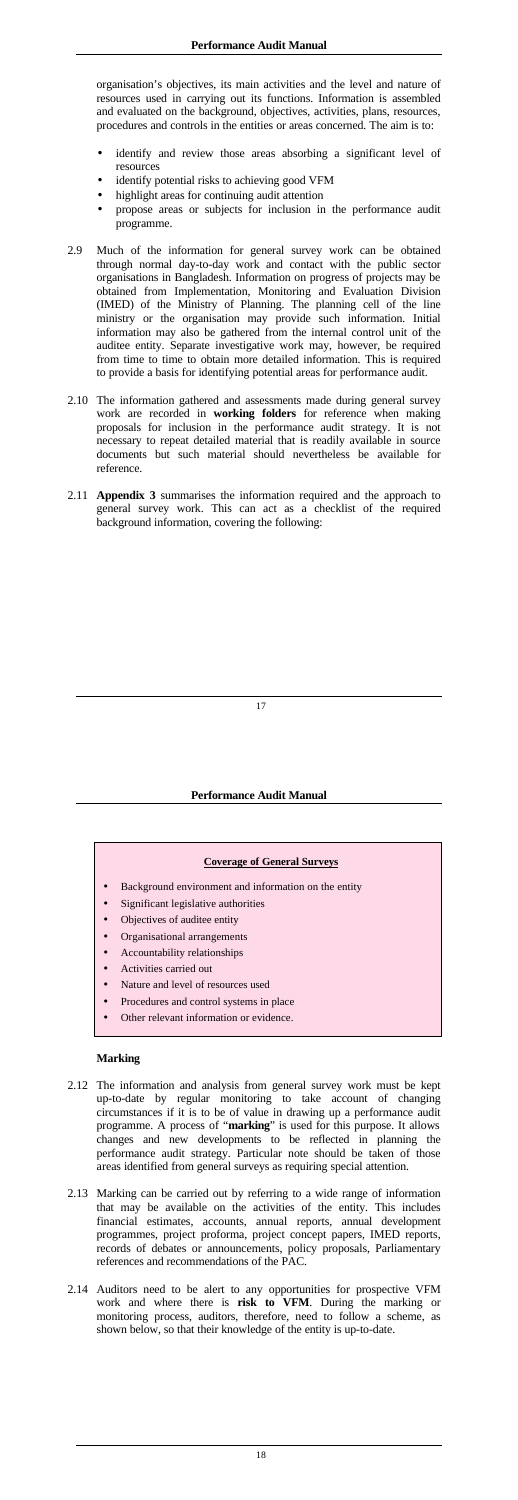<span id="page-11-0"></span>organisation's objectives, its main activities and the level and nature of resources used in carrying out its functions. Information is assembled and evaluated on the background, objectives, activities, plans, resources, procedures and controls in the entities or areas concerned. The aim is to:

- identify and review those areas absorbing a significant level of resources
- identify potential risks to achieving good VFM
- highlight areas for continuing audit attention
- propose areas or subjects for inclusion in the performance audit programme.
- 2.9 Much of the information for general survey work can be obtained through normal day-to-day work and contact with the public sector organisations in Bangladesh. Information on progress of projects may be obtained from Implementation, Monitoring and Evaluation Division (IMED) of the Ministry of Planning. The planning cell of the line ministry or the organisation may provide such information. Initial information may also be gathered from the internal control unit of the auditee entity. Separate investigative work may, however, be required from time to time to obtain more detailed information. This is required to provide a basis for identifying potential areas for performance audit.
- 2.10 The information gathered and assessments made during general survey work are recorded in **working folders** for reference when making proposals for inclusion in the performance audit strategy. It is not necessary to repeat detailed material that is readily available in source documents but such material should nevertheless be available for reference.
- 2.11 **Appendix 3** summarises the information required and the approach to general survey work. This can act as a checklist of the required background information, covering the following:

- Background environment and information on the entity
- Significant legislative authorities
- Objectives of auditee entity
- Organisational arrangements
- Accountability relationships
- Activities carried out
- Nature and level of resources used
- Procedures and control systems in place
- Other relevant information or evidence.

### **Performance Audit Manual**

#### **Coverage of General Surveys**

## **Marking**

- 2.12 The information and analysis from general survey work must be kept up-to-date by regular monitoring to take account of changing circumstances if it is to be of value in drawing up a performance audit programme. A process of "**marking**" is used for this purpose. It allows changes and new developments to be reflected in planning the performance audit strategy. Particular note should be taken of those areas identified from general surveys as requiring special attention.
- 2.13 Marking can be carried out by referring to a wide range of information that may be available on the activities of the entity. This includes financial estimates, accounts, annual reports, annual development programmes, project proforma, project concept papers, IMED reports, records of debates or announcements, policy proposals, Parliamentary references and recommendations of the PAC.
- 2.14 Auditors need to be alert to any opportunities for prospective VFM work and where there is **risk to VFM**. During the marking or monitoring process, auditors, therefore, need to follow a scheme, as shown below, so that their knowledge of the entity is up-to-date.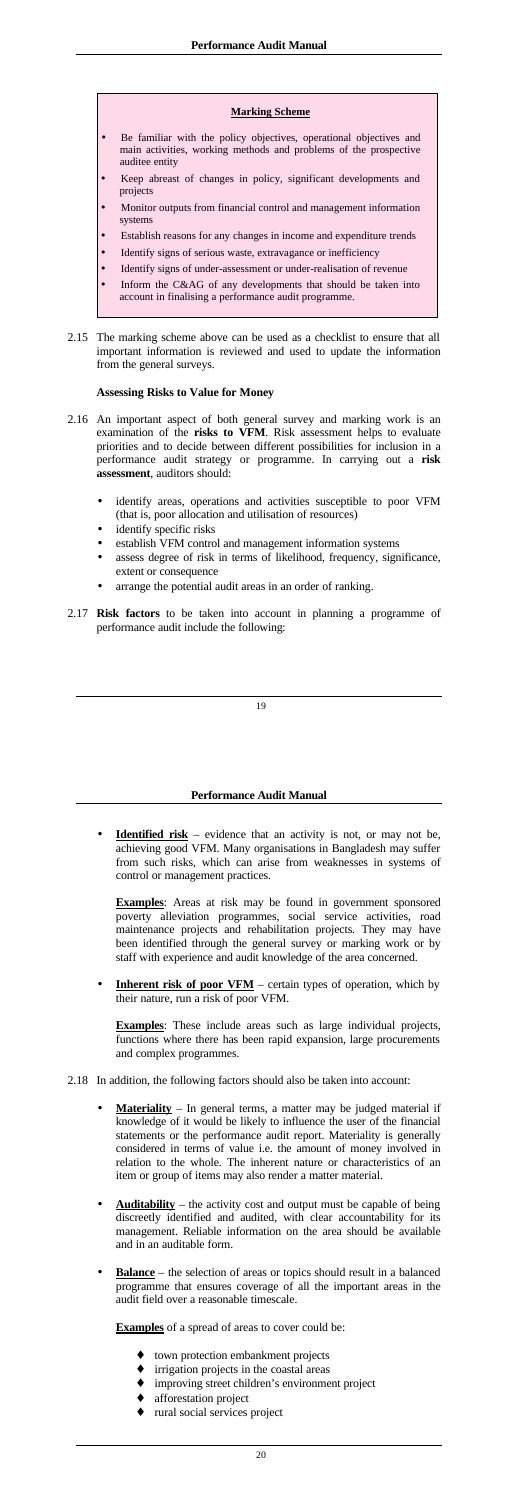#### **Marking Scheme**

- <span id="page-12-0"></span>Be familiar with the policy objectives, operational objectives and main activities, working methods and problems of the prospective auditee entity
- Keep abreast of changes in policy, significant developments and projects
- Monitor outputs from financial control and management information systems
- Establish reasons for any changes in income and expenditure trends
- Identify signs of serious waste, extravagance or inefficiency
- Identify signs of under-assessment or under-realisation of revenue
- Inform the C&AG of any developments that should be taken into account in finalising a performance audit programme.
- 2.15 The marking scheme above can be used as a checklist to ensure that all important information is reviewed and used to update the information from the general surveys.

### **Assessing Risks to Value for Money**

**Identified risk** – evidence that an activity is not, or may not be, achieving good VFM. Many organisations in Bangladesh may suffer from such risks, which can arise from weaknesses in systems of control or management practices.

**Examples**: Areas at risk may be found in government sponsored poverty alleviation programmes, social service activities, road maintenance projects and rehabilitation projects. They may have been identified through the general survey or marking work or by staff with experience and audit knowledge of the area concerned.

**Inherent risk of poor VFM** – certain types of operation, which by their nature, run a risk of poor VFM.

- 2.16 An important aspect of both general survey and marking work is an examination of the **risks to VFM**. Risk assessment helps to evaluate priorities and to decide between different possibilities for inclusion in a performance audit strategy or programme. In carrying out a **risk assessment**, auditors should:
	- identify areas, operations and activities susceptible to poor VFM (that is, poor allocation and utilisation of resources)
	- identify specific risks
	- establish VFM control and management information systems
	- assess degree of risk in terms of likelihood, frequency, significance, extent or consequence
	- arrange the potential audit areas in an order of ranking.
- 2.17 **Risk factors** to be taken into account in planning a programme of performance audit include the following:

### **Performance Audit Manual**

**Examples**: These include areas such as large individual projects, functions where there has been rapid expansion, large procurements and complex programmes.

- 2.18 In addition, the following factors should also be taken into account:
	- Materiality In general terms, a matter may be judged material if knowledge of it would be likely to influence the user of the financial statements or the performance audit report. Materiality is generally considered in terms of value i.e. the amount of money involved in relation to the whole. The inherent nature or characteristics of an item or group of items may also render a matter material.
	- **Auditability** the activity cost and output must be capable of being discreetly identified and audited, with clear accountability for its management. Reliable information on the area should be available and in an auditable form.
	- **Balance** the selection of areas or topics should result in a balanced programme that ensures coverage of all the important areas in the audit field over a reasonable timescale.

**Examples** of a spread of areas to cover could be:

- town protection embankment projects
- ♦ irrigation projects in the coastal areas
- ♦ improving street children's environment project
- afforestation project
- rural social services project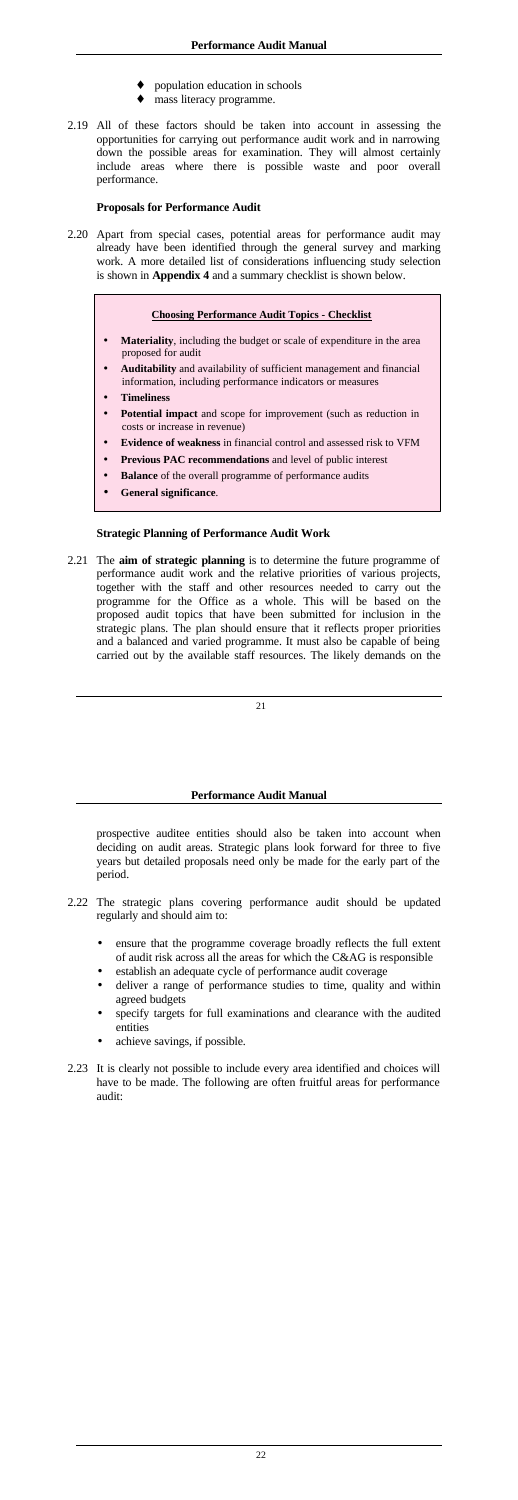- population education in schools
- mass literacy programme.
- <span id="page-13-0"></span>2.19 All of these factors should be taken into account in assessing the opportunities for carrying out performance audit work and in narrowing down the possible areas for examination. They will almost certainly include areas where there is possible waste and poor overall performance.

### **Proposals for Performance Audit**

2.20 Apart from special cases, potential areas for performance audit may already have been identified through the general survey and marking work. A more detailed list of considerations influencing study selection is shown in **Appendix 4** and a summary checklist is shown below.

#### **Choosing Performance Audit Topics - Checklist**

- **Materiality**, including the budget or scale of expenditure in the area proposed for audit
- **Auditability** and availability of sufficient management and financial information, including performance indicators or measures
- **Timeliness**
- Potential impact and scope for improvement (such as reduction in costs or increase in revenue)
- **Evidence of weakness** in financial control and assessed risk to VFM
- **Previous PAC recommendations** and level of public interest
- **Balance** of the overall programme of performance audits
- **General significance**.

### **Strategic Planning of Performance Audit Work**

2.21 The **aim of strategic planning** is to determine the future programme of performance audit work and the relative priorities of various projects, together with the staff and other resources needed to carry out the programme for the Office as a whole. This will be based on the proposed audit topics that have been submitted for inclusion in the strategic plans. The plan should ensure that it reflects proper priorities and a balanced and varied programme. It must also be capable of being carried out by the available staff resources. The likely demands on the

#### **Performance Audit Manual**

prospective auditee entities should also be taken into account when deciding on audit areas. Strategic plans look forward for three to five years but detailed proposals need only be made for the early part of the period.

- 2.22 The strategic plans covering performance audit should be updated regularly and should aim to:
	- ensure that the programme coverage broadly reflects the full extent of audit risk across all the areas for which the C&AG is responsible
	- establish an adequate cycle of performance audit coverage
	- deliver a range of performance studies to time, quality and within agreed budgets
	- specify targets for full examinations and clearance with the audited entities
	- achieve savings, if possible.
- 2.23 It is clearly not possible to include every area identified and choices will have to be made. The following are often fruitful areas for performance audit: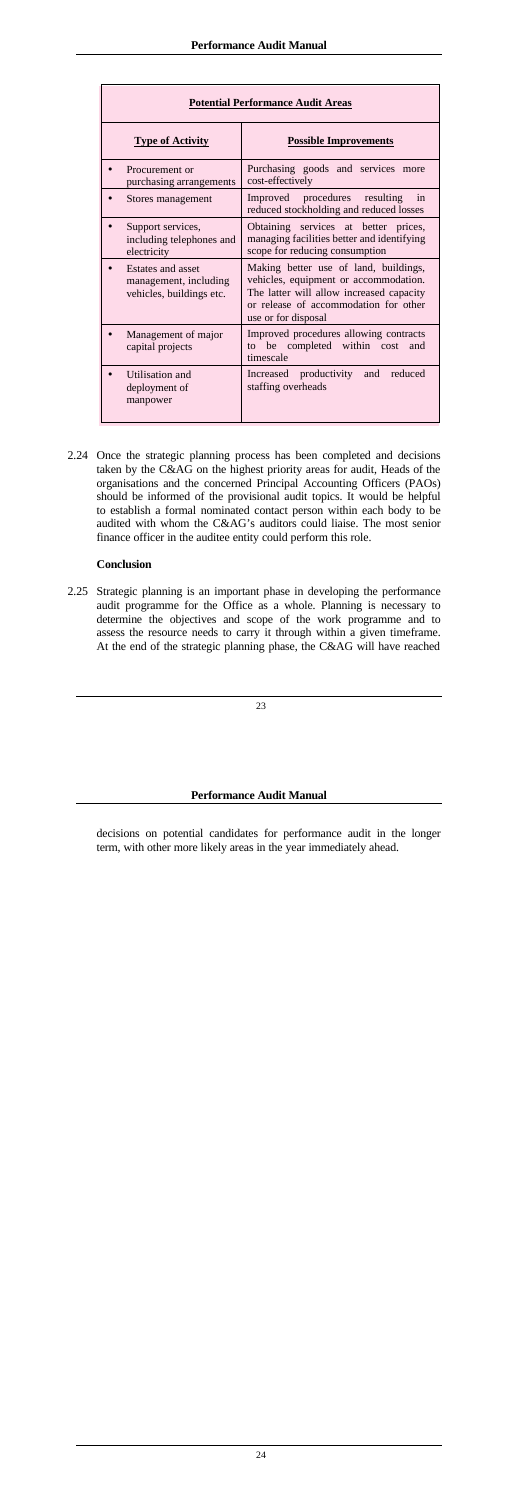<span id="page-14-0"></span>

| <b>Potential Performance Audit Areas</b>                               |                                                                                                                                                                                            |  |
|------------------------------------------------------------------------|--------------------------------------------------------------------------------------------------------------------------------------------------------------------------------------------|--|
| <b>Type of Activity</b>                                                | <b>Possible Improvements</b>                                                                                                                                                               |  |
| Procurement or<br>purchasing arrangements                              | Purchasing goods and services more<br>cost-effectively                                                                                                                                     |  |
| Stores management                                                      | Improved procedures resulting<br>in<br>reduced stockholding and reduced losses                                                                                                             |  |
| Support services,<br>including telephones and<br>electricity           | Obtaining services at better prices,<br>managing facilities better and identifying<br>scope for reducing consumption                                                                       |  |
| Estates and asset<br>management, including<br>vehicles, buildings etc. | Making better use of land, buildings,<br>vehicles, equipment or accommodation.<br>The latter will allow increased capacity<br>or release of accommodation for other<br>use or for disposal |  |
| Management of major<br>capital projects                                | Improved procedures allowing contracts<br>be completed within cost<br>$\mathsf{to}$<br>and<br>timescale                                                                                    |  |
| Utilisation and<br>deployment of<br>manpower                           | Increased productivity and<br>reduced<br>staffing overheads                                                                                                                                |  |

2.24 Once the strategic planning process has been completed and decisions taken by the C&AG on the highest priority areas for audit, Heads of the organisations and the concerned Principal Accounting Officers (PAOs) should be informed of the provisional audit topics. It would be helpful to establish a formal nominated contact person within each body to be audited with whom the C&AG's auditors could liaise. The most senior finance officer in the auditee entity could perform this role.

## **Conclusion**

2.25 Strategic planning is an important phase in developing the performance audit programme for the Office as a whole. Planning is necessary to determine the objectives and scope of the work programme and to assess the resource needs to carry it through within a given timeframe. At the end of the strategic planning phase, the C&AG will have reached

#### **Performance Audit Manual**

decisions on potential candidates for performance audit in the longer term, with other more likely areas in the year immediately ahead.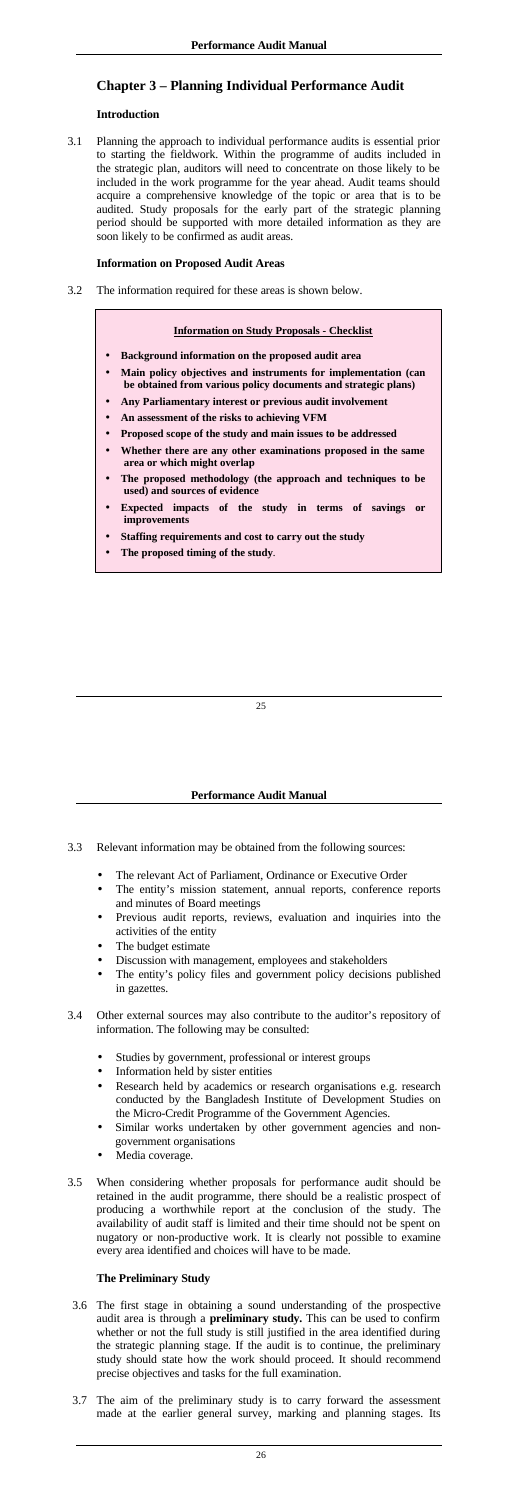# <span id="page-15-0"></span>**Chapter 3 – Planning Individual Performance Audit**

## **Introduction**

3.1 Planning the approach to individual performance audits is essential prior to starting the fieldwork. Within the programme of audits included in the strategic plan, auditors will need to concentrate on those likely to be included in the work programme for the year ahead. Audit teams should acquire a comprehensive knowledge of the topic or area that is to be audited. Study proposals for the early part of the strategic planning period should be supported with more detailed information as they are soon likely to be confirmed as audit areas.

## **Information on Proposed Audit Areas**

3.2 The information required for these areas is shown below.

## **Information on Study Proposals - Checklist**

- **Background information on the proposed audit area**
- **Main policy objectives and instruments for implementation (can be obtained from various policy documents and strategic plans)**
- **Any Parliamentary interest or previous audit involvement**
- **An assessment of the risks to achieving VFM**
- **Proposed scope of the study and main issues to be addressed**
- **Whether there are any other examinations proposed in the same area or which might overlap**
- **The proposed methodology (the approach and techniques to be used) and sources of evidence**
- **Expected impacts of the study in terms of savings or improvements**
- **Staffing requirements and cost to carry out the study**
- **The proposed timing of the study**.

### **Performance Audit Manual**

- 3.3 Relevant information may be obtained from the following sources:
	- The relevant Act of Parliament, Ordinance or Executive Order
	- The entity's mission statement, annual reports, conference reports and minutes of Board meetings
	- Previous audit reports, reviews, evaluation and inquiries into the activities of the entity
	- The budget estimate
	- Discussion with management, employees and stakeholders
	-
	- The entity's policy files and government policy decisions published in gazettes.
- 3.4 Other external sources may also contribute to the auditor's repository of information. The following may be consulted:
	- Studies by government, professional or interest groups
	- Information held by sister entities
	- Research held by academics or research organisations e.g. research conducted by the Bangladesh Institute of Development Studies on the Micro-Credit Programme of the Government Agencies.
	- Similar works undertaken by other government agencies and nongovernment organisations
	- Media coverage.
- 3.5 When considering whether proposals for performance audit should be retained in the audit programme, there should be a realistic prospect of producing a worthwhile report at the conclusion of the study. The availability of audit staff is limited and their time should not be spent on nugatory or non-productive work. It is clearly not possible to examine every area identified and choices will have to be made.

# **The Preliminary Study**

- 3.6 The first stage in obtaining a sound understanding of the prospective audit area is through a **preliminary study.** This can be used to confirm whether or not the full study is still justified in the area identified during the strategic planning stage. If the audit is to continue, the preliminary study should state how the work should proceed. It should recommend precise objectives and tasks for the full examination.
- 3.7 The aim of the preliminary study is to carry forward the assessment made at the earlier general survey, marking and planning stages. Its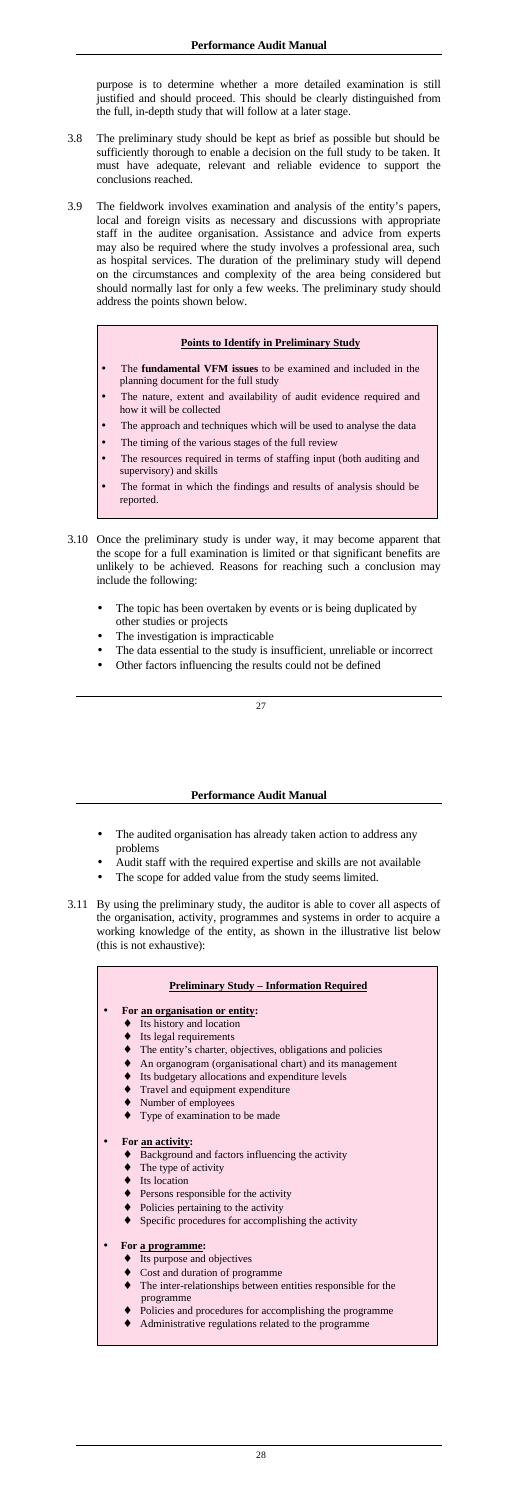purpose is to determine whether a more detailed examination is still justified and should proceed. This should be clearly distinguished from the full, in-depth study that will follow at a later stage.

- The **fundamental VFM issues** to be examined and included in the planning document for the full study
- The nature, extent and availability of audit evidence required and how it will be collected
- The approach and techniques which will be used to analyse the data
- The timing of the various stages of the full review
- The resources required in terms of staffing input (both auditing and supervisory) and skills
- The format in which the findings and results of analysis should be reported.
- 3.10 Once the preliminary study is under way, it may become apparent that the scope for a full examination is limited or that significant benefits are unlikely to be achieved. Reasons for reaching such a conclusion may include the following:
	- The topic has been overtaken by events or is being duplicated by other studies or projects
	- The investigation is impracticable
	- The data essential to the study is insufficient, unreliable or incorrect
	- Other factors influencing the results could not be defined
- 3.8 The preliminary study should be kept as brief as possible but should be sufficiently thorough to enable a decision on the full study to be taken. It must have adequate, relevant and reliable evidence to support the conclusions reached.
- 3.9 The fieldwork involves examination and analysis of the entity's papers, local and foreign visits as necessary and discussions with appropriate staff in the auditee organisation. Assistance and advice from experts may also be required where the study involves a professional area, such as hospital services. The duration of the preliminary study will depend on the circumstances and complexity of the area being considered but should normally last for only a few weeks. The preliminary study should address the points shown below.

## **Points to Identify in Preliminary Study**

- The audited organisation has already taken action to address any problems
- Audit staff with the required expertise and skills are not available
- The scope for added value from the study seems limited.
- 3.11 By using the preliminary study, the auditor is able to cover all aspects of the organisation, activity, programmes and systems in order to acquire a working knowledge of the entity, as shown in the illustrative list below (this is not exhaustive):

- ♦ Its history and location
- Its legal requirements
- The entity's charter, objectives, obligations and policies
- An organogram (organisational chart) and its management
- ♦ Its budgetary allocations and expenditure levels
- Travel and equipment expenditure
- Number of employees
- Type of examination to be made

- ♦ Background and factors influencing the activity
- The type of activity
- ♦ Its location
- Persons responsible for the activity
- Policies pertaining to the activity
- Specific procedures for accomplishing the activity

- ♦ Its purpose and objectives
- Cost and duration of programme
- The inter-relationships between entities responsible for the programme
- Bolicies and procedures for accomplishing the programme
- Administrative regulations related to the programme

### **Performance Audit Manual**

### **Preliminary Study – Information Required**

#### • **For an organisation or entity:**

#### • **For an activity:**

#### • **For a programme:**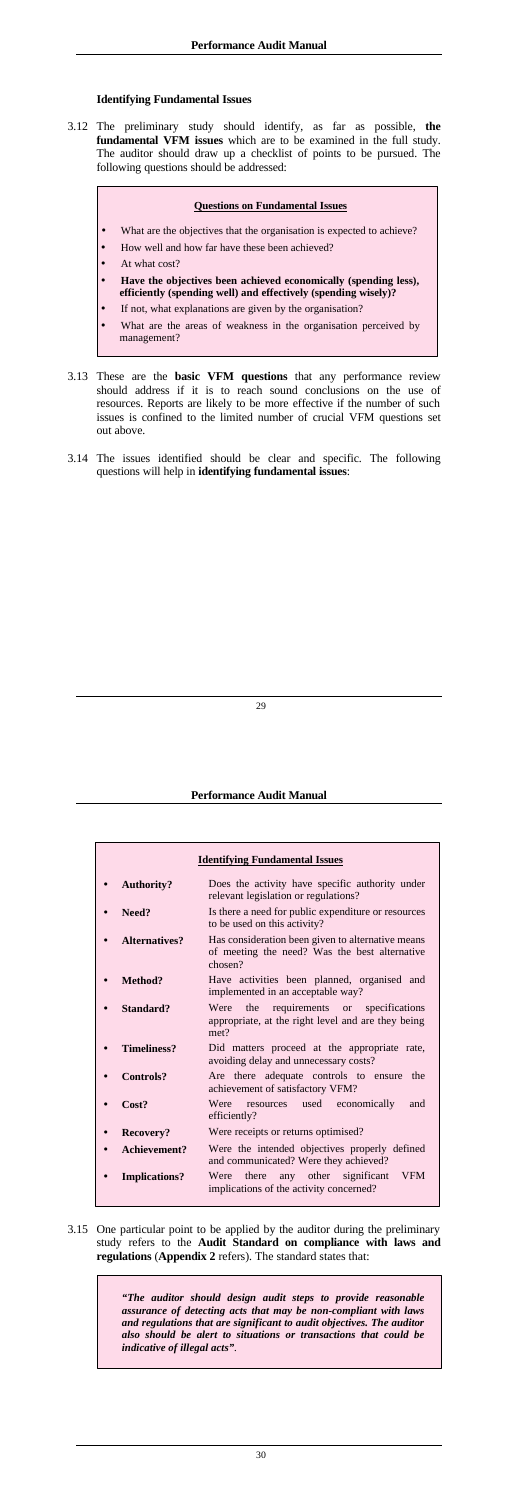## <span id="page-17-0"></span>**Identifying Fundamental Issues**

3.12 The preliminary study should identify, as far as possible, **the fundamental VFM issues** which are to be examined in the full study. The auditor should draw up a checklist of points to be pursued. The following questions should be addressed:

## **Questions on Fundamental Issues**

- What are the objectives that the organisation is expected to achieve?
- How well and how far have these been achieved?
- At what cost?
- **Have the objectives been achieved economically (spending less), efficiently (spending well) and effectively (spending wisely)?**
- If not, what explanations are given by the organisation?
- What are the areas of weakness in the organisation perceived by management?
- 3.13 These are the **basic VFM questions** that any performance review should address if it is to reach sound conclusions on the use of resources. Reports are likely to be more effective if the number of such issues is confined to the limited number of crucial VFM questions set out above.
- 3.14 The issues identified should be clear and specific. The following questions will help in **identifying fundamental issues**:

### **Performance Audit Manual**

| <b>Identifying Fundamental Issues</b> |                                                                                                               |  |
|---------------------------------------|---------------------------------------------------------------------------------------------------------------|--|
| <b>Authority?</b>                     | Does the activity have specific authority under<br>relevant legislation or regulations?                       |  |
| Need?                                 | Is there a need for public expenditure or resources<br>to be used on this activity?                           |  |
| Alternatives?                         | Has consideration been given to alternative means<br>of meeting the need? Was the best alternative<br>chosen? |  |
| Method?                               | Have activities been planned, organised and<br>implemented in an acceptable way?                              |  |
| Standard?                             | requirements or<br>Were the<br>specifications<br>appropriate, at the right level and are they being<br>met?   |  |
| <b>Timeliness?</b>                    | Did matters proceed at the appropriate rate,<br>avoiding delay and unnecessary costs?                         |  |
| Controls?                             | Are there adequate controls to ensure<br>the<br>achievement of satisfactory VFM?                              |  |
| Cost?                                 | Were resources used economically<br>and<br>efficiently?                                                       |  |
| Recovery?                             | Were receipts or returns optimised?                                                                           |  |
| Achievement?                          | Were the intended objectives properly defined<br>and communicated? Were they achieved?                        |  |
| <b>Implications?</b>                  | <b>VFM</b><br>Were there any other significant<br>implications of the activity concerned?                     |  |

3.15 One particular point to be applied by the auditor during the preliminary study refers to the **Audit Standard on compliance with laws and regulations** (**Appendix 2** refers). The standard states that:

> *"The auditor should design audit steps to provide reasonable assurance of detecting acts that may be non-compliant with laws and regulations that are significant to audit objectives. The auditor also should be alert to situations or transactions that could be indicative of illegal acts"*.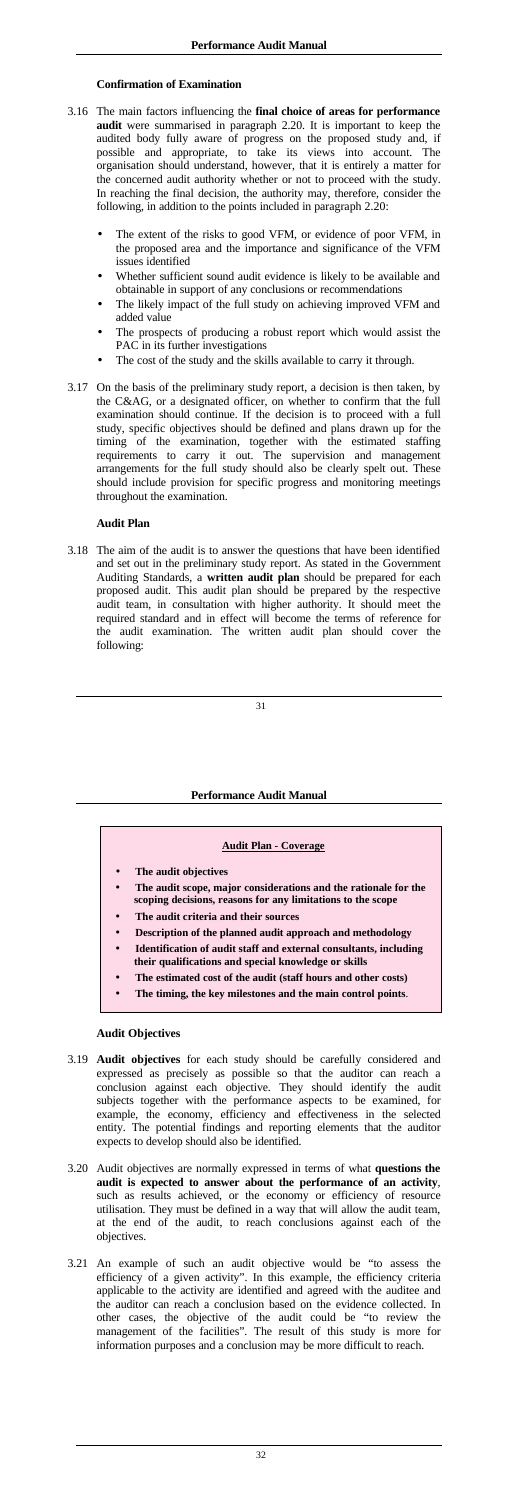## <span id="page-18-0"></span>**Confirmation of Examination**

- 3.16 The main factors influencing the **final choice of areas for performance audit** were summarised in paragraph 2.20. It is important to keep the audited body fully aware of progress on the proposed study and, if possible and appropriate, to take its views into account. The organisation should understand, however, that it is entirely a matter for the concerned audit authority whether or not to proceed with the study. In reaching the final decision, the authority may, therefore, consider the following, in addition to the points included in paragraph 2.20:
	- The extent of the risks to good VFM, or evidence of poor VFM, in the proposed area and the importance and significance of the VFM issues identified
	- Whether sufficient sound audit evidence is likely to be available and obtainable in support of any conclusions or recommendations
	- The likely impact of the full study on achieving improved VFM and added value
	- The prospects of producing a robust report which would assist the PAC in its further investigations
	- The cost of the study and the skills available to carry it through.
- 3.17 On the basis of the preliminary study report, a decision is then taken, by the C&AG, or a designated officer, on whether to confirm that the full examination should continue. If the decision is to proceed with a full study, specific objectives should be defined and plans drawn up for the timing of the examination, together with the estimated staffing requirements to carry it out. The supervision and management arrangements for the full study should also be clearly spelt out. These should include provision for specific progress and monitoring meetings throughout the examination.

### **Audit Plan**

3.18 The aim of the audit is to answer the questions that have been identified and set out in the preliminary study report. As stated in the Government Auditing Standards, a **written audit plan** should be prepared for each proposed audit. This audit plan should be prepared by the respective audit team, in consultation with higher authority. It should meet the required standard and in effect will become the terms of reference for the audit examination. The written audit plan should cover the following:

### **Performance Audit Manual**

|           | <b>Audit Plan - Coverage</b>                                                                                                   |
|-----------|--------------------------------------------------------------------------------------------------------------------------------|
| $\bullet$ | The audit objectives                                                                                                           |
| $\bullet$ | The audit scope, major considerations and the rationale for the<br>scoping decisions, reasons for any limitations to the scope |
|           | The audit criteria and their sources                                                                                           |
| $\bullet$ | Description of the planned audit approach and methodology                                                                      |
|           | Identification of audit staff and external consultants, including                                                              |

- **their qualifications and special knowledge or skills**
- **The estimated cost of the audit (staff hours and other costs)**
- **The timing, the key milestones and the main control points**.

# **Audit Objectives**

- 3.19 **Audit objectives** for each study should be carefully considered and expressed as precisely as possible so that the auditor can reach a conclusion against each objective. They should identify the audit subjects together with the performance aspects to be examined, for example, the economy, efficiency and effectiveness in the selected entity. The potential findings and reporting elements that the auditor expects to develop should also be identified.
- 3.20 Audit objectives are normally expressed in terms of what **questions the audit is expected to answer about the performance of an activity**, such as results achieved, or the economy or efficiency of resource utilisation. They must be defined in a way that will allow the audit team, at the end of the audit, to reach conclusions against each of the objectives.
- 3.21 An example of such an audit objective would be "to assess the efficiency of a given activity". In this example, the efficiency criteria applicable to the activity are identified and agreed with the auditee and the auditor can reach a conclusion based on the evidence collected. In other cases, the objective of the audit could be "to review the management of the facilities". The result of this study is more for information purposes and a conclusion may be more difficult to reach.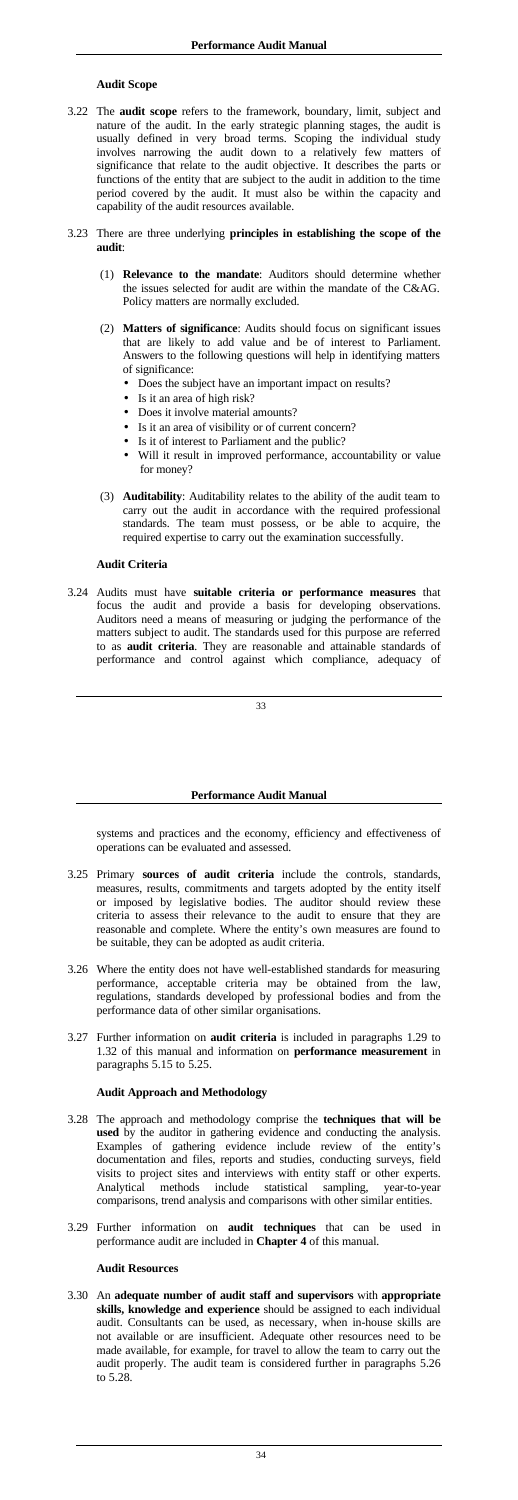## <span id="page-19-0"></span>**Audit Scope**

- 3.22 The **audit scope** refers to the framework, boundary, limit, subject and nature of the audit. In the early strategic planning stages, the audit is usually defined in very broad terms. Scoping the individual study involves narrowing the audit down to a relatively few matters of significance that relate to the audit objective. It describes the parts or functions of the entity that are subject to the audit in addition to the time period covered by the audit. It must also be within the capacity and capability of the audit resources available.
- 3.23 There are three underlying **principles in establishing the scope of the audit**:
	- (1) **Relevance to the mandate**: Auditors should determine whether the issues selected for audit are within the mandate of the C&AG. Policy matters are normally excluded.
	- (2) **Matters of significance**: Audits should focus on significant issues that are likely to add value and be of interest to Parliament. Answers to the following questions will help in identifying matters of significance:
		- Does the subject have an important impact on results?
		- Is it an area of high risk?
		- Does it involve material amounts?
		- Is it an area of visibility or of current concern?
		- Is it of interest to Parliament and the public?
		- Will it result in improved performance, accountability or value for money?
	- (3) **Auditability**: Auditability relates to the ability of the audit team to carry out the audit in accordance with the required professional standards. The team must possess, or be able to acquire, the required expertise to carry out the examination successfully.

## **Audit Criteria**

3.24 Audits must have **suitable criteria or performance measures** that focus the audit and provide a basis for developing observations. Auditors need a means of measuring or judging the performance of the matters subject to audit. The standards used for this purpose are referred to as **audit criteria**. They are reasonable and attainable standards of performance and control against which compliance, adequacy of

### **Performance Audit Manual**

systems and practices and the economy, efficiency and effectiveness of operations can be evaluated and assessed.

- 3.25 Primary **sources of audit criteria** include the controls, standards, measures, results, commitments and targets adopted by the entity itself or imposed by legislative bodies. The auditor should review these criteria to assess their relevance to the audit to ensure that they are reasonable and complete. Where the entity's own measures are found to be suitable, they can be adopted as audit criteria.
- 3.26 Where the entity does not have well-established standards for measuring performance, acceptable criteria may be obtained from the law, regulations, standards developed by professional bodies and from the performance data of other similar organisations.
- 3.27 Further information on **audit criteria** is included in paragraphs 1.29 to 1.32 of this manual and information on **performance measurement** in paragraphs 5.15 to 5.25.

## **Audit Approach and Methodology**

- 3.28 The approach and methodology comprise the **techniques that will be used** by the auditor in gathering evidence and conducting the analysis. Examples of gathering evidence include review of the entity's documentation and files, reports and studies, conducting surveys, field visits to project sites and interviews with entity staff or other experts. Analytical methods include statistical sampling, year-to-year comparisons, trend analysis and comparisons with other similar entities.
- 3.29 Further information on **audit techniques** that can be used in performance audit are included in **Chapter 4** of this manual.

#### **Audit Resources**

3.30 An **adequate number of audit staff and supervisors** with **appropriate skills, knowledge and experience** should be assigned to each individual audit. Consultants can be used, as necessary, when in-house skills are not available or are insufficient. Adequate other resources need to be made available, for example, for travel to allow the team to carry out the audit properly. The audit team is considered further in paragraphs 5.26 to 5.28.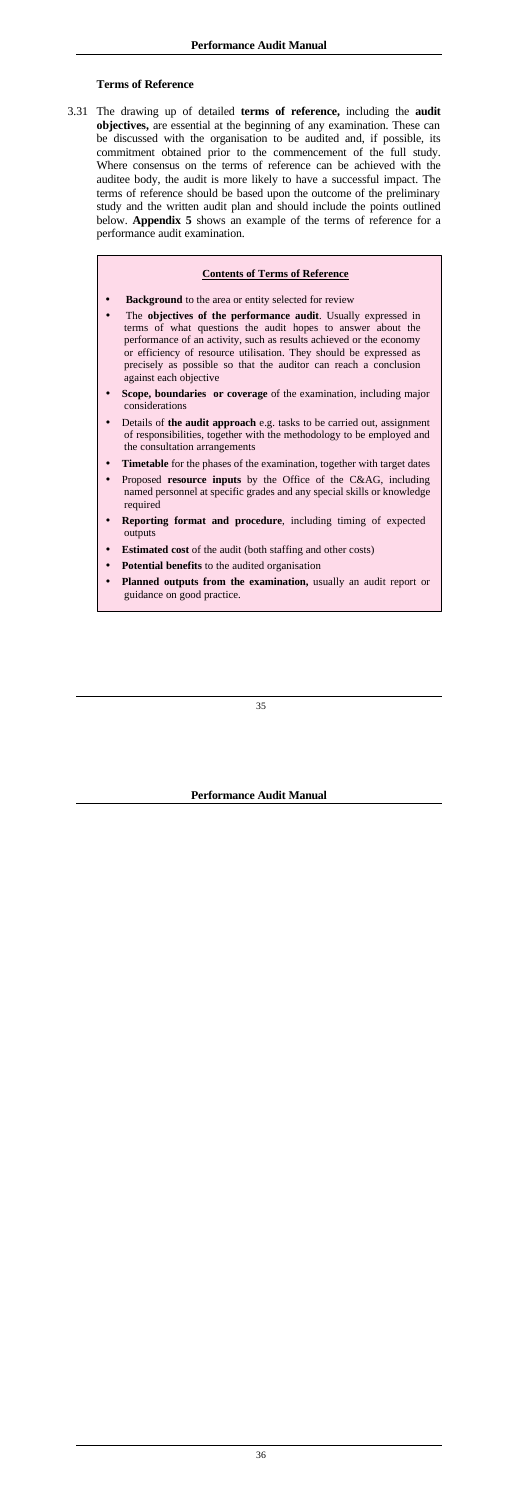## <span id="page-20-0"></span>**Terms of Reference**

3.31 The drawing up of detailed **terms of reference,** including the **audit objectives,** are essential at the beginning of any examination. These can be discussed with the organisation to be audited and, if possible, its commitment obtained prior to the commencement of the full study. Where consensus on the terms of reference can be achieved with the auditee body, the audit is more likely to have a successful impact. The terms of reference should be based upon the outcome of the preliminary study and the written audit plan and should include the points outlined below. **Appendix 5** shows an example of the terms of reference for a performance audit examination.

### **Contents of Terms of Reference**

- **Background** to the area or entity selected for review
- The **objectives of the performance audit**. Usually expressed in terms of what questions the audit hopes to answer about the performance of an activity, such as results achieved or the economy or efficiency of resource utilisation. They should be expressed as precisely as possible so that the auditor can reach a conclusion against each objective
- **Scope, boundaries or coverage** of the examination, including major considerations
- Details of **the audit approach** e.g. tasks to be carried out, assignment of responsibilities, together with the methodology to be employed and the consultation arrangements
- **Timetable** for the phases of the examination, together with target dates
- Proposed **resource inputs** by the Office of the C&AG, including named personnel at specific grades and any special skills or knowledge required
- **Reporting format and procedure**, including timing of expected outputs
- **Estimated cost** of the audit (both staffing and other costs)
- Potential benefits to the audited organisation
- **Planned outputs from the examination,** usually an audit report or guidance on good practice.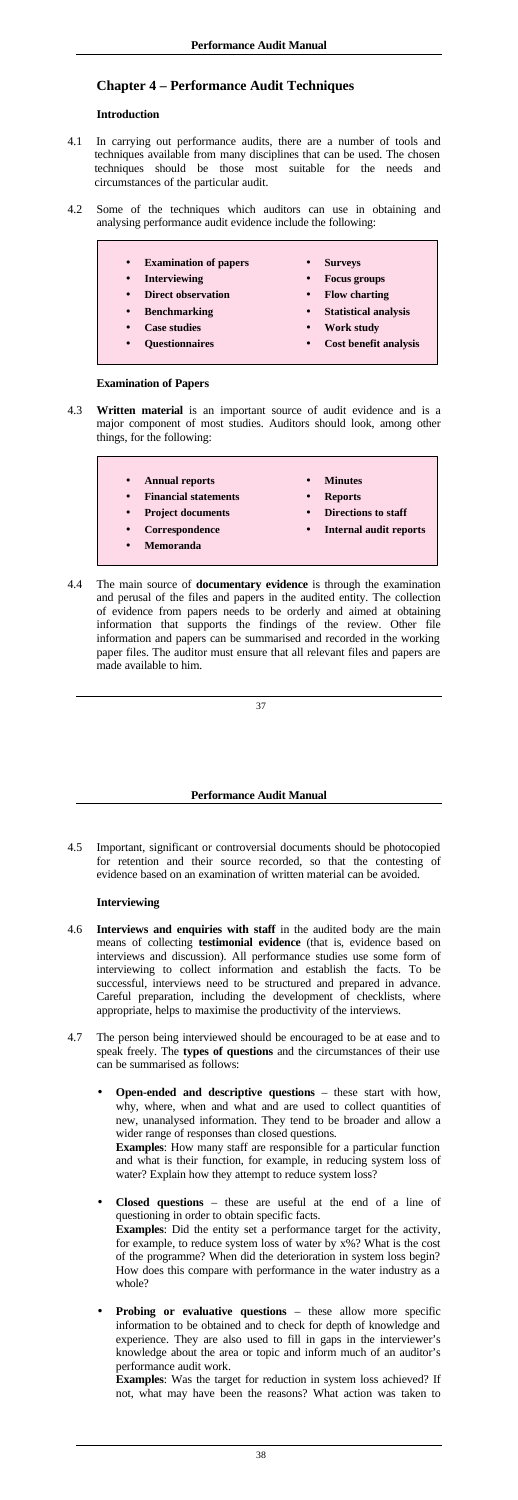# **Chapter 4 – Performance Audit Techniques**

#### **Introduction**

- 4.1 In carrying out performance audits, there are a number of tools and techniques available from many disciplines that can be used. The chosen techniques should be those most suitable for the needs and circumstances of the particular audit.
- 4.2 Some of the techniques which auditors can use in obtaining and analysing performance audit evidence include the following:
	- **Examination of papers**
	- **Interviewing**
	- **Direct observation**
	- **Benchmarking**
	- **Case studies**
	- **Questionnaires**
- **Surveys**
- **Focus groups**
- **Flow charting**
- **Statistical analysis**
- **Work study**
- **Cost benefit analysis**

#### **Examination of Papers**

- 4.3 **Written material** is an important source of audit evidence and is a major component of most studies. Auditors should look, among other things, for the following:
	- **Annual reports**
		- **Financial statements**
		- **Project documents**
		- **Correspondence**
	- **Memoranda**
- **Minutes**
- **Reports**
- **Directions to staff**
- **Internal audit reports**
- 4.4 The main source of **documentary evidence** is through the examination and perusal of the files and papers in the audited entity. The collection of evidence from papers needs to be orderly and aimed at obtaining information that supports the findings of the review. Other file information and papers can be summarised and recorded in the working paper files. The auditor must ensure that all relevant files and papers are made available to him.

#### **Performance Audit Manual**

4.5 Important, significant or controversial documents should be photocopied for retention and their source recorded, so that the contesting of evidence based on an examination of written material can be avoided.

## **Interviewing**

4.6 **Interviews and enquiries with staff** in the audited body are the main means of collecting **testimonial evidence** (that is, evidence based on interviews and discussion). All performance studies use some form of

interviewing to collect information and establish the facts. To be successful, interviews need to be structured and prepared in advance. Careful preparation, including the development of checklists, where appropriate, helps to maximise the productivity of the interviews.

- 4.7 The person being interviewed should be encouraged to be at ease and to speak freely. The **types of questions** and the circumstances of their use can be summarised as follows:
	- **Open-ended and descriptive questions** these start with how, why, where, when and what and are used to collect quantities of new, unanalysed information. They tend to be broader and allow a wider range of responses than closed questions.

**Examples**: How many staff are responsible for a particular function and what is their function, for example, in reducing system loss of water? Explain how they attempt to reduce system loss?

- **Closed questions** these are useful at the end of a line of questioning in order to obtain specific facts. **Examples**: Did the entity set a performance target for the activity, for example, to reduce system loss of water by x%? What is the cost of the programme? When did the deterioration in system loss begin? How does this compare with performance in the water industry as a whole?
- **Probing or evaluative questions** these allow more specific information to be obtained and to check for depth of knowledge and experience. They are also used to fill in gaps in the interviewer's knowledge about the area or topic and inform much of an auditor's performance audit work.

**Examples**: Was the target for reduction in system loss achieved? If not, what may have been the reasons? What action was taken to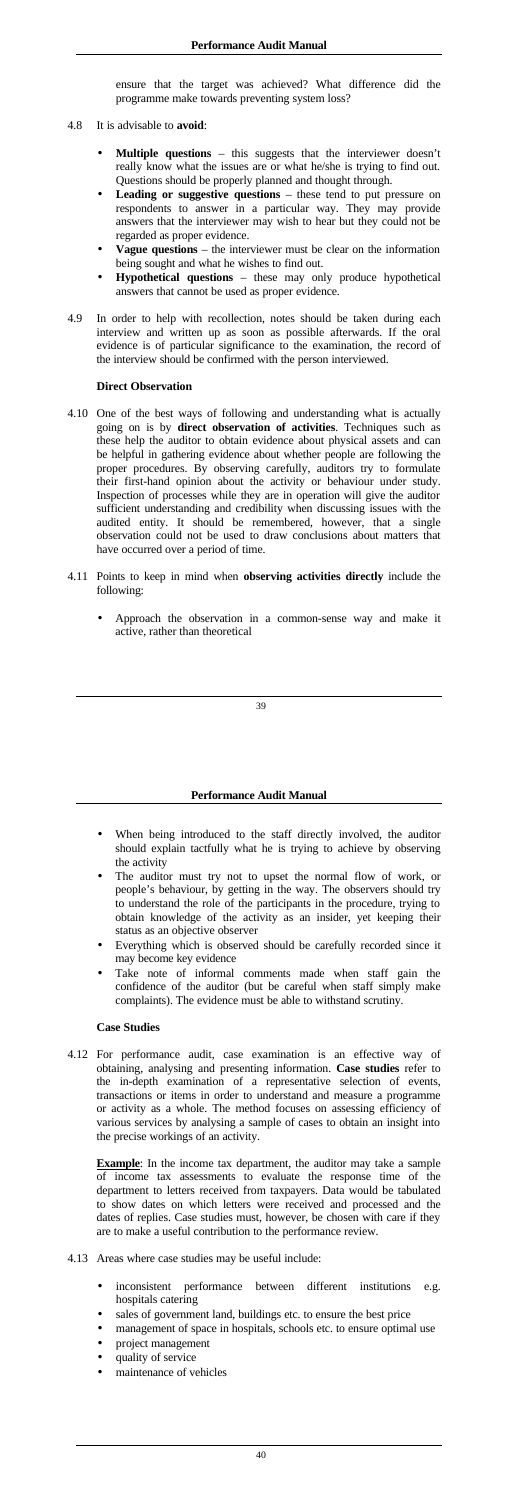ensure that the target was achieved? What difference did the programme make towards preventing system loss?

- 4.8 It is advisable to **avoid**:
	- Multiple questions this suggests that the interviewer doesn't really know what the issues are or what he/she is trying to find out. Questions should be properly planned and thought through.
	- Leading or suggestive questions these tend to put pressure on respondents to answer in a particular way. They may provide answers that the interviewer may wish to hear but they could not be regarded as proper evidence.
	- **Vague questions** the interviewer must be clear on the information being sought and what he wishes to find out.
	- **Hypothetical questions** these may only produce hypothetical answers that cannot be used as proper evidence.
- 4.9 In order to help with recollection, notes should be taken during each interview and written up as soon as possible afterwards. If the oral evidence is of particular significance to the examination, the record of the interview should be confirmed with the person interviewed.

## **Direct Observation**

- When being introduced to the staff directly involved, the auditor should explain tactfully what he is trying to achieve by observing the activity
- The auditor must try not to upset the normal flow of work, or people's behaviour, by getting in the way. The observers should try to understand the role of the participants in the procedure, trying to obtain knowledge of the activity as an insider, yet keeping their status as an objective observer
- Everything which is observed should be carefully recorded since it may become key evidence
- Take note of informal comments made when staff gain the confidence of the auditor (but be careful when staff simply make complaints). The evidence must be able to withstand scrutiny.
- 4.10 One of the best ways of following and understanding what is actually going on is by **direct observation of activities**. Techniques such as these help the auditor to obtain evidence about physical assets and can be helpful in gathering evidence about whether people are following the proper procedures. By observing carefully, auditors try to formulate their first-hand opinion about the activity or behaviour under study. Inspection of processes while they are in operation will give the auditor sufficient understanding and credibility when discussing issues with the audited entity. It should be remembered, however, that a single observation could not be used to draw conclusions about matters that have occurred over a period of time.
- 4.11 Points to keep in mind when **observing activities directly** include the following:
	- Approach the observation in a common-sense way and make it active, rather than theoretical

**Example**: In the income tax department, the auditor may take a sample of income tax assessments to evaluate the response time of the department to letters received from taxpayers. Data would be tabulated to show dates on which letters were received and processed and the dates of replies. Case studies must, however, be chosen with care if they are to make a useful contribution to the performance review.

- 4.13 Areas where case studies may be useful include:
	- inconsistent performance between different institutions e.g. hospitals catering
	- sales of government land, buildings etc. to ensure the best price
	- management of space in hospitals, schools etc. to ensure optimal use
	- project management
	- quality of service
	- maintenance of vehicles

## **Performance Audit Manual**

## **Case Studies**

4.12 For performance audit, case examination is an effective way of obtaining, analysing and presenting information. **Case studies** refer to the in-depth examination of a representative selection of events, transactions or items in order to understand and measure a programme or activity as a whole. The method focuses on assessing efficiency of various services by analysing a sample of cases to obtain an insight into the precise workings of an activity.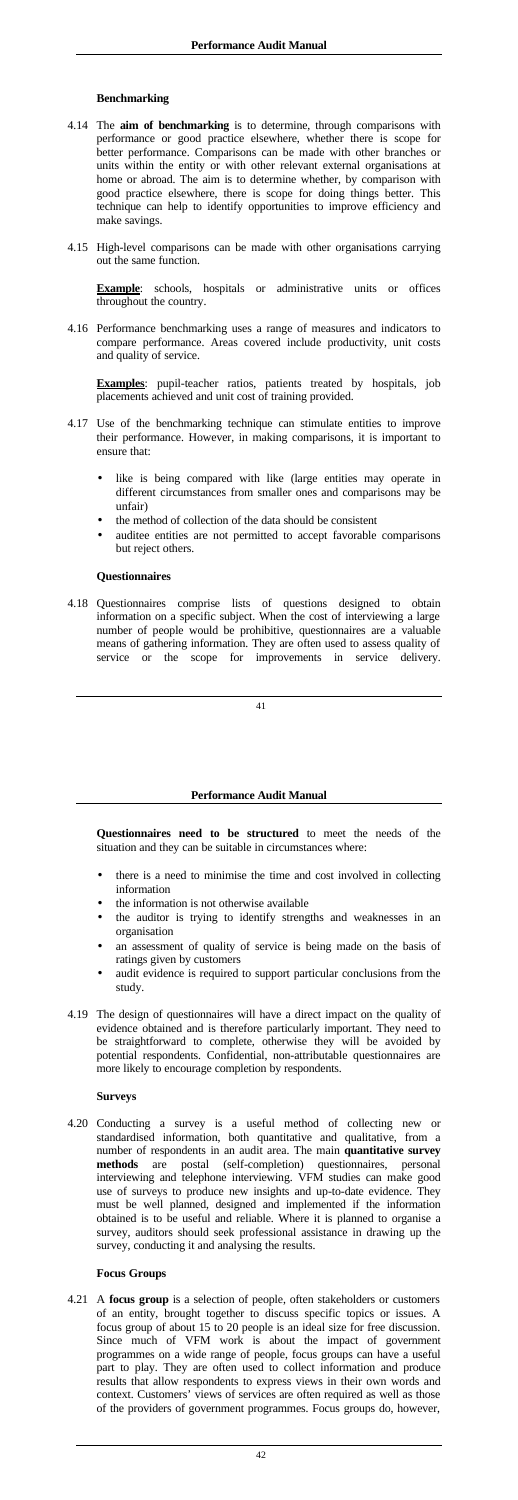### **Benchmarking**

- 4.14 The **aim of benchmarking** is to determine, through comparisons with performance or good practice elsewhere, whether there is scope for better performance. Comparisons can be made with other branches or units within the entity or with other relevant external organisations at home or abroad. The aim is to determine whether, by comparison with good practice elsewhere, there is scope for doing things better. This technique can help to identify opportunities to improve efficiency and make savings.
- 4.15 High-level comparisons can be made with other organisations carrying out the same function.

**Example**: schools, hospitals or administrative units or offices throughout the country.

4.16 Performance benchmarking uses a range of measures and indicators to compare performance. Areas covered include productivity, unit costs and quality of service.

**Examples**: pupil-teacher ratios, patients treated by hospitals, job placements achieved and unit cost of training provided.

- 4.17 Use of the benchmarking technique can stimulate entities to improve their performance. However, in making comparisons, it is important to ensure that:
	- like is being compared with like (large entities may operate in different circumstances from smaller ones and comparisons may be unfair)
	- the method of collection of the data should be consistent
	- auditee entities are not permitted to accept favorable comparisons but reject others.

#### **Questionnaires**

4.18 Questionnaires comprise lists of questions designed to obtain information on a specific subject. When the cost of interviewing a large number of people would be prohibitive, questionnaires are a valuable means of gathering information. They are often used to assess quality of service or the scope for improvements in service delivery.

#### **Performance Audit Manual**

**Questionnaires need to be structured** to meet the needs of the situation and they can be suitable in circumstances where:

- there is a need to minimise the time and cost involved in collecting information
- the information is not otherwise available
- the auditor is trying to identify strengths and weaknesses in an organisation
- an assessment of quality of service is being made on the basis of ratings given by customers
- 
- audit evidence is required to support particular conclusions from the study.
- 4.19 The design of questionnaires will have a direct impact on the quality of evidence obtained and is therefore particularly important. They need to be straightforward to complete, otherwise they will be avoided by potential respondents. Confidential, non-attributable questionnaires are more likely to encourage completion by respondents.

# **Surveys**

4.20 Conducting a survey is a useful method of collecting new or standardised information, both quantitative and qualitative, from a number of respondents in an audit area. The main **quantitative survey methods** are postal (self-completion) questionnaires, personal interviewing and telephone interviewing. VFM studies can make good use of surveys to produce new insights and up-to-date evidence. They must be well planned, designed and implemented if the information obtained is to be useful and reliable. Where it is planned to organise a survey, auditors should seek professional assistance in drawing up the survey, conducting it and analysing the results.

# **Focus Groups**

4.21 A **focus group** is a selection of people, often stakeholders or customers of an entity, brought together to discuss specific topics or issues. A focus group of about 15 to 20 people is an ideal size for free discussion. Since much of VFM work is about the impact of government programmes on a wide range of people, focus groups can have a useful part to play. They are often used to collect information and produce results that allow respondents to express views in their own words and context. Customers' views of services are often required as well as those of the providers of government programmes. Focus groups do, however,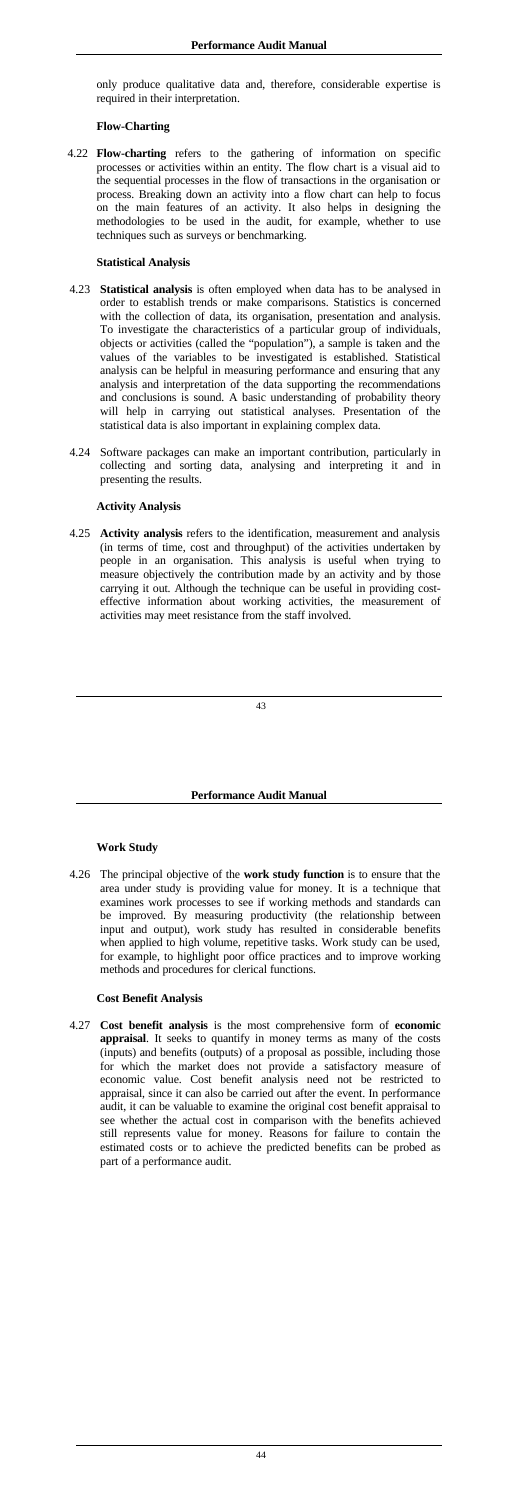only produce qualitative data and, therefore, considerable expertise is required in their interpretation.

## **Flow-Charting**

4.22 **Flow-charting** refers to the gathering of information on specific processes or activities within an entity. The flow chart is a visual aid to the sequential processes in the flow of transactions in the organisation or process. Breaking down an activity into a flow chart can help to focus on the main features of an activity. It also helps in designing the methodologies to be used in the audit, for example, whether to use techniques such as surveys or benchmarking.

### **Statistical Analysis**

- 4.23 **Statistical analysis** is often employed when data has to be analysed in order to establish trends or make comparisons. Statistics is concerned with the collection of data, its organisation, presentation and analysis. To investigate the characteristics of a particular group of individuals, objects or activities (called the "population"), a sample is taken and the values of the variables to be investigated is established. Statistical analysis can be helpful in measuring performance and ensuring that any analysis and interpretation of the data supporting the recommendations and conclusions is sound. A basic understanding of probability theory will help in carrying out statistical analyses. Presentation of the statistical data is also important in explaining complex data.
- 4.24 Software packages can make an important contribution, particularly in collecting and sorting data, analysing and interpreting it and in presenting the results.

### **Activity Analysis**

4.25 **Activity analysis** refers to the identification, measurement and analysis (in terms of time, cost and throughput) of the activities undertaken by people in an organisation. This analysis is useful when trying to measure objectively the contribution made by an activity and by those carrying it out. Although the technique can be useful in providing costeffective information about working activities, the measurement of activities may meet resistance from the staff involved.

### **Performance Audit Manual**

### **Work Study**

4.26 The principal objective of the **work study function** is to ensure that the area under study is providing value for money. It is a technique that examines work processes to see if working methods and standards can be improved. By measuring productivity (the relationship between input and output), work study has resulted in considerable benefits when applied to high volume, repetitive tasks. Work study can be used, for example, to highlight poor office practices and to improve working

methods and procedures for clerical functions.

#### **Cost Benefit Analysis**

4.27 **Cost benefit analysis** is the most comprehensive form of **economic appraisal**. It seeks to quantify in money terms as many of the costs (inputs) and benefits (outputs) of a proposal as possible, including those for which the market does not provide a satisfactory measure of economic value. Cost benefit analysis need not be restricted to appraisal, since it can also be carried out after the event. In performance audit, it can be valuable to examine the original cost benefit appraisal to see whether the actual cost in comparison with the benefits achieved still represents value for money. Reasons for failure to contain the estimated costs or to achieve the predicted benefits can be probed as part of a performance audit.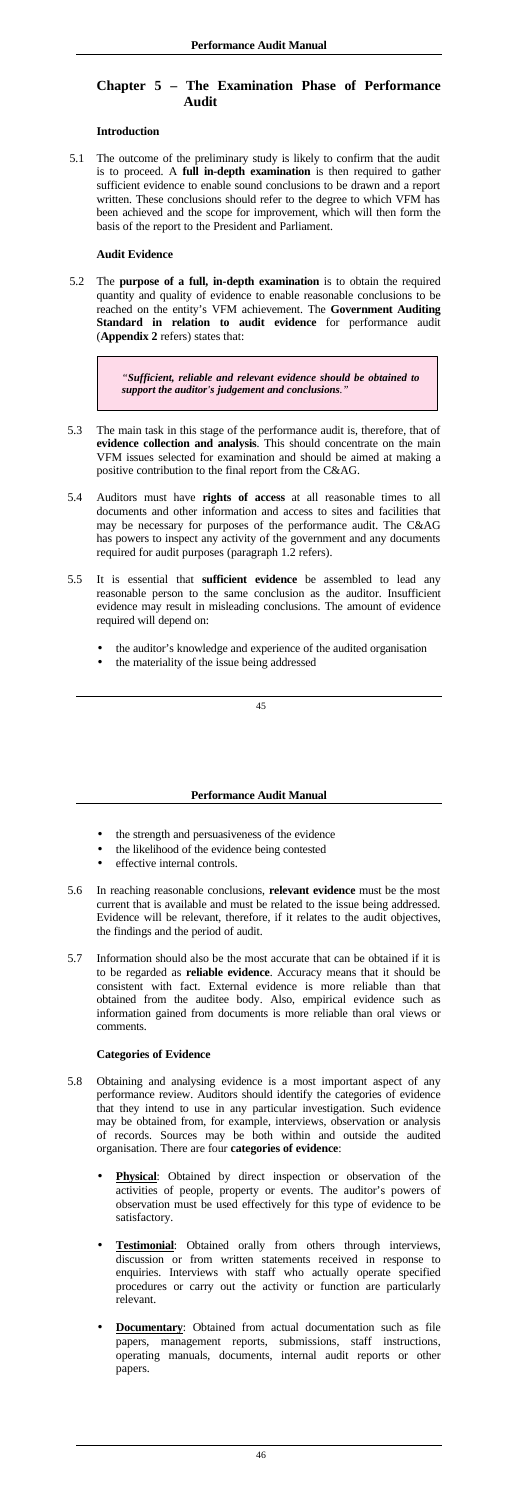# **Chapter 5 – The Examination Phase of Performance Audit**

## **Introduction**

5.1 The outcome of the preliminary study is likely to confirm that the audit is to proceed. A **full in-depth examination** is then required to gather sufficient evidence to enable sound conclusions to be drawn and a report written. These conclusions should refer to the degree to which VFM has been achieved and the scope for improvement, which will then form the basis of the report to the President and Parliament.

- 5.3 The main task in this stage of the performance audit is, therefore, that of **evidence collection and analysis**. This should concentrate on the main VFM issues selected for examination and should be aimed at making a positive contribution to the final report from the C&AG.
- 5.4 Auditors must have **rights of access** at all reasonable times to all documents and other information and access to sites and facilities that may be necessary for purposes of the performance audit. The C&AG has powers to inspect any activity of the government and any documents required for audit purposes (paragraph 1.2 refers).
- 5.5 It is essential that **sufficient evidence** be assembled to lead any reasonable person to the same conclusion as the auditor. Insufficient evidence may result in misleading conclusions. The amount of evidence required will depend on:
	- the auditor's knowledge and experience of the audited organisation
	- the materiality of the issue being addressed

## **Audit Evidence**

5.2 The **purpose of a full, in-depth examination** is to obtain the required quantity and quality of evidence to enable reasonable conclusions to be reached on the entity's VFM achievement. The **Government Auditing Standard in relation to audit evidence** for performance audit (**Appendix 2** refers) states that:

> *"Sufficient, reliable and relevant evidence should be obtained to support the auditor's judgement and conclusions."*

- the strength and persuasiveness of the evidence
- the likelihood of the evidence being contested
- effective internal controls.
- 5.6 In reaching reasonable conclusions, **relevant evidence** must be the most current that is available and must be related to the issue being addressed. Evidence will be relevant, therefore, if it relates to the audit objectives, the findings and the period of audit.
- 5.7 Information should also be the most accurate that can be obtained if it is

### **Performance Audit Manual**

to be regarded as **reliable evidence**. Accuracy means that it should be consistent with fact. External evidence is more reliable than that obtained from the auditee body. Also, empirical evidence such as information gained from documents is more reliable than oral views or comments.

## **Categories of Evidence**

- 5.8 Obtaining and analysing evidence is a most important aspect of any performance review. Auditors should identify the categories of evidence that they intend to use in any particular investigation. Such evidence may be obtained from, for example, interviews, observation or analysis of records. Sources may be both within and outside the audited organisation. There are four **categories of evidence**:
	- **Physical**: Obtained by direct inspection or observation of the activities of people, property or events. The auditor's powers of observation must be used effectively for this type of evidence to be satisfactory.
	- **Testimonial**: Obtained orally from others through interviews, discussion or from written statements received in response to enquiries. Interviews with staff who actually operate specified procedures or carry out the activity or function are particularly relevant.
	- **Documentary:** Obtained from actual documentation such as file papers, management reports, submissions, staff instructions, operating manuals, documents, internal audit reports or other papers.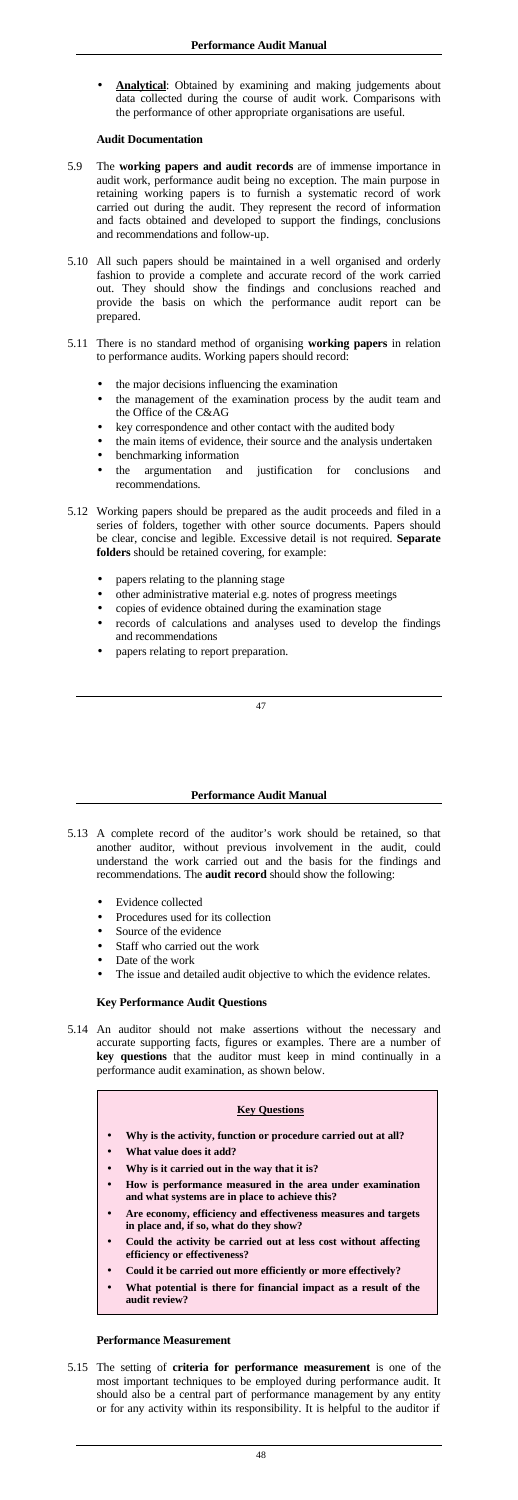Analytical: Obtained by examining and making judgements about data collected during the course of audit work. Comparisons with the performance of other appropriate organisations are useful.

- 5.9 The **working papers and audit records** are of immense importance in audit work, performance audit being no exception. The main purpose in retaining working papers is to furnish a systematic record of work carried out during the audit. They represent the record of information and facts obtained and developed to support the findings, conclusions and recommendations and follow-up.
- 5.10 All such papers should be maintained in a well organised and orderly fashion to provide a complete and accurate record of the work carried out. They should show the findings and conclusions reached and provide the basis on which the performance audit report can be prepared.
- 5.11 There is no standard method of organising **working papers** in relation to performance audits. Working papers should record:
	- the major decisions influencing the examination
	- the management of the examination process by the audit team and the Office of the C&AG
	- key correspondence and other contact with the audited body
	- the main items of evidence, their source and the analysis undertaken
	- benchmarking information
	- the argumentation and justification for conclusions and recommendations.
- 5.12 Working papers should be prepared as the audit proceeds and filed in a series of folders, together with other source documents. Papers should be clear, concise and legible. Excessive detail is not required. **Separate folders** should be retained covering, for example:
	- papers relating to the planning stage
	- other administrative material e.g. notes of progress meetings
	- copies of evidence obtained during the examination stage
	- records of calculations and analyses used to develop the findings and recommendations
	- papers relating to report preparation.

## **Audit Documentation**

- 5.13 A complete record of the auditor's work should be retained, so that another auditor, without previous involvement in the audit, could understand the work carried out and the basis for the findings and recommendations. The **audit record** should show the following:
	- Evidence collected
	- Procedures used for its collection
	- Source of the evidence
	- Staff who carried out the work
	- Date of the work
	- The issue and detailed audit objective to which the evidence relates.

### **Performance Audit Manual**

## **Key Performance Audit Questions**

5.14 An auditor should not make assertions without the necessary and accurate supporting facts, figures or examples. There are a number of **key questions** that the auditor must keep in mind continually in a performance audit examination, as shown below.

## **Key Questions**

- **Why is the activity, function or procedure carried out at all?**
- **What value does it add?**
- **Why is it carried out in the way that it is?**
- **How is performance measured in the area under examination and what systems are in place to achieve this?**
- **Are economy, efficiency and effectiveness measures and targets in place and, if so, what do they show?**
- **Could the activity be carried out at less cost without affecting efficiency or effectiveness?**
- **Could it be carried out more efficiently or more effectively?**
- **What potential is there for financial impact as a result of the audit review?**

## **Performance Measurement**

5.15 The setting of **criteria for performance measurement** is one of the most important techniques to be employed during performance audit. It should also be a central part of performance management by any entity or for any activity within its responsibility. It is helpful to the auditor if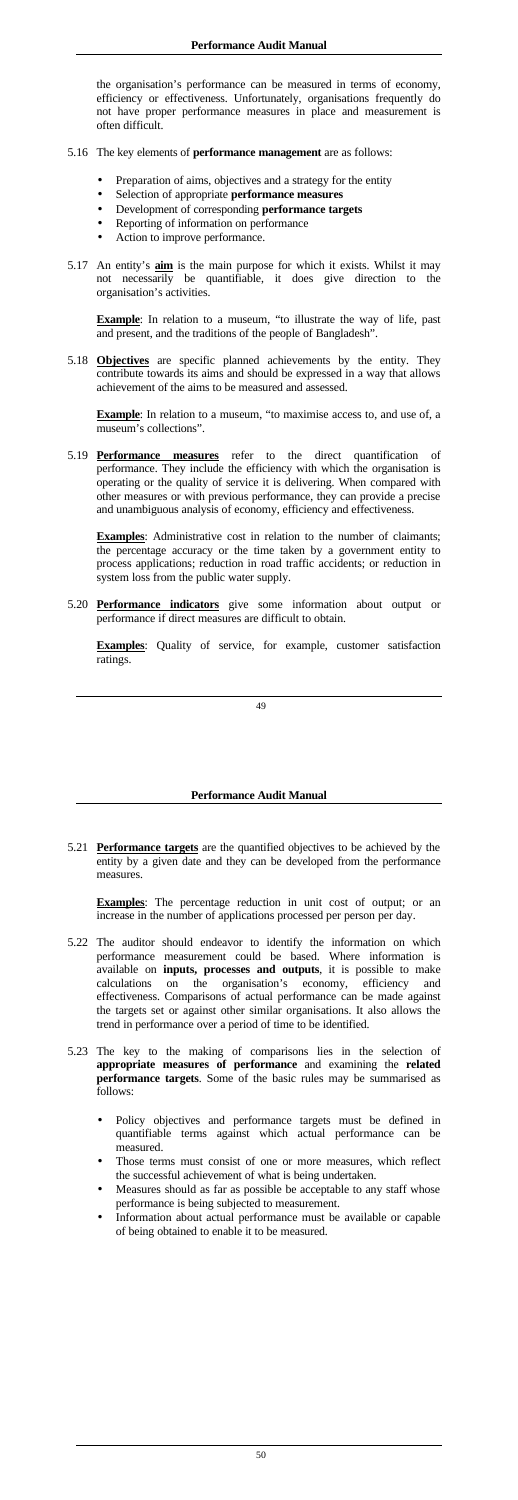the organisation's performance can be measured in terms of economy, efficiency or effectiveness. Unfortunately, organisations frequently do not have proper performance measures in place and measurement is often difficult.

- 5.16 The key elements of **performance management** are as follows:
	- Preparation of aims, objectives and a strategy for the entity
	- Selection of appropriate **performance measures**
	- Development of corresponding **performance targets**
	- Reporting of information on performance
	- Action to improve performance.
- 5.17 An entity's **aim** is the main purpose for which it exists. Whilst it may not necessarily be quantifiable, it does give direction to the organisation's activities.

**Example**: In relation to a museum, "to maximise access to, and use of, a museum's collections".

**Example**: In relation to a museum, "to illustrate the way of life, past and present, and the traditions of the people of Bangladesh".

**Examples**: Administrative cost in relation to the number of claimants; the percentage accuracy or the time taken by a government entity to process applications; reduction in road traffic accidents; or reduction in system loss from the public water supply.

5.18 **Objectives** are specific planned achievements by the entity. They contribute towards its aims and should be expressed in a way that allows achievement of the aims to be measured and assessed.

**Examples**: The percentage reduction in unit cost of output; or an increase in the number of applications processed per person per day.

5.19 **Performance measures** refer to the direct quantification of performance. They include the efficiency with which the organisation is operating or the quality of service it is delivering. When compared with other measures or with previous performance, they can provide a precise and unambiguous analysis of economy, efficiency and effectiveness.

5.20 **Performance indicators** give some information about output or performance if direct measures are difficult to obtain.

**Examples**: Quality of service, for example, customer satisfaction ratings.

### **Performance Audit Manual**

5.21 **Performance targets** are the quantified objectives to be achieved by the entity by a given date and they can be developed from the performance measures.

- 5.22 The auditor should endeavor to identify the information on which performance measurement could be based. Where information is
	- available on **inputs, processes and outputs**, it is possible to make calculations on the organisation's economy, efficiency and effectiveness. Comparisons of actual performance can be made against the targets set or against other similar organisations. It also allows the trend in performance over a period of time to be identified.
- 5.23 The key to the making of comparisons lies in the selection of **appropriate measures of performance** and examining the **related performance targets**. Some of the basic rules may be summarised as follows:
	- Policy objectives and performance targets must be defined in quantifiable terms against which actual performance can be measured.
	- Those terms must consist of one or more measures, which reflect the successful achievement of what is being undertaken.
	- Measures should as far as possible be acceptable to any staff whose performance is being subjected to measurement.
	- Information about actual performance must be available or capable of being obtained to enable it to be measured.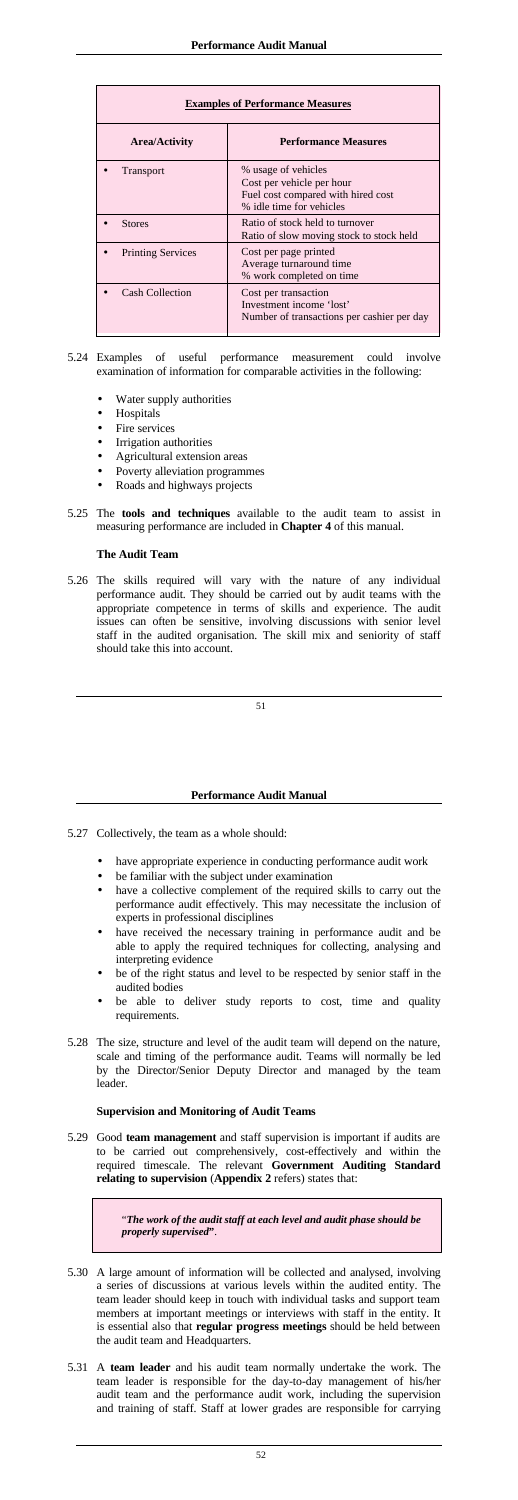| <b>Examples of Performance Measures</b> |                                                                                                                    |  |
|-----------------------------------------|--------------------------------------------------------------------------------------------------------------------|--|
| <b>Area/Activity</b>                    | <b>Performance Measures</b>                                                                                        |  |
| <b>Transport</b>                        | % usage of vehicles<br>Cost per vehicle per hour<br>Fuel cost compared with hired cost<br>% idle time for vehicles |  |
| <b>Stores</b>                           | Ratio of stock held to turnover<br>Ratio of slow moving stock to stock held                                        |  |
| <b>Printing Services</b>                | Cost per page printed<br>Average turnaround time<br>% work completed on time                                       |  |
| <b>Cash Collection</b>                  | Cost per transaction<br>Investment income 'lost'<br>Number of transactions per cashier per day                     |  |

- 5.24 Examples of useful performance measurement could involve examination of information for comparable activities in the following:
	- Water supply authorities
	- Hospitals
	- Fire services
	- Irrigation authorities
	- Agricultural extension areas
	- Poverty alleviation programmes
	- Roads and highways projects
- 5.25 The **tools and techniques** available to the audit team to assist in measuring performance are included in **Chapter 4** of this manual.

# **The Audit Team**

5.26 The skills required will vary with the nature of any individual performance audit. They should be carried out by audit teams with the appropriate competence in terms of skills and experience. The audit issues can often be sensitive, involving discussions with senior level staff in the audited organisation. The skill mix and seniority of staff should take this into account.

## **Performance Audit Manual**

- 5.27 Collectively, the team as a whole should:
	- have appropriate experience in conducting performance audit work
	- be familiar with the subject under examination
	- have a collective complement of the required skills to carry out the performance audit effectively. This may necessitate the inclusion of experts in professional disciplines
	- have received the necessary training in performance audit and be able to apply the required techniques for collecting, analysing and interpreting evidence
	-
	- be of the right status and level to be respected by senior staff in the audited bodies
	- be able to deliver study reports to cost, time and quality requirements.
- 5.28 The size, structure and level of the audit team will depend on the nature, scale and timing of the performance audit. Teams will normally be led by the Director/Senior Deputy Director and managed by the team leader.

## **Supervision and Monitoring of Audit Teams**

5.29 Good **team management** and staff supervision is important if audits are to be carried out comprehensively, cost-effectively and within the required timescale. The relevant **Government Auditing Standard relating to supervision** (**Appendix 2** refers) states that:

> "*The work of the audit staff at each level and audit phase should be properly supervised***"**.

- 5.30 A large amount of information will be collected and analysed, involving a series of discussions at various levels within the audited entity. The team leader should keep in touch with individual tasks and support team members at important meetings or interviews with staff in the entity. It is essential also that **regular progress meetings** should be held between the audit team and Headquarters.
- 5.31 A **team leader** and his audit team normally undertake the work. The team leader is responsible for the day-to-day management of his/her audit team and the performance audit work, including the supervision and training of staff. Staff at lower grades are responsible for carrying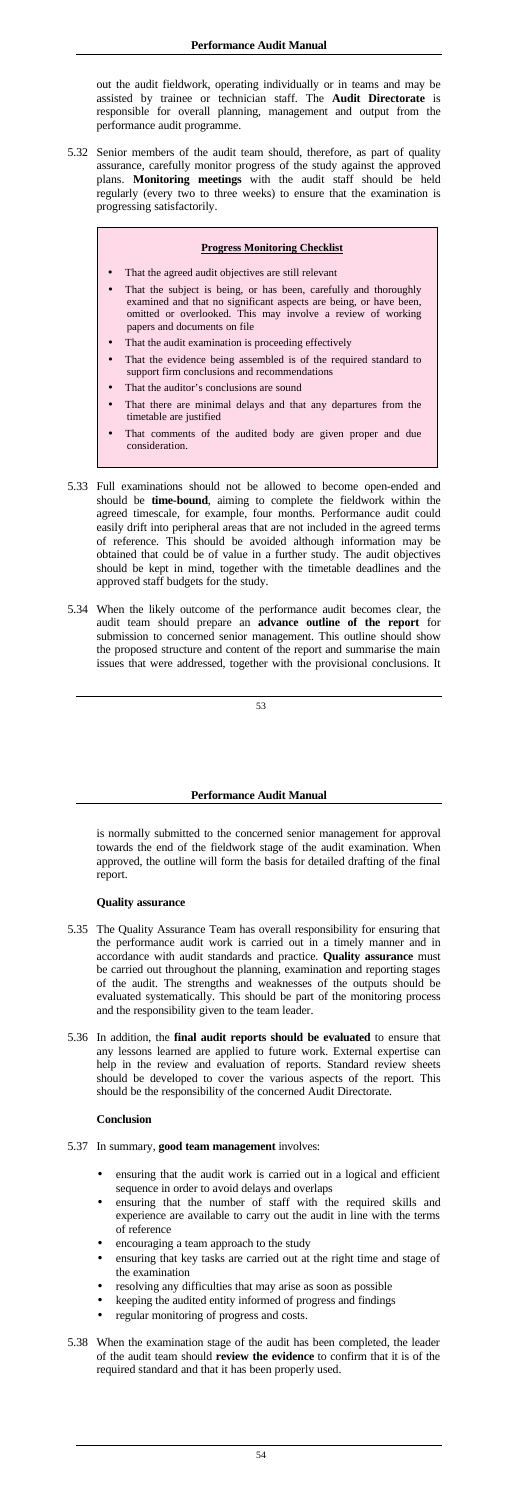out the audit fieldwork, operating individually or in teams and may be assisted by trainee or technician staff. The **Audit Directorate** is responsible for overall planning, management and output from the performance audit programme.

5.32 Senior members of the audit team should, therefore, as part of quality assurance, carefully monitor progress of the study against the approved plans. **Monitoring meetings** with the audit staff should be held regularly (every two to three weeks) to ensure that the examination is progressing satisfactorily.

### **Progress Monitoring Checklist**

- That the agreed audit objectives are still relevant
- That the subject is being, or has been, carefully and thoroughly examined and that no significant aspects are being, or have been, omitted or overlooked. This may involve a review of working papers and documents on file
- That the audit examination is proceeding effectively
- That the evidence being assembled is of the required standard to support firm conclusions and recommendations
- That the auditor's conclusions are sound
- That there are minimal delays and that any departures from the timetable are justified
- That comments of the audited body are given proper and due consideration.
- 5.33 Full examinations should not be allowed to become open-ended and should be **time-bound**, aiming to complete the fieldwork within the agreed timescale, for example, four months. Performance audit could easily drift into peripheral areas that are not included in the agreed terms of reference. This should be avoided although information may be obtained that could be of value in a further study. The audit objectives should be kept in mind, together with the timetable deadlines and the approved staff budgets for the study.
- 5.34 When the likely outcome of the performance audit becomes clear, the audit team should prepare an **advance outline of the report** for submission to concerned senior management. This outline should show the proposed structure and content of the report and summarise the main issues that were addressed, together with the provisional conclusions. It

#### **Performance Audit Manual**

is normally submitted to the concerned senior management for approval towards the end of the fieldwork stage of the audit examination. When approved, the outline will form the basis for detailed drafting of the final report.

### **Quality assurance**

- 5.35 The Quality Assurance Team has overall responsibility for ensuring that the performance audit work is carried out in a timely manner and in accordance with audit standards and practice. **Quality assurance** must be carried out throughout the planning, examination and reporting stages of the audit. The strengths and weaknesses of the outputs should be evaluated systematically. This should be part of the monitoring process and the responsibility given to the team leader.
- 5.36 In addition, the **final audit reports should be evaluated** to ensure that any lessons learned are applied to future work. External expertise can help in the review and evaluation of reports. Standard review sheets should be developed to cover the various aspects of the report. This should be the responsibility of the concerned Audit Directorate.

## **Conclusion**

- 5.37 In summary, **good team management** involves:
	- ensuring that the audit work is carried out in a logical and efficient sequence in order to avoid delays and overlaps
	- ensuring that the number of staff with the required skills and experience are available to carry out the audit in line with the terms of reference
	- encouraging a team approach to the study
	- ensuring that key tasks are carried out at the right time and stage of the examination
	- resolving any difficulties that may arise as soon as possible
	- keeping the audited entity informed of progress and findings
	- regular monitoring of progress and costs.
- 5.38 When the examination stage of the audit has been completed, the leader of the audit team should **review the evidence** to confirm that it is of the required standard and that it has been properly used.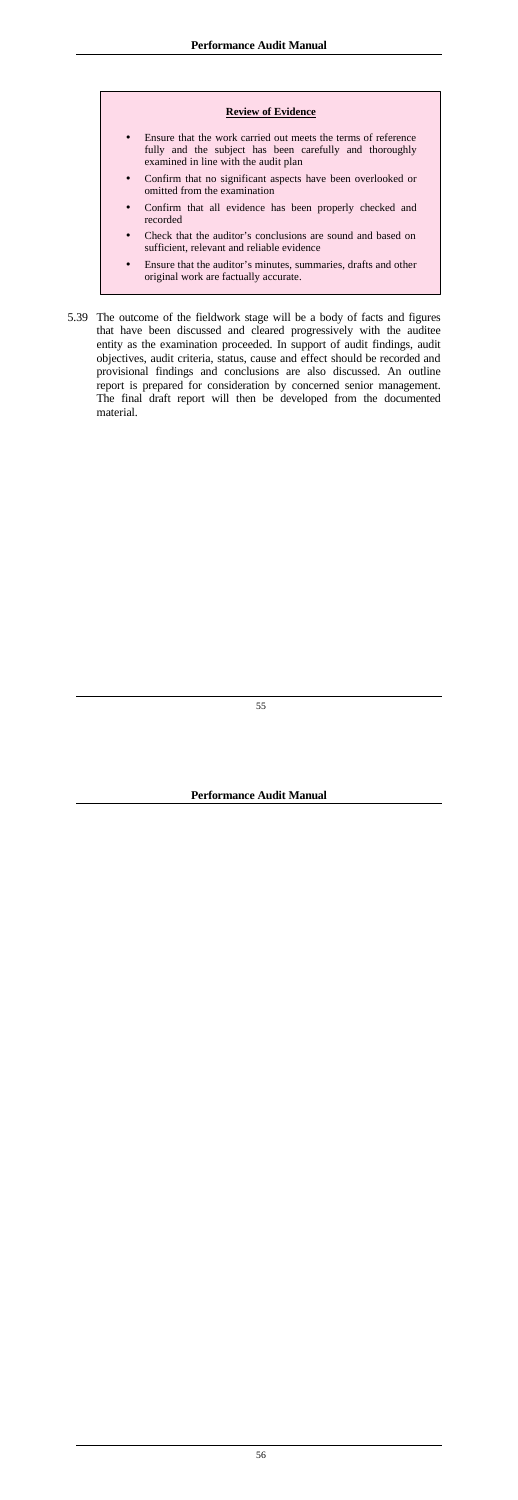#### **Review of Evidence**

- Ensure that the work carried out meets the terms of reference fully and the subject has been carefully and thoroughly examined in line with the audit plan
- Confirm that no significant aspects have been overlooked or omitted from the examination
- Confirm that all evidence has been properly checked and recorded
- Check that the auditor's conclusions are sound and based on sufficient, relevant and reliable evidence
- Ensure that the auditor's minutes, summaries, drafts and other original work are factually accurate.
- 5.39 The outcome of the fieldwork stage will be a body of facts and figures that have been discussed and cleared progressively with the auditee entity as the examination proceeded. In support of audit findings, audit objectives, audit criteria, status, cause and effect should be recorded and provisional findings and conclusions are also discussed. An outline report is prepared for consideration by concerned senior management. The final draft report will then be developed from the documented material.

**Performance Audit Manual**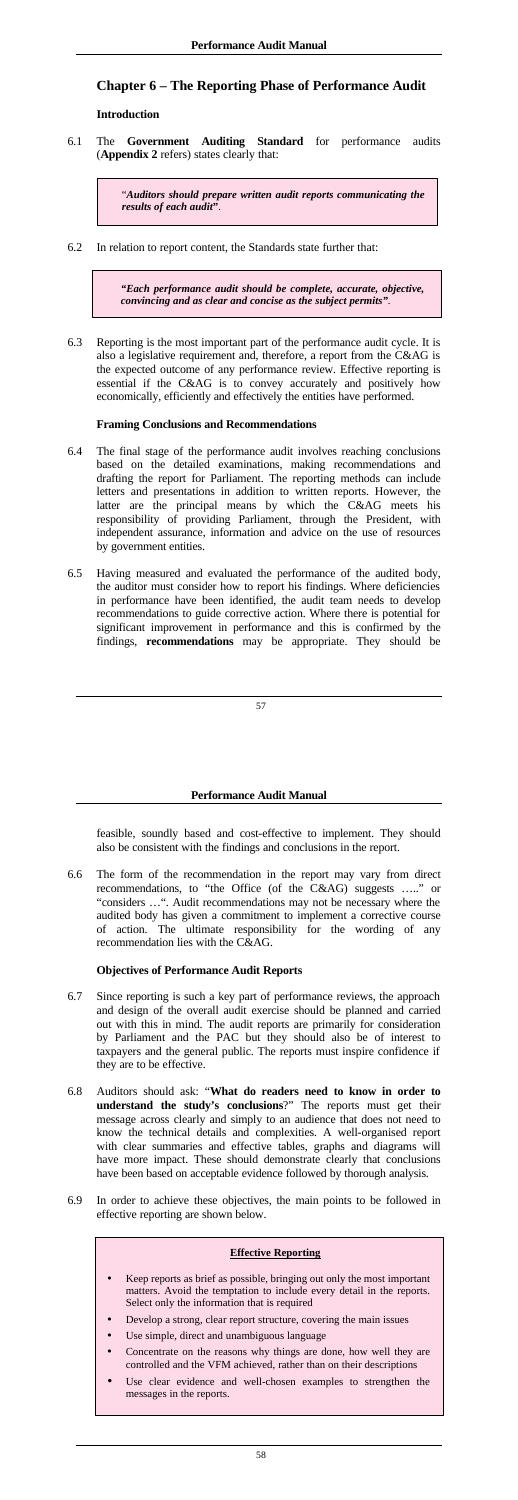# **Chapter 6 – The Reporting Phase of Performance Audit**

## **Introduction**

6.1 The **Government Auditing Standard** for performance audits (**Appendix 2** refers) states clearly that:

> "*Auditors should prepare written audit reports communicating the results of each audit***"**.

6.2 In relation to report content, the Standards state further that:

*"Each performance audit should be complete, accurate, objective, convincing and as clear and concise as the subject permits".*

6.3 Reporting is the most important part of the performance audit cycle. It is also a legislative requirement and, therefore, a report from the C&AG is the expected outcome of any performance review. Effective reporting is essential if the C&AG is to convey accurately and positively how economically, efficiently and effectively the entities have performed.

## **Framing Conclusions and Recommendations**

- 6.4 The final stage of the performance audit involves reaching conclusions based on the detailed examinations, making recommendations and drafting the report for Parliament. The reporting methods can include letters and presentations in addition to written reports. However, the latter are the principal means by which the C&AG meets his responsibility of providing Parliament, through the President, with independent assurance, information and advice on the use of resources by government entities.
- 6.5 Having measured and evaluated the performance of the audited body, the auditor must consider how to report his findings. Where deficiencies in performance have been identified, the audit team needs to develop recommendations to guide corrective action. Where there is potential for significant improvement in performance and this is confirmed by the findings, **recommendations** may be appropriate. They should be

### **Performance Audit Manual**

feasible, soundly based and cost-effective to implement. They should also be consistent with the findings and conclusions in the report.

6.6 The form of the recommendation in the report may vary from direct recommendations, to "the Office (of the C&AG) suggests ….." or "considers …". Audit recommendations may not be necessary where the audited body has given a commitment to implement a corrective course of action. The ultimate responsibility for the wording of any recommendation lies with the C&AG.

# **Objectives of Performance Audit Reports**

- 6.7 Since reporting is such a key part of performance reviews, the approach and design of the overall audit exercise should be planned and carried out with this in mind. The audit reports are primarily for consideration by Parliament and the PAC but they should also be of interest to taxpayers and the general public. The reports must inspire confidence if they are to be effective.
- 6.8 Auditors should ask: "**What do readers need to know in order to understand the study's conclusions**?" The reports must get their message across clearly and simply to an audience that does not need to know the technical details and complexities. A well-organised report with clear summaries and effective tables, graphs and diagrams will have more impact. These should demonstrate clearly that conclusions have been based on acceptable evidence followed by thorough analysis.
- 6.9 In order to achieve these objectives, the main points to be followed in effective reporting are shown below.



- Keep reports as brief as possible, bringing out only the most important matters. Avoid the temptation to include every detail in the reports. Select only the information that is required
- Develop a strong, clear report structure, covering the main issues
- Use simple, direct and unambiguous language
- Concentrate on the reasons why things are done, how well they are controlled and the VFM achieved, rather than on their descriptions
- Use clear evidence and well-chosen examples to strengthen the messages in the reports.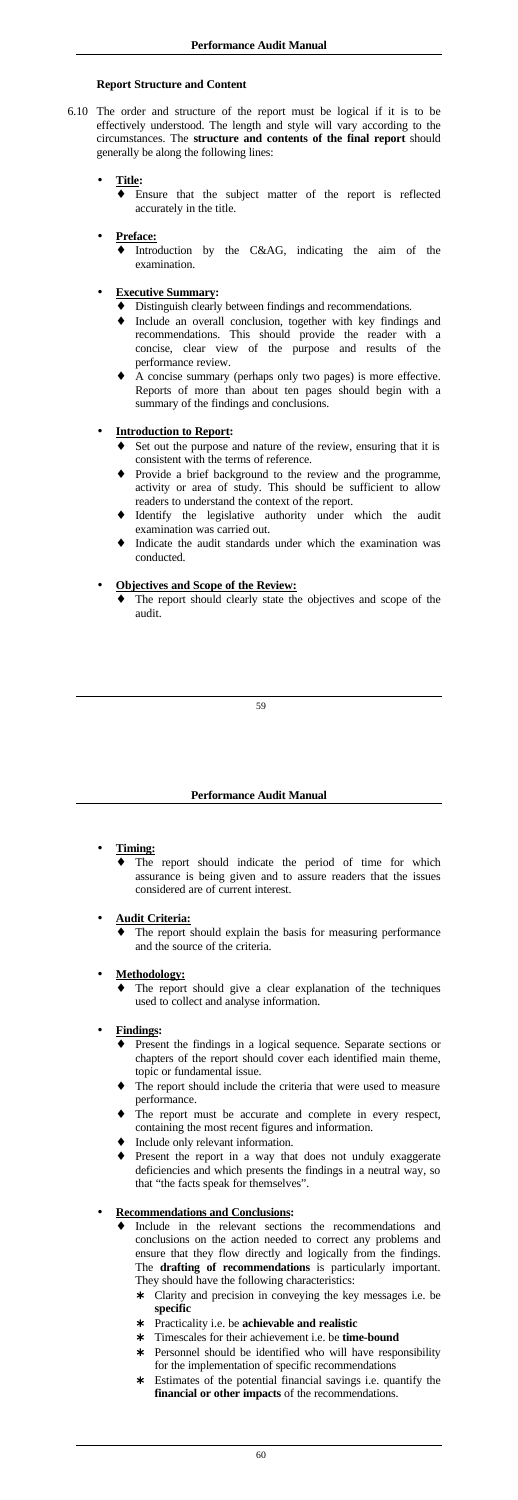## **Report Structure and Content**

6.10 The order and structure of the report must be logical if it is to be effectively understood. The length and style will vary according to the circumstances. The **structure and contents of the final report** should generally be along the following lines:

> Introduction by the  $C&AG$ , indicating the aim of the examination.

## • **Title:**

♦ Ensure that the subject matter of the report is reflected accurately in the title.

## • **Preface:**

# • **Executive Summary:**

- Set out the purpose and nature of the review, ensuring that it is consistent with the terms of reference.
- Provide a brief background to the review and the programme, activity or area of study. This should be sufficient to allow readers to understand the context of the report.
- Identify the legislative authority under which the audit examination was carried out.
- ♦ Indicate the audit standards under which the examination was conducted.
- ♦ Distinguish clearly between findings and recommendations.
- ♦ Include an overall conclusion, together with key findings and recommendations. This should provide the reader with a concise, clear view of the purpose and results of the performance review.
- A concise summary (perhaps only two pages) is more effective. Reports of more than about ten pages should begin with a summary of the findings and conclusions.

The report should clearly state the objectives and scope of the audit.

The report should indicate the period of time for which assurance is being given and to assure readers that the issues considered are of current interest.

The report should explain the basis for measuring performance and the source of the criteria.

## • **Introduction to Report:**

The report should give a clear explanation of the techniques used to collect and analyse information.

- Present the findings in a logical sequence. Separate sections or chapters of the report should cover each identified main theme, topic or fundamental issue.
- The report should include the criteria that were used to measure performance.
- The report must be accurate and complete in every respect, containing the most recent figures and information.
- Include only relevant information.
- Present the report in a way that does not unduly exaggerate deficiencies and which presents the findings in a neutral way, so that "the facts speak for themselves".

## • **Objectives and Scope of the Review:**

## **Performance Audit Manual**

# • **Timing:**

- Include in the relevant sections the recommendations and conclusions on the action needed to correct any problems and ensure that they flow directly and logically from the findings. The **drafting of recommendations** is particularly important. They should have the following characteristics:
	- Clarity and precision in conveying the key messages i.e. be **specific**
	- ∗ Practicality i.e. be **achievable and realistic**
	- Timescales for their achievement i.e. be **time-bound**
	- ∗ Personnel should be identified who will have responsibility for the implementation of specific recommendations
	- ∗ Estimates of the potential financial savings i.e. quantify the **financial or other impacts** of the recommendations.

## • **Audit Criteria:**

## • **Methodology:**

# • **Findings:**

# • **Recommendations and Conclusions:**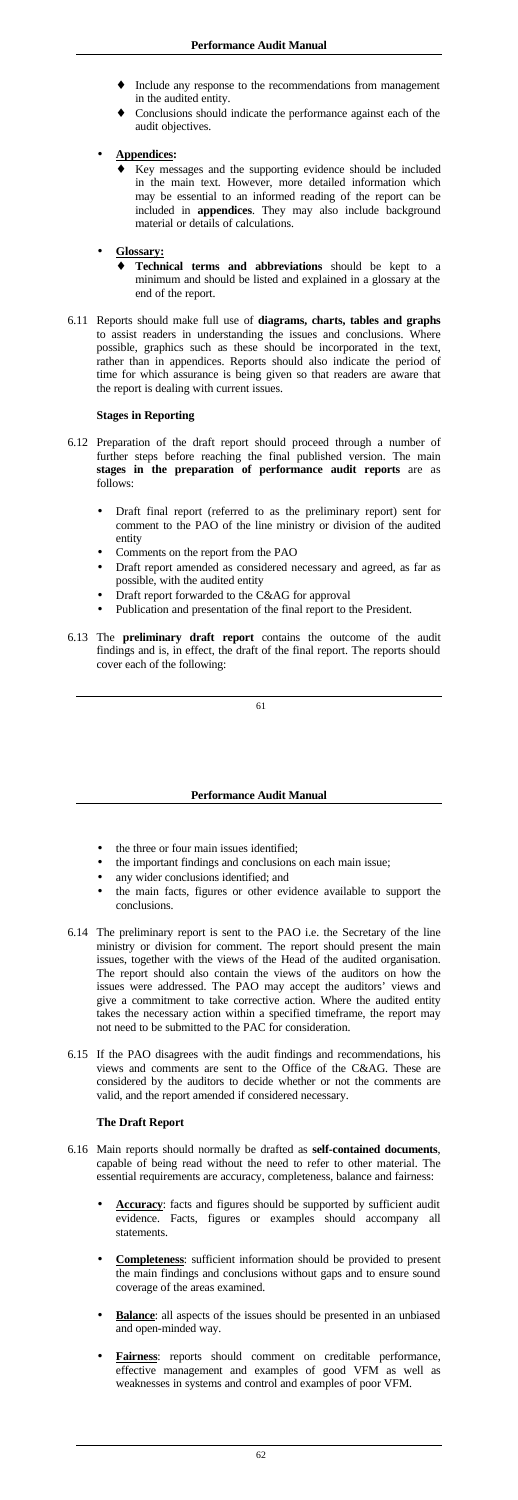- Include any response to the recommendations from management in the audited entity.
- ♦ Conclusions should indicate the performance against each of the audit objectives.
- **Appendices:**
	- Key messages and the supporting evidence should be included in the main text. However, more detailed information which may be essential to an informed reading of the report can be included in **appendices**. They may also include background material or details of calculations.
- **Glossary:**
	- **Technical terms and abbreviations** should be kept to a minimum and should be listed and explained in a glossary at the end of the report.
- 6.11 Reports should make full use of **diagrams, charts, tables and graphs** to assist readers in understanding the issues and conclusions. Where possible, graphics such as these should be incorporated in the text, rather than in appendices. Reports should also indicate the period of time for which assurance is being given so that readers are aware that the report is dealing with current issues.

## **Stages in Reporting**

- the three or four main issues identified;
- the important findings and conclusions on each main issue;
- any wider conclusions identified; and
- the main facts, figures or other evidence available to support the conclusions.
- 6.14 The preliminary report is sent to the PAO i.e. the Secretary of the line ministry or division for comment. The report should present the main issues, together with the views of the Head of the audited organisation.
- 6.12 Preparation of the draft report should proceed through a number of further steps before reaching the final published version. The main **stages in the preparation of performance audit reports** are as follows:
	- Draft final report (referred to as the preliminary report) sent for comment to the PAO of the line ministry or division of the audited entity
	- Comments on the report from the PAO
	- Draft report amended as considered necessary and agreed, as far as possible, with the audited entity
	- Draft report forwarded to the C&AG for approval
	- Publication and presentation of the final report to the President.
- 6.13 The **preliminary draft report** contains the outcome of the audit findings and is, in effect, the draft of the final report. The reports should cover each of the following:

### **Performance Audit Manual**

The report should also contain the views of the auditors on how the issues were addressed. The PAO may accept the auditors' views and give a commitment to take corrective action. Where the audited entity takes the necessary action within a specified timeframe, the report may not need to be submitted to the PAC for consideration.

6.15 If the PAO disagrees with the audit findings and recommendations, his views and comments are sent to the Office of the C&AG. These are considered by the auditors to decide whether or not the comments are valid, and the report amended if considered necessary.

# **The Draft Report**

- 6.16 Main reports should normally be drafted as **self-contained documents**, capable of being read without the need to refer to other material. The essential requirements are accuracy, completeness, balance and fairness:
	- Accuracy: facts and figures should be supported by sufficient audit evidence. Facts, figures or examples should accompany all statements.
	- **Completeness**: sufficient information should be provided to present the main findings and conclusions without gaps and to ensure sound coverage of the areas examined.
	- **Balance**: all aspects of the issues should be presented in an unbiased and open-minded way.
	- **Fairness**: reports should comment on creditable performance, effective management and examples of good VFM as well as weaknesses in systems and control and examples of poor VFM.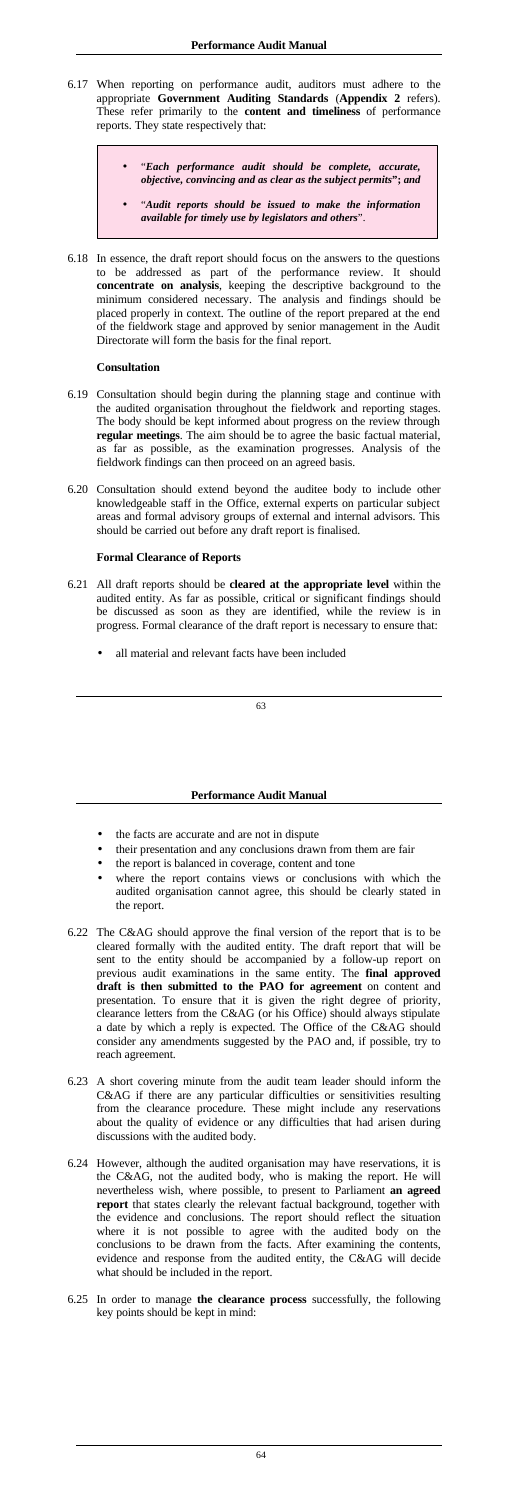- 6.17 When reporting on performance audit, auditors must adhere to the appropriate **Government Auditing Standards** (**Appendix 2** refers). These refer primarily to the **content and timeliness** of performance reports. They state respectively that:
	- "*Each performance audit should be complete, accurate, objective, convincing and as clear as the subject permits***";** *and*
	- "*Audit reports should be issued to make the information available for timely use by legislators and others*".
- 6.18 In essence, the draft report should focus on the answers to the questions to be addressed as part of the performance review. It should **concentrate on analysis**, keeping the descriptive background to the minimum considered necessary. The analysis and findings should be placed properly in context. The outline of the report prepared at the end of the fieldwork stage and approved by senior management in the Audit Directorate will form the basis for the final report.

- 6.21 All draft reports should be **cleared at the appropriate level** within the audited entity. As far as possible, critical or significant findings should be discussed as soon as they are identified, while the review is in progress. Formal clearance of the draft report is necessary to ensure that:
	- all material and relevant facts have been included

### **Consultation**

- 6.19 Consultation should begin during the planning stage and continue with the audited organisation throughout the fieldwork and reporting stages. The body should be kept informed about progress on the review through **regular meetings**. The aim should be to agree the basic factual material, as far as possible, as the examination progresses. Analysis of the fieldwork findings can then proceed on an agreed basis.
- 6.20 Consultation should extend beyond the auditee body to include other knowledgeable staff in the Office, external experts on particular subject areas and formal advisory groups of external and internal advisors. This should be carried out before any draft report is finalised.

## **Formal Clearance of Reports**

### **Performance Audit Manual**

- the facts are accurate and are not in dispute
- their presentation and any conclusions drawn from them are fair
- the report is balanced in coverage, content and tone
- where the report contains views or conclusions with which the audited organisation cannot agree, this should be clearly stated in the report.
- 6.22 The C&AG should approve the final version of the report that is to be cleared formally with the audited entity. The draft report that will be sent to the entity should be accompanied by a follow-up report on previous audit examinations in the same entity. The **final approved draft is then submitted to the PAO for agreement** on content and presentation. To ensure that it is given the right degree of priority, clearance letters from the C&AG (or his Office) should always stipulate a date by which a reply is expected. The Office of the C&AG should consider any amendments suggested by the PAO and, if possible, try to reach agreement.
- 6.23 A short covering minute from the audit team leader should inform the C&AG if there are any particular difficulties or sensitivities resulting from the clearance procedure. These might include any reservations about the quality of evidence or any difficulties that had arisen during discussions with the audited body.
- 6.24 However, although the audited organisation may have reservations, it is the C&AG, not the audited body, who is making the report. He will nevertheless wish, where possible, to present to Parliament **an agreed report** that states clearly the relevant factual background, together with the evidence and conclusions. The report should reflect the situation where it is not possible to agree with the audited body on the conclusions to be drawn from the facts. After examining the contents, evidence and response from the audited entity, the C&AG will decide what should be included in the report.
- 6.25 In order to manage **the clearance process** successfully, the following key points should be kept in mind: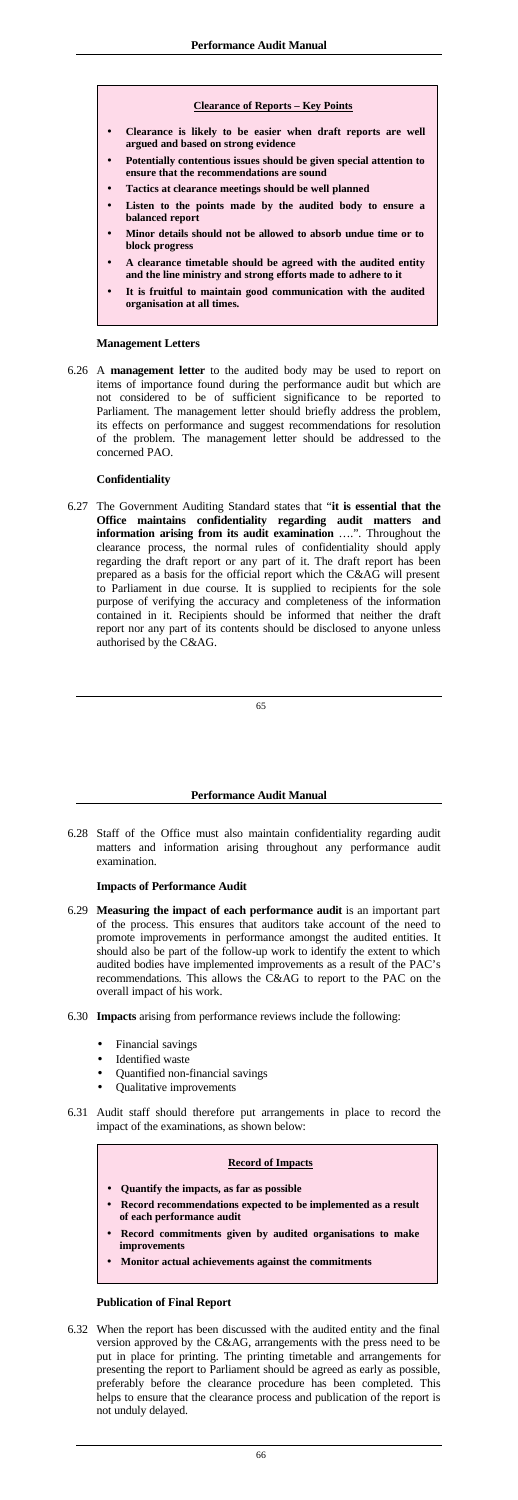#### **Clearance of Reports – Key Points**

- **Clearance is likely to be easier when draft reports are well argued and based on strong evidence**
- **Potentially contentious issues should be given special attention to ensure that the recommendations are sound**
- **Tactics at clearance meetings should be well planned**
- **Listen to the points made by the audited body to ensure a balanced report**
- **Minor details should not be allowed to absorb undue time or to block progress**
- **A clearance timetable should be agreed with the audited entity and the line ministry and strong efforts made to adhere to it**
- **It is fruitful to maintain good communication with the audited organisation at all times.**

#### **Management Letters**

6.26 A **management letter** to the audited body may be used to report on items of importance found during the performance audit but which are not considered to be of sufficient significance to be reported to Parliament. The management letter should briefly address the problem, its effects on performance and suggest recommendations for resolution of the problem. The management letter should be addressed to the concerned PAO.

### **Confidentiality**

6.27 The Government Auditing Standard states that "**it is essential that the Office maintains confidentiality regarding audit matters and information arising from its audit examination** ….". Throughout the clearance process, the normal rules of confidentiality should apply regarding the draft report or any part of it. The draft report has been prepared as a basis for the official report which the C&AG will present to Parliament in due course. It is supplied to recipients for the sole purpose of verifying the accuracy and completeness of the information contained in it. Recipients should be informed that neither the draft report nor any part of its contents should be disclosed to anyone unless authorised by the C&AG.

#### **Performance Audit Manual**

6.28 Staff of the Office must also maintain confidentiality regarding audit matters and information arising throughout any performance audit examination.

#### **Impacts of Performance Audit**

6.29 **Measuring the impact of each performance audit** is an important part of the process. This ensures that auditors take account of the need to promote improvements in performance amongst the audited entities. It should also be part of the follow-up work to identify the extent to which audited bodies have implemented improvements as a result of the PAC's

recommendations. This allows the C&AG to report to the PAC on the overall impact of his work.

- 6.30 **Impacts** arising from performance reviews include the following:
	- Financial savings
	- Identified waste
	- Quantified non-financial savings
	- Qualitative improvements
- 6.31 Audit staff should therefore put arrangements in place to record the impact of the examinations, as shown below:

| <b>Record of Impacts</b>                                                                     |  |  |
|----------------------------------------------------------------------------------------------|--|--|
| Quantify the impacts, as far as possible                                                     |  |  |
| • Record recommendations expected to be implemented as a result<br>of each performance audit |  |  |
| • Record commitments given by audited organisations to make<br><i>improvements</i>           |  |  |
| Monitor actual achievements against the commitments                                          |  |  |
|                                                                                              |  |  |

## **Publication of Final Report**

6.32 When the report has been discussed with the audited entity and the final version approved by the C&AG, arrangements with the press need to be put in place for printing. The printing timetable and arrangements for presenting the report to Parliament should be agreed as early as possible, preferably before the clearance procedure has been completed. This helps to ensure that the clearance process and publication of the report is not unduly delayed.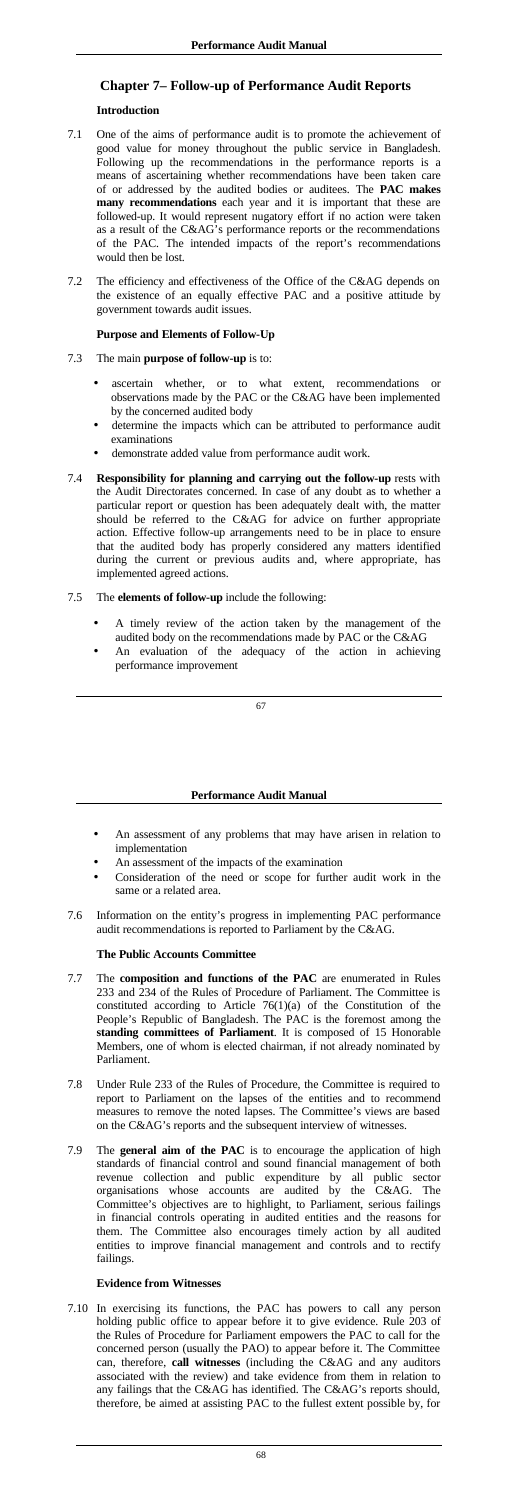# **Chapter 7– Follow-up of Performance Audit Reports**

## **Introduction**

- 7.1 One of the aims of performance audit is to promote the achievement of good value for money throughout the public service in Bangladesh. Following up the recommendations in the performance reports is a means of ascertaining whether recommendations have been taken care of or addressed by the audited bodies or auditees. The **PAC makes many recommendations** each year and it is important that these are followed-up. It would represent nugatory effort if no action were taken as a result of the C&AG's performance reports or the recommendations of the PAC. The intended impacts of the report's recommendations would then be lost.
- 7.2 The efficiency and effectiveness of the Office of the C&AG depends on the existence of an equally effective PAC and a positive attitude by government towards audit issues.

## **Purpose and Elements of Follow-Up**

- 7.3 The main **purpose of follow-up** is to:
	- ascertain whether, or to what extent, recommendations or observations made by the PAC or the C&AG have been implemented by the concerned audited body
	- determine the impacts which can be attributed to performance audit examinations
	- demonstrate added value from performance audit work.
- 7.4 **Responsibility for planning and carrying out the follow-up** rests with the Audit Directorates concerned. In case of any doubt as to whether a particular report or question has been adequately dealt with, the matter should be referred to the C&AG for advice on further appropriate action. Effective follow-up arrangements need to be in place to ensure that the audited body has properly considered any matters identified during the current or previous audits and, where appropriate, has implemented agreed actions.

## 7.5 The **elements of follow-up** include the following:

- A timely review of the action taken by the management of the audited body on the recommendations made by PAC or the C&AG
- An evaluation of the adequacy of the action in achieving performance improvement

## **Performance Audit Manual**

- An assessment of any problems that may have arisen in relation to implementation
- An assessment of the impacts of the examination
- Consideration of the need or scope for further audit work in the same or a related area.
- 7.6 Information on the entity's progress in implementing PAC performance audit recommendations is reported to Parliament by the C&AG.

## **The Public Accounts Committee**

- 7.7 The **composition and functions of the PAC** are enumerated in Rules 233 and 234 of the Rules of Procedure of Parliament. The Committee is constituted according to Article 76(1)(a) of the Constitution of the People's Republic of Bangladesh. The PAC is the foremost among the **standing committees of Parliament**. It is composed of 15 Honorable Members, one of whom is elected chairman, if not already nominated by Parliament.
- 7.8 Under Rule 233 of the Rules of Procedure, the Committee is required to report to Parliament on the lapses of the entities and to recommend measures to remove the noted lapses. The Committee's views are based on the C&AG's reports and the subsequent interview of witnesses.
- 7.9 The **general aim of the PAC** is to encourage the application of high standards of financial control and sound financial management of both revenue collection and public expenditure by all public sector organisations whose accounts are audited by the C&AG. The Committee's objectives are to highlight, to Parliament, serious failings in financial controls operating in audited entities and the reasons for them. The Committee also encourages timely action by all audited entities to improve financial management and controls and to rectify failings.

## **Evidence from Witnesses**

7.10 In exercising its functions, the PAC has powers to call any person holding public office to appear before it to give evidence. Rule 203 of the Rules of Procedure for Parliament empowers the PAC to call for the concerned person (usually the PAO) to appear before it. The Committee can, therefore, **call witnesses** (including the C&AG and any auditors associated with the review) and take evidence from them in relation to any failings that the C&AG has identified. The C&AG's reports should, therefore, be aimed at assisting PAC to the fullest extent possible by, for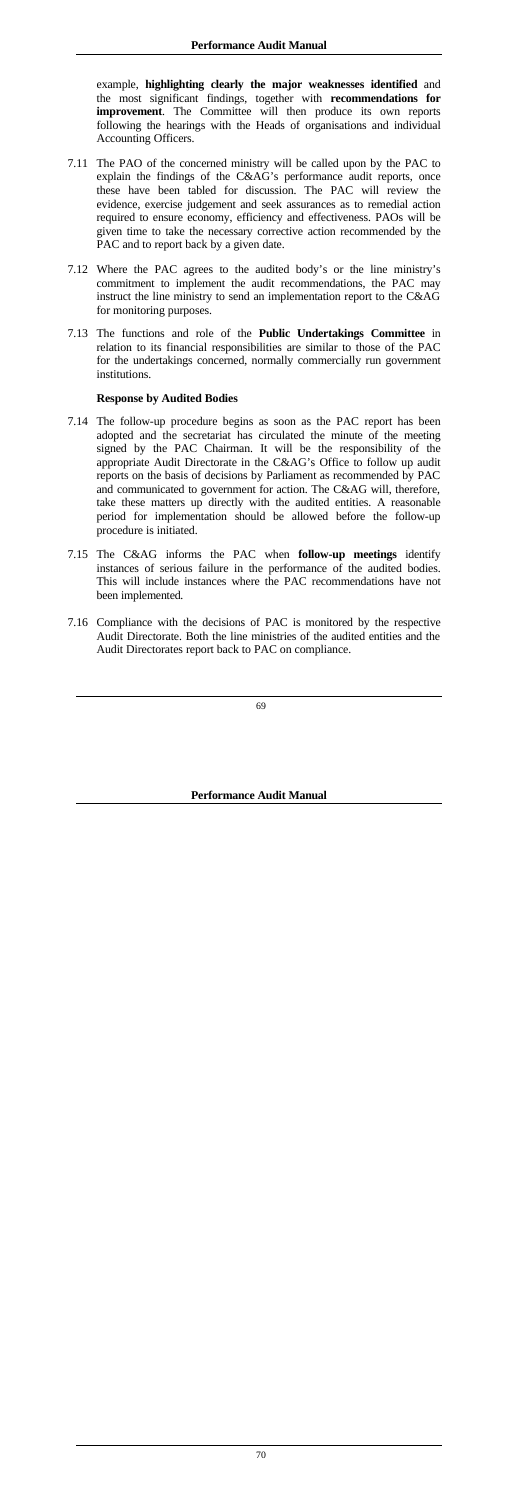example, **highlighting clearly the major weaknesses identified** and the most significant findings, together with **recommendations for improvement**. The Committee will then produce its own reports following the hearings with the Heads of organisations and individual Accounting Officers.

- 7.11 The PAO of the concerned ministry will be called upon by the PAC to explain the findings of the C&AG's performance audit reports, once these have been tabled for discussion. The PAC will review the evidence, exercise judgement and seek assurances as to remedial action required to ensure economy, efficiency and effectiveness. PAOs will be given time to take the necessary corrective action recommended by the PAC and to report back by a given date.
- 7.12 Where the PAC agrees to the audited body's or the line ministry's commitment to implement the audit recommendations, the PAC may instruct the line ministry to send an implementation report to the C&AG for monitoring purposes.
- 7.13 The functions and role of the **Public Undertakings Committee** in relation to its financial responsibilities are similar to those of the PAC for the undertakings concerned, normally commercially run government institutions.

### **Response by Audited Bodies**

- 7.14 The follow-up procedure begins as soon as the PAC report has been adopted and the secretariat has circulated the minute of the meeting signed by the PAC Chairman. It will be the responsibility of the appropriate Audit Directorate in the C&AG's Office to follow up audit reports on the basis of decisions by Parliament as recommended by PAC and communicated to government for action. The C&AG will, therefore, take these matters up directly with the audited entities. A reasonable period for implementation should be allowed before the follow-up procedure is initiated.
- 7.15 The C&AG informs the PAC when **follow-up meetings** identify instances of serious failure in the performance of the audited bodies. This will include instances where the PAC recommendations have not been implemented.
- 7.16 Compliance with the decisions of PAC is monitored by the respective Audit Directorate. Both the line ministries of the audited entities and the Audit Directorates report back to PAC on compliance.

**Performance Audit Manual**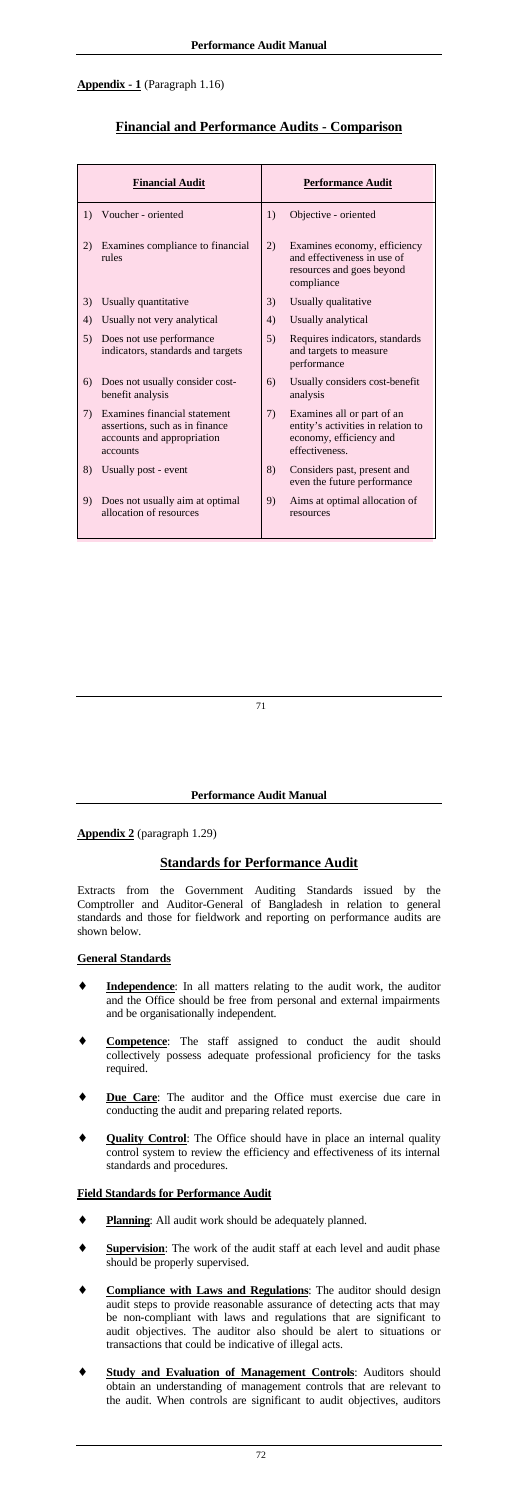# **Appendix - 1** (Paragraph 1.16)

# **Financial and Performance Audits - Comparison**

|    | <b>Financial Audit</b>                                                                                   |     | <b>Performance Audit</b>                                                                                      |
|----|----------------------------------------------------------------------------------------------------------|-----|---------------------------------------------------------------------------------------------------------------|
| 1) | Voucher - oriented                                                                                       | 1)  | Objective - oriented                                                                                          |
| 2) | Examines compliance to financial<br>rules                                                                | 2)  | Examines economy, efficiency<br>and effectiveness in use of<br>resources and goes beyond<br>compliance        |
| 3) | Usually quantitative                                                                                     | 3)  | Usually qualitative                                                                                           |
| 4) | Usually not very analytical                                                                              | 4)  | Usually analytical                                                                                            |
| 5) | Does not use performance<br>indicators, standards and targets                                            | 5)  | Requires indicators, standards<br>and targets to measure<br>performance                                       |
| 6) | Does not usually consider cost-<br>benefit analysis                                                      | 6)  | Usually considers cost-benefit<br>analysis                                                                    |
| 7) | Examines financial statement<br>assertions, such as in finance<br>accounts and appropriation<br>accounts | (7) | Examines all or part of an<br>entity's activities in relation to<br>economy, efficiency and<br>effectiveness. |
| 8) | Usually post - event                                                                                     | 8)  | Considers past, present and<br>even the future performance                                                    |
| 9) | Does not usually aim at optimal<br>allocation of resources                                               | 9)  | Aims at optimal allocation of<br>resources                                                                    |

- **Independence**: In all matters relating to the audit work, the auditor and the Office should be free from personal and external impairments and be organisationally independent.
- Competence: The staff assigned to conduct the audit should collectively possess adequate professional proficiency for the tasks required.
- **Due Care:** The auditor and the Office must exercise due care in conducting the audit and preparing related reports.
- **Quality Control**: The Office should have in place an internal quality control system to review the efficiency and effectiveness of its internal standards and procedures.

### **Performance Audit Manual**

**Appendix 2** (paragraph 1.29)

# **Standards for Performance Audit**

Extracts from the Government Auditing Standards issued by the Comptroller and Auditor-General of Bangladesh in relation to general standards and those for fieldwork and reporting on performance audits are shown below.

- **Planning**: All audit work should be adequately planned.
- ♦ **Supervision**: The work of the audit staff at each level and audit phase should be properly supervised.
- **Compliance with Laws and Regulations:** The auditor should design audit steps to provide reasonable assurance of detecting acts that may be non-compliant with laws and regulations that are significant to audit objectives. The auditor also should be alert to situations or transactions that could be indicative of illegal acts.
- **Study and Evaluation of Management Controls:** Auditors should obtain an understanding of management controls that are relevant to the audit. When controls are significant to audit objectives, auditors

#### **General Standards**

## **Field Standards for Performance Audit**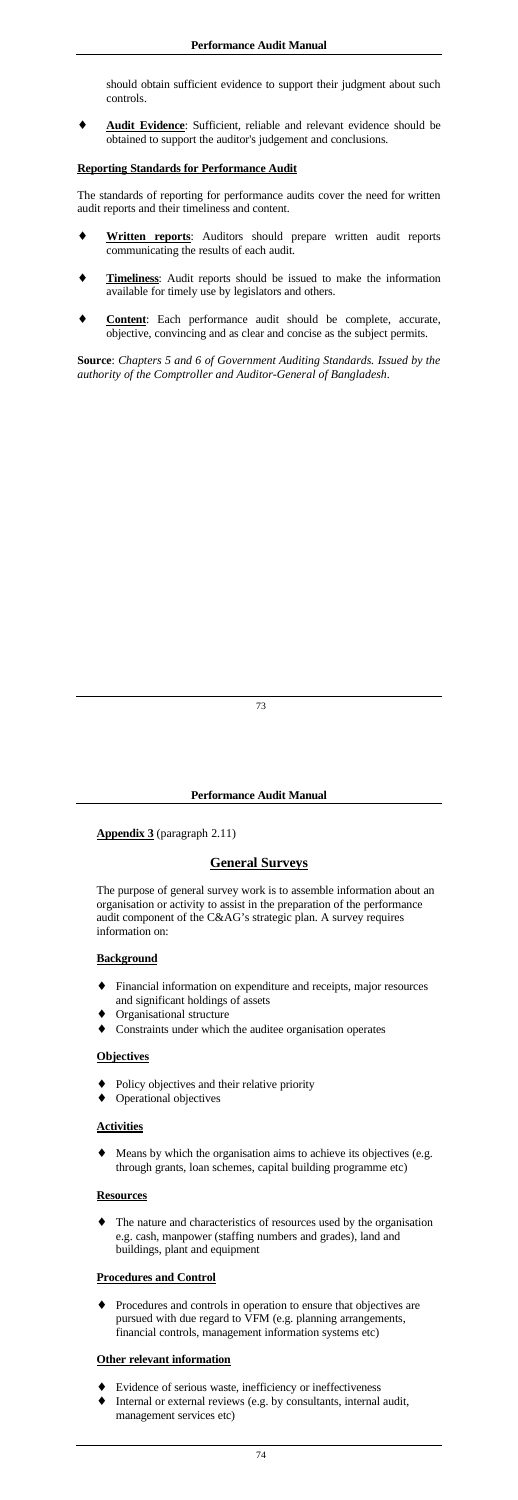should obtain sufficient evidence to support their judgment about such controls.

Audit Evidence: Sufficient, reliable and relevant evidence should be obtained to support the auditor's judgement and conclusions.

## **Reporting Standards for Performance Audit**

The standards of reporting for performance audits cover the need for written audit reports and their timeliness and content.

- Written reports: Auditors should prepare written audit reports communicating the results of each audit.
- **Timeliness:** Audit reports should be issued to make the information available for timely use by legislators and others.
- Content: Each performance audit should be complete, accurate, objective, convincing and as clear and concise as the subject permits.

- ♦ Financial information on expenditure and receipts, major resources and significant holdings of assets
- Organisational structure
- Constraints under which the auditee organisation operates

**Source**: *Chapters 5 and 6 of Government Auditing Standards. Issued by the authority of the Comptroller and Auditor-General of Bangladesh*.

The nature and characteristics of resources used by the organisation e.g. cash, manpower (staffing numbers and grades), land and buildings, plant and equipment

#### **Performance Audit Manual**

**Appendix 3** (paragraph 2.11)

# **General Surveys**

The purpose of general survey work is to assemble information about an organisation or activity to assist in the preparation of the performance audit component of the C&AG's strategic plan. A survey requires information on:

### **Background**

# **Objectives**

- Policy objectives and their relative priority
- Operational objectives

# **Activities**

♦ Means by which the organisation aims to achieve its objectives (e.g. through grants, loan schemes, capital building programme etc)

# **Resources**

# **Procedures and Control**

♦ Procedures and controls in operation to ensure that objectives are pursued with due regard to VFM (e.g. planning arrangements, financial controls, management information systems etc)

# **Other relevant information**

- ♦ Evidence of serious waste, inefficiency or ineffectiveness
- Internal or external reviews (e.g. by consultants, internal audit, management services etc)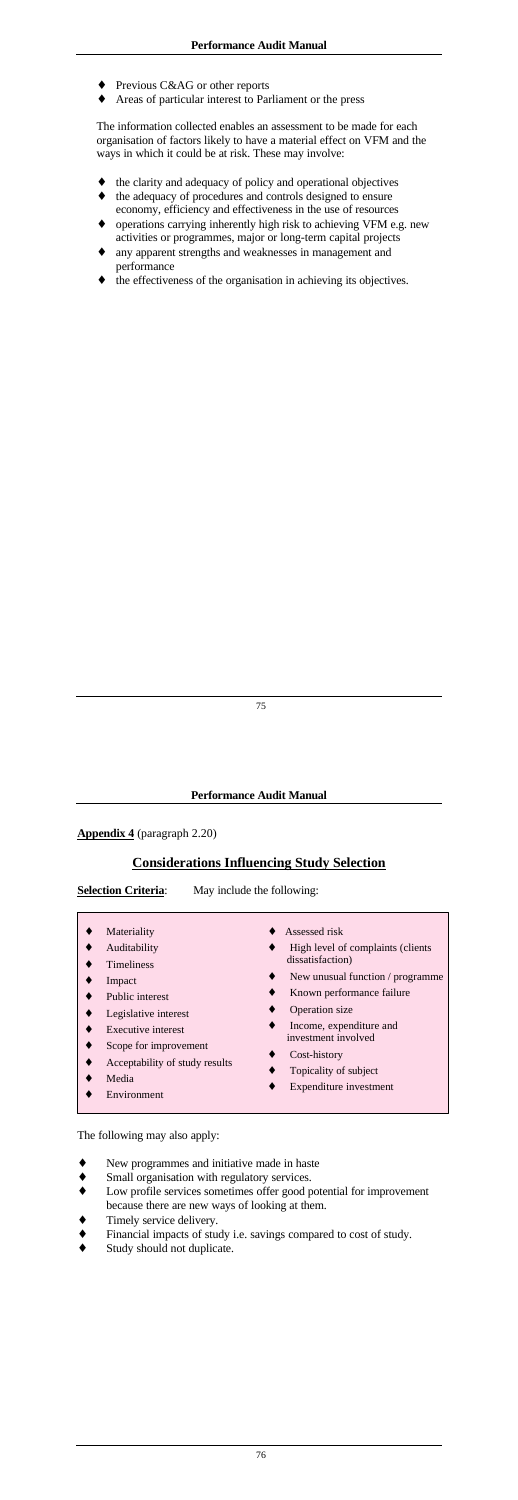- ◆ Previous C&AG or other reports
- Areas of particular interest to Parliament or the press

The information collected enables an assessment to be made for each organisation of factors likely to have a material effect on VFM and the ways in which it could be at risk. These may involve:

- the clarity and adequacy of policy and operational objectives
- the adequacy of procedures and controls designed to ensure economy, efficiency and effectiveness in the use of resources
- operations carrying inherently high risk to achieving VFM e.g. new activities or programmes, major or long-term capital projects
- any apparent strengths and weaknesses in management and performance
- the effectiveness of the organisation in achieving its objectives.

- 
- Materiality Auditability
- 
- Timeliness
- ♦ Assessed risk
- ♦ High level of complaints (clients dissatisfaction)
- 
- ♦ Impact
- Public interest
- Legislative interest
- Executive interest
- Scope for improvement
- Acceptability of study results
- ♦ Media
- Environment
- ♦ New unusual function / programme
- Known performance failure
- Operation size
- Income, expenditure and investment involved
- ♦ Cost-history
- Topicality of subject
- ♦ Expenditure investment

### **Performance Audit Manual**

### **Appendix 4** (paragraph 2.20)

# **Considerations Influencing Study Selection**

**Selection Criteria:** May include the following:

The following may also apply:

- New programmes and initiative made in haste
- ♦ Small organisation with regulatory services.
- Low profile services sometimes offer good potential for improvement because there are new ways of looking at them.
- Timely service delivery.
- Financial impacts of study i.e. savings compared to cost of study.
- Study should not duplicate.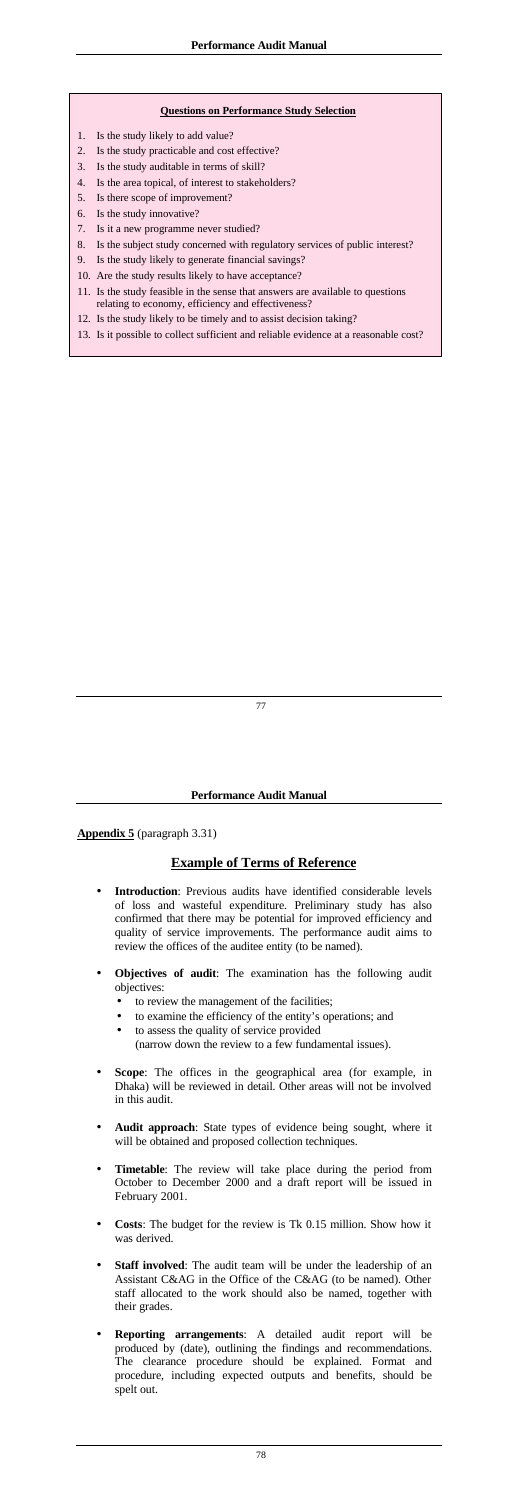#### **Questions on Performance Study Selection**

- 1. Is the study likely to add value?
- 2. Is the study practicable and cost effective?
- 3. Is the study auditable in terms of skill?
- 4. Is the area topical, of interest to stakeholders?
- 5. Is there scope of improvement?
- 6. Is the study innovative?
- 7. Is it a new programme never studied?
- 8. Is the subject study concerned with regulatory services of public interest?
- 9. Is the study likely to generate financial savings?
- 10. Are the study results likely to have acceptance?
- 11. Is the study feasible in the sense that answers are available to questions relating to economy, efficiency and effectiveness?
- 12. Is the study likely to be timely and to assist decision taking?
- 13. Is it possible to collect sufficient and reliable evidence at a reasonable cost?

#### **Performance Audit Manual**

**Appendix 5** (paragraph 3.31)

## **Example of Terms of Reference**

- **Introduction**: Previous audits have identified considerable levels of loss and wasteful expenditure. Preliminary study has also confirmed that there may be potential for improved efficiency and quality of service improvements. The performance audit aims to review the offices of the auditee entity (to be named).
- **Objectives of audit**: The examination has the following audit objectives:
	- to review the management of the facilities;
	- to examine the efficiency of the entity's operations; and
	- to assess the quality of service provided (narrow down the review to a few fundamental issues).
- **Scope**: The offices in the geographical area (for example, in Dhaka) will be reviewed in detail. Other areas will not be involved in this audit.
- **Audit approach**: State types of evidence being sought, where it will be obtained and proposed collection techniques.
- **Timetable**: The review will take place during the period from October to December 2000 and a draft report will be issued in February 2001.
- **Costs**: The budget for the review is Tk 0.15 million. Show how it was derived.
- **Staff involved**: The audit team will be under the leadership of an Assistant C&AG in the Office of the C&AG (to be named). Other staff allocated to the work should also be named, together with their grades.
- **Reporting arrangements**: A detailed audit report will be produced by (date), outlining the findings and recommendations. The clearance procedure should be explained. Format and procedure, including expected outputs and benefits, should be spelt out.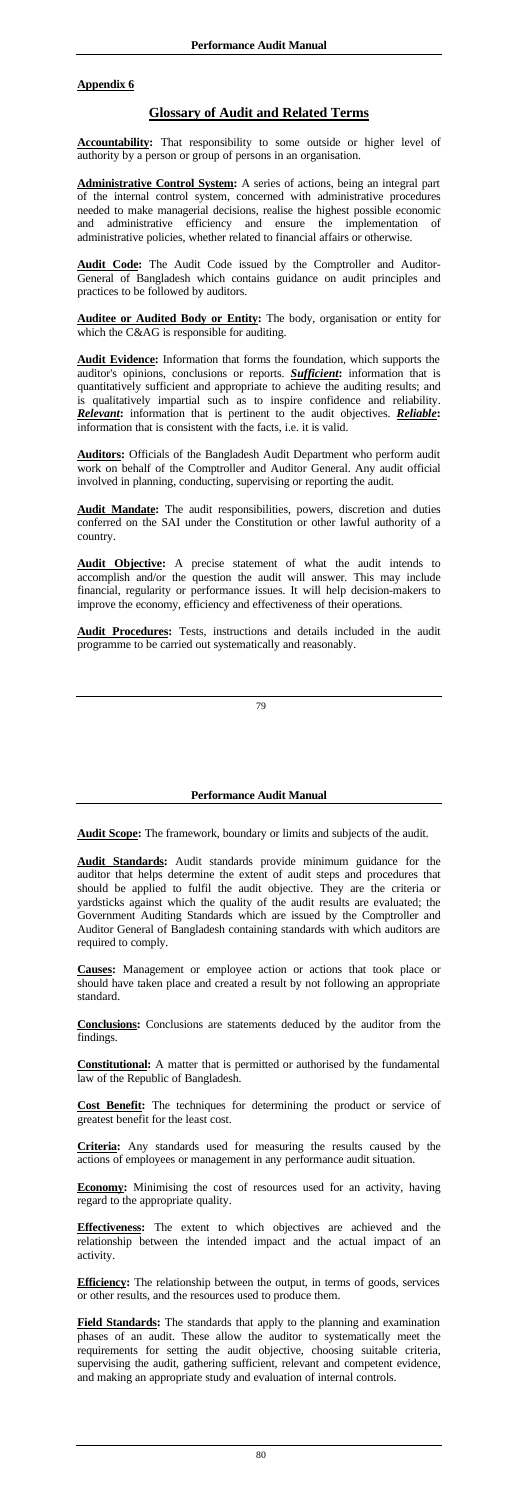# **Appendix 6**

# **Glossary of Audit and Related Terms**

**Accountability:** That responsibility to some outside or higher level of authority by a person or group of persons in an organisation.

**Auditee or Audited Body or Entity:** The body, organisation or entity for which the C&AG is responsible for auditing.

**Administrative Control System:** A series of actions, being an integral part of the internal control system, concerned with administrative procedures needed to make managerial decisions, realise the highest possible economic and administrative efficiency and ensure the implementation of administrative policies, whether related to financial affairs or otherwise.

**Audit Code:** The Audit Code issued by the Comptroller and Auditor-General of Bangladesh which contains guidance on audit principles and practices to be followed by auditors.

**Audit Evidence:** Information that forms the foundation, which supports the auditor's opinions, conclusions or reports. *Sufficient***:** information that is quantitatively sufficient and appropriate to achieve the auditing results; and is qualitatively impartial such as to inspire confidence and reliability. *Relevant***:** information that is pertinent to the audit objectives. *Reliable***:**  information that is consistent with the facts, i.e. it is valid.

**Auditors:** Officials of the Bangladesh Audit Department who perform audit work on behalf of the Comptroller and Auditor General. Any audit official involved in planning, conducting, supervising or reporting the audit.

**Audit Mandate:** The audit responsibilities, powers, discretion and duties conferred on the SAI under the Constitution or other lawful authority of a country.

**Economy:** Minimising the cost of resources used for an activity, having regard to the appropriate quality.

**Audit Objective:** A precise statement of what the audit intends to accomplish and/or the question the audit will answer. This may include financial, regularity or performance issues. It will help decision-makers to improve the economy, efficiency and effectiveness of their operations.

**Audit Procedures:** Tests, instructions and details included in the audit programme to be carried out systematically and reasonably.

## **Performance Audit Manual**

**Audit Scope:** The framework, boundary or limits and subjects of the audit.

**Audit Standards:** Audit standards provide minimum guidance for the auditor that helps determine the extent of audit steps and procedures that should be applied to fulfil the audit objective. They are the criteria or yardsticks against which the quality of the audit results are evaluated; the Government Auditing Standards which are issued by the Comptroller and Auditor General of Bangladesh containing standards with which auditors are required to comply.

**Causes:** Management or employee action or actions that took place or should have taken place and created a result by not following an appropriate standard.

**Conclusions:** Conclusions are statements deduced by the auditor from the findings.

**Constitutional:** A matter that is permitted or authorised by the fundamental law of the Republic of Bangladesh.

**Cost Benefit:** The techniques for determining the product or service of greatest benefit for the least cost.

**Criteria:** Any standards used for measuring the results caused by the actions of employees or management in any performance audit situation.

**Effectiveness:** The extent to which objectives are achieved and the relationship between the intended impact and the actual impact of an activity.

**Efficiency:** The relationship between the output, in terms of goods, services or other results, and the resources used to produce them.

**Field Standards:** The standards that apply to the planning and examination phases of an audit. These allow the auditor to systematically meet the requirements for setting the audit objective, choosing suitable criteria, supervising the audit, gathering sufficient, relevant and competent evidence, and making an appropriate study and evaluation of internal controls.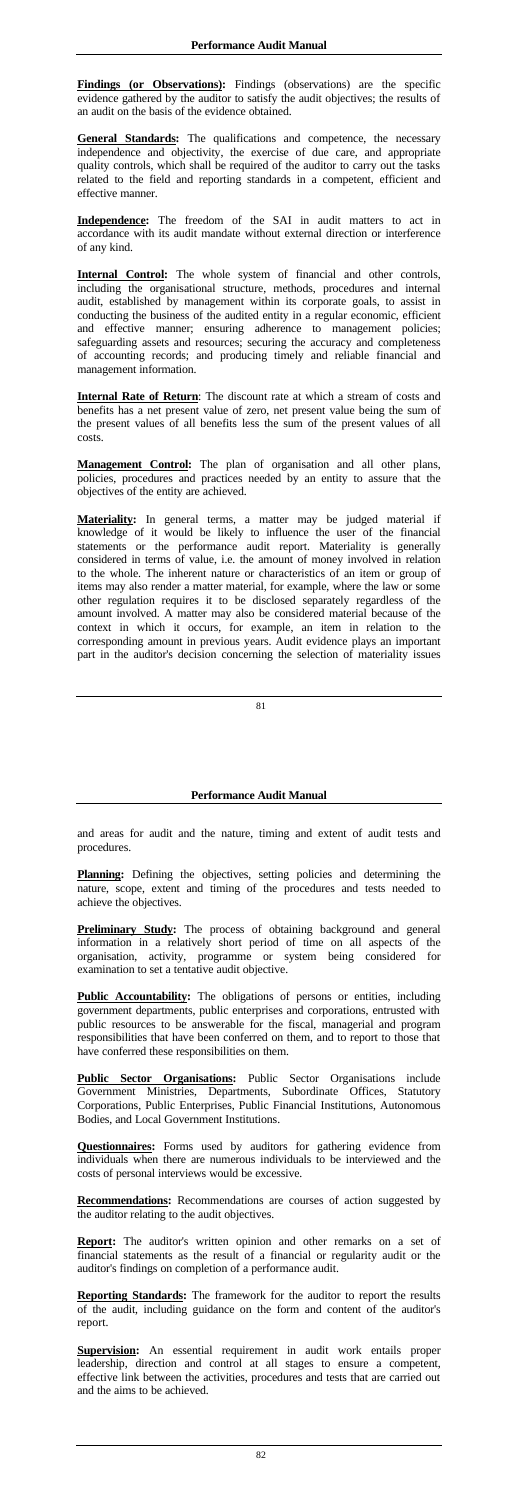**Findings (or Observations):** Findings (observations) are the specific evidence gathered by the auditor to satisfy the audit objectives; the results of an audit on the basis of the evidence obtained.

**General Standards:** The qualifications and competence, the necessary independence and objectivity, the exercise of due care, and appropriate quality controls, which shall be required of the auditor to carry out the tasks related to the field and reporting standards in a competent, efficient and effective manner.

**Internal Control:** The whole system of financial and other controls, including the organisational structure, methods, procedures and internal audit, established by management within its corporate goals, to assist in conducting the business of the audited entity in a regular economic, efficient and effective manner; ensuring adherence to management policies; safeguarding assets and resources; securing the accuracy and completeness of accounting records; and producing timely and reliable financial and management information.

**Independence:** The freedom of the SAI in audit matters to act in accordance with its audit mandate without external direction or interference of any kind.

**Internal Rate of Return**: The discount rate at which a stream of costs and benefits has a net present value of zero, net present value being the sum of the present values of all benefits less the sum of the present values of all costs.

Planning: Defining the objectives, setting policies and determining the nature, scope, extent and timing of the procedures and tests needed to achieve the objectives.

**Preliminary Study:** The process of obtaining background and general information in a relatively short period of time on all aspects of the organisation, activity, programme or system being considered for

**Management Control:** The plan of organisation and all other plans, policies, procedures and practices needed by an entity to assure that the objectives of the entity are achieved.

**Public Accountability:** The obligations of persons or entities, including government departments, public enterprises and corporations, entrusted with public resources to be answerable for the fiscal, managerial and program responsibilities that have been conferred on them, and to report to those that have conferred these responsibilities on them.

**Materiality:** In general terms, a matter may be judged material if knowledge of it would be likely to influence the user of the financial statements or the performance audit report. Materiality is generally considered in terms of value, i.e. the amount of money involved in relation to the whole. The inherent nature or characteristics of an item or group of items may also render a matter material, for example, where the law or some other regulation requires it to be disclosed separately regardless of the amount involved. A matter may also be considered material because of the context in which it occurs, for example, an item in relation to the corresponding amount in previous years. Audit evidence plays an important part in the auditor's decision concerning the selection of materiality issues

**Report:** The auditor's written opinion and other remarks on a set of financial statements as the result of a financial or regularity audit or the auditor's findings on completion of a performance audit.

### **Performance Audit Manual**

and areas for audit and the nature, timing and extent of audit tests and procedures.

examination to set a tentative audit objective.

**Public Sector Organisations:** Public Sector Organisations include Government Ministries, Departments, Subordinate Offices, Statutory Corporations, Public Enterprises, Public Financial Institutions, Autonomous Bodies, and Local Government Institutions.

**Questionnaires:** Forms used by auditors for gathering evidence from individuals when there are numerous individuals to be interviewed and the costs of personal interviews would be excessive.

**Recommendations:** Recommendations are courses of action suggested by the auditor relating to the audit objectives.

**Reporting Standards:** The framework for the auditor to report the results of the audit, including guidance on the form and content of the auditor's report.

**Supervision:** An essential requirement in audit work entails proper leadership, direction and control at all stages to ensure a competent, effective link between the activities, procedures and tests that are carried out and the aims to be achieved.